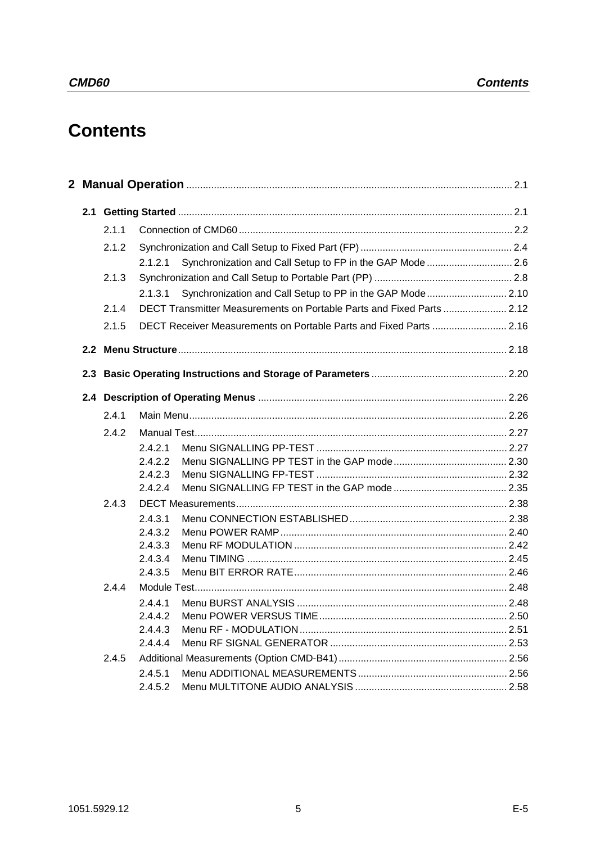# **Contents**

| 2.1.1<br>2.1.2<br>Synchronization and Call Setup to FP in the GAP Mode  2.6<br>2.1.2.1<br>2.1.3<br>Synchronization and Call Setup to PP in the GAP Mode 2.10<br>2.1.3.1<br>DECT Transmitter Measurements on Portable Parts and Fixed Parts  2.12<br>2.1.4<br>DECT Receiver Measurements on Portable Parts and Fixed Parts  2.16<br>2.1.5<br>2.4.1<br>2.4.2<br>2.4.2.1<br>2.4.2.2<br>2.4.2.3<br>2.4.2.4<br>2.4.3<br>2.4.3.1<br>2.4.3.2<br>2.4.3.3<br>2.4.3.4<br>2.4.3.5<br>2.4.4<br>2.4.4.1<br>2.4.4.2<br>2.4.4.3<br>2.4.4.4<br>2.4.5<br>2.4.5.1 |  |         |  |
|-------------------------------------------------------------------------------------------------------------------------------------------------------------------------------------------------------------------------------------------------------------------------------------------------------------------------------------------------------------------------------------------------------------------------------------------------------------------------------------------------------------------------------------------------|--|---------|--|
|                                                                                                                                                                                                                                                                                                                                                                                                                                                                                                                                                 |  |         |  |
|                                                                                                                                                                                                                                                                                                                                                                                                                                                                                                                                                 |  |         |  |
|                                                                                                                                                                                                                                                                                                                                                                                                                                                                                                                                                 |  |         |  |
|                                                                                                                                                                                                                                                                                                                                                                                                                                                                                                                                                 |  |         |  |
|                                                                                                                                                                                                                                                                                                                                                                                                                                                                                                                                                 |  |         |  |
|                                                                                                                                                                                                                                                                                                                                                                                                                                                                                                                                                 |  |         |  |
|                                                                                                                                                                                                                                                                                                                                                                                                                                                                                                                                                 |  |         |  |
|                                                                                                                                                                                                                                                                                                                                                                                                                                                                                                                                                 |  |         |  |
|                                                                                                                                                                                                                                                                                                                                                                                                                                                                                                                                                 |  |         |  |
|                                                                                                                                                                                                                                                                                                                                                                                                                                                                                                                                                 |  |         |  |
|                                                                                                                                                                                                                                                                                                                                                                                                                                                                                                                                                 |  |         |  |
|                                                                                                                                                                                                                                                                                                                                                                                                                                                                                                                                                 |  |         |  |
|                                                                                                                                                                                                                                                                                                                                                                                                                                                                                                                                                 |  |         |  |
|                                                                                                                                                                                                                                                                                                                                                                                                                                                                                                                                                 |  |         |  |
|                                                                                                                                                                                                                                                                                                                                                                                                                                                                                                                                                 |  |         |  |
|                                                                                                                                                                                                                                                                                                                                                                                                                                                                                                                                                 |  |         |  |
|                                                                                                                                                                                                                                                                                                                                                                                                                                                                                                                                                 |  |         |  |
|                                                                                                                                                                                                                                                                                                                                                                                                                                                                                                                                                 |  |         |  |
|                                                                                                                                                                                                                                                                                                                                                                                                                                                                                                                                                 |  |         |  |
|                                                                                                                                                                                                                                                                                                                                                                                                                                                                                                                                                 |  |         |  |
|                                                                                                                                                                                                                                                                                                                                                                                                                                                                                                                                                 |  |         |  |
|                                                                                                                                                                                                                                                                                                                                                                                                                                                                                                                                                 |  |         |  |
|                                                                                                                                                                                                                                                                                                                                                                                                                                                                                                                                                 |  |         |  |
|                                                                                                                                                                                                                                                                                                                                                                                                                                                                                                                                                 |  |         |  |
|                                                                                                                                                                                                                                                                                                                                                                                                                                                                                                                                                 |  |         |  |
|                                                                                                                                                                                                                                                                                                                                                                                                                                                                                                                                                 |  |         |  |
|                                                                                                                                                                                                                                                                                                                                                                                                                                                                                                                                                 |  |         |  |
|                                                                                                                                                                                                                                                                                                                                                                                                                                                                                                                                                 |  |         |  |
|                                                                                                                                                                                                                                                                                                                                                                                                                                                                                                                                                 |  | 2.4.5.2 |  |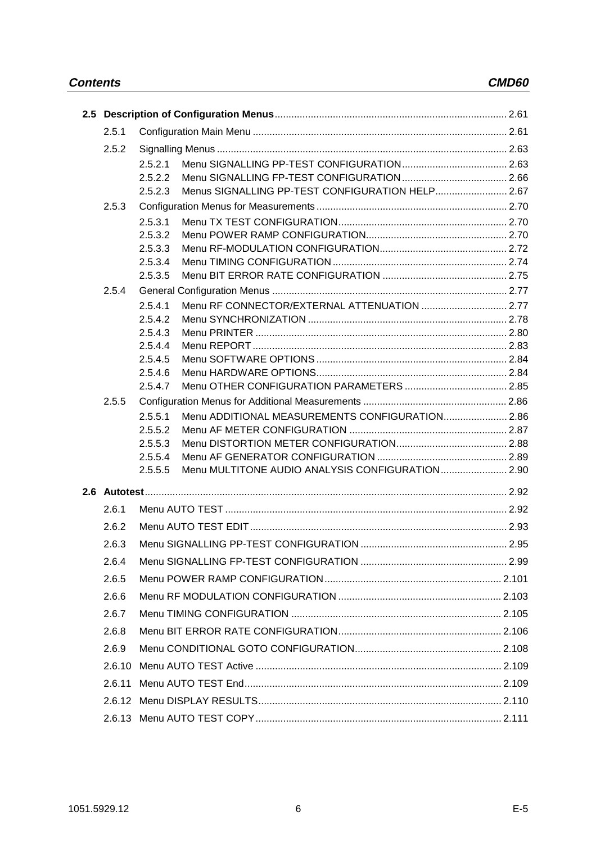| 2.5.1  |                    |                                                  |  |
|--------|--------------------|--------------------------------------------------|--|
| 2.5.2  |                    |                                                  |  |
|        | 2.5.2.1            |                                                  |  |
|        | 2.5.2.2            |                                                  |  |
|        | 2.5.2.3            | Menus SIGNALLING PP-TEST CONFIGURATION HELP 2.67 |  |
| 2.5.3  |                    |                                                  |  |
|        | 2.5.3.1            |                                                  |  |
|        | 2.5.3.2            |                                                  |  |
|        | 2.5.3.3            |                                                  |  |
|        | 2.5.3.4<br>2.5.3.5 |                                                  |  |
| 2.5.4  |                    |                                                  |  |
|        | 2.5.4.1            |                                                  |  |
|        | 2.5.4.2            |                                                  |  |
|        | 2.5.4.3            |                                                  |  |
|        | 2.5.4.4            |                                                  |  |
|        | 2.5.4.5            |                                                  |  |
|        | 2.5.4.6            |                                                  |  |
|        | 2.5.4.7            |                                                  |  |
| 2.5.5  |                    |                                                  |  |
|        | 2.5.5.1            | Menu ADDITIONAL MEASUREMENTS CONFIGURATION 2.86  |  |
|        | 2.5.5.2            |                                                  |  |
|        | 2.5.5.3<br>2.5.5.4 |                                                  |  |
|        | 2.5.5.5            | Menu MULTITONE AUDIO ANALYSIS CONFIGURATION 2.90 |  |
|        |                    |                                                  |  |
|        |                    |                                                  |  |
| 2.6.1  |                    |                                                  |  |
| 2.6.2  |                    |                                                  |  |
| 2.6.3  |                    |                                                  |  |
| 2.6.4  |                    |                                                  |  |
| 2.6.5  |                    |                                                  |  |
| 2.6.6  |                    |                                                  |  |
| 2.6.7  |                    |                                                  |  |
| 2.6.8  |                    |                                                  |  |
| 2.6.9  |                    |                                                  |  |
| 2.6.10 |                    |                                                  |  |
| 2.6.11 |                    |                                                  |  |
|        |                    |                                                  |  |
|        |                    |                                                  |  |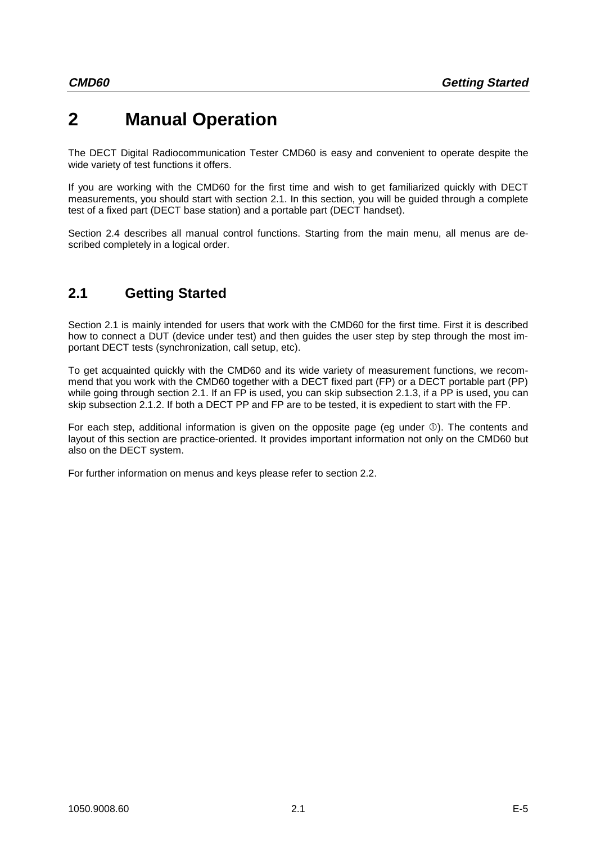# **2 Manual Operation**

The DECT Digital Radiocommunication Tester CMD60 is easy and convenient to operate despite the wide variety of test functions it offers.

If you are working with the CMD60 for the first time and wish to get familiarized quickly with DECT measurements, you should start with section 2.1. In this section, you will be guided through a complete test of a fixed part (DECT base station) and a portable part (DECT handset).

Section 2.4 describes all manual control functions. Starting from the main menu, all menus are described completely in a logical order.

## **2.1 Getting Started**

Section 2.1 is mainly intended for users that work with the CMD60 for the first time. First it is described how to connect a DUT (device under test) and then guides the user step by step through the most important DECT tests (synchronization, call setup, etc).

To get acquainted quickly with the CMD60 and its wide variety of measurement functions, we recommend that you work with the CMD60 together with a DECT fixed part (FP) or a DECT portable part (PP) while going through section 2.1. If an FP is used, you can skip subsection 2.1.3, if a PP is used, you can skip subsection 2.1.2. If both a DECT PP and FP are to be tested, it is expedient to start with the FP.

For each step, additional information is given on the opposite page (eg under  $\mathbb{O}$ ). The contents and layout of this section are practice-oriented. It provides important information not only on the CMD60 but also on the DECT system.

For further information on menus and keys please refer to section 2.2.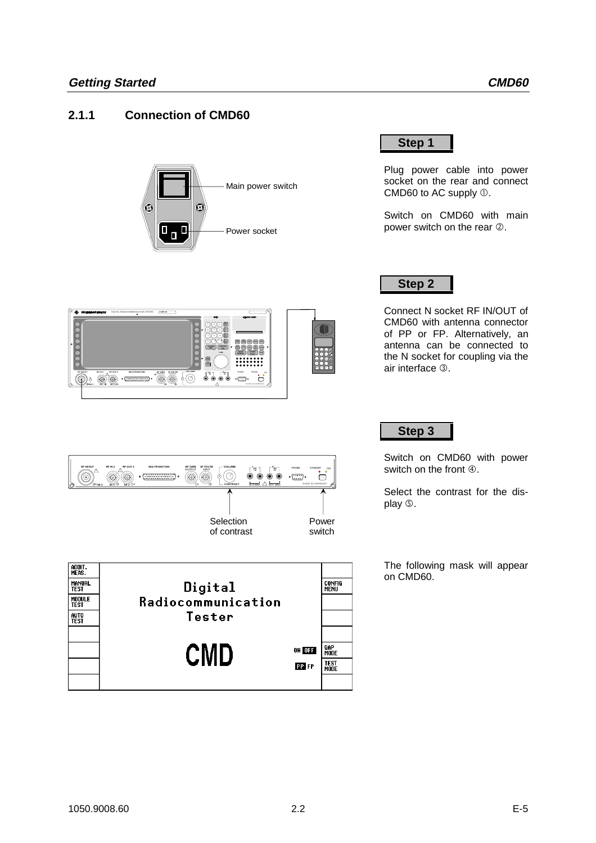## **2.1.1 Connection of CMD60**

DIGITAL RADIOCOMMUNICATION TESTER **CMD 52**

OUTPUT **AF VOLTM MULTIFUNCTION MULTIFUNCTION** 

m.

**50** Ω **50** Ω **50** Ω **! !**

ooooooo

**RF IN/OUT RF IN 2 RF OUT 2 AF GEN**



7 || 2 || 5 ء اا د اله 1 2 ാറ<sub>ി</sub>റ

**VOLUME I D**<sub>DC</sub> **D D**<sup>V</sup><sub>RC</sub>

**VAR**

**Hz C dBµV dB m**

 $\mathbf{b}$ 

4 5 <sup>6</sup> . - 0 RCL S C M

**START CARD RECALL RECALL RECALL ILLUM USER BACK**



Plug power cable into power socket on the rear and connect CMD60 to AC supply  $\mathbb O$ .

Switch on CMD60 with main power switch on the rear  $\oslash$ .

## **Step 2**

Connect N socket RF IN/OUT of CMD60 with antenna connector of PP or FP. Alternatively, an antenna can be connected to the N socket for coupling via the air interface 3.

## **Step 3**

Switch on CMD60 with power switch on the front  $@.$ 

Select the contrast for the display  $\circledcirc$ .

The following mask will appear on CMD60.



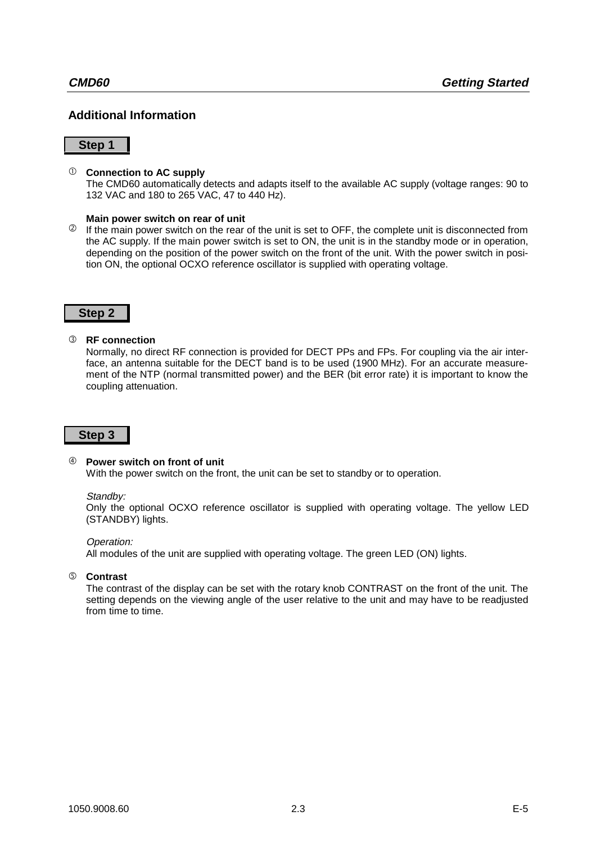## **Additional Information**

#### **Step 1**

#### **Connection to AC supply**

The CMD60 automatically detects and adapts itself to the available AC supply (voltage ranges: 90 to 132 VAC and 180 to 265 VAC, 47 to 440 Hz).

#### **Main power switch on rear of unit**

<sup>2</sup> If the main power switch on the rear of the unit is set to OFF, the complete unit is disconnected from the AC supply. If the main power switch is set to ON, the unit is in the standby mode or in operation, depending on the position of the power switch on the front of the unit. With the power switch in position ON, the optional OCXO reference oscillator is supplied with operating voltage.

#### **Step 2**

#### **3** RF connection

Normally, no direct RF connection is provided for DECT PPs and FPs. For coupling via the air interface, an antenna suitable for the DECT band is to be used (1900 MHz). For an accurate measurement of the NTP (normal transmitted power) and the BER (bit error rate) it is important to know the coupling attenuation.

#### **Step 3**

#### <sup>4</sup> Power switch on front of unit

With the power switch on the front, the unit can be set to standby or to operation.

#### Standby:

Only the optional OCXO reference oscillator is supplied with operating voltage. The yellow LED (STANDBY) lights.

#### Operation:

All modules of the unit are supplied with operating voltage. The green LED (ON) lights.

#### û **Contrast**

The contrast of the display can be set with the rotary knob CONTRAST on the front of the unit. The setting depends on the viewing angle of the user relative to the unit and may have to be readjusted from time to time.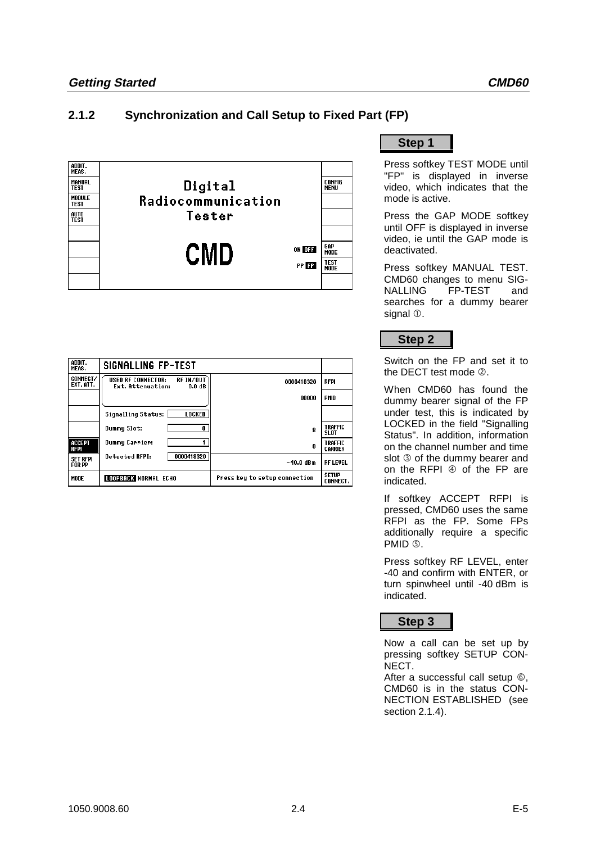## **2.1.2 Synchronization and Call Setup to Fixed Part (FP)**



| ADDIT.<br>MEAS.              | <b>SIGNALLING FP-TEST</b>                                                         |                               |                                 |
|------------------------------|-----------------------------------------------------------------------------------|-------------------------------|---------------------------------|
| <b>CONNECT/</b><br>EXT. ATT. | RF IN/OUT<br><b>USED RF CONNECTOR:</b><br>Ext. Attenuation:<br>0.0 <sub>d</sub> B | 0000418320                    | <b>RFPI</b>                     |
|                              |                                                                                   | 00000                         | <b>PMID</b>                     |
|                              | <b>Signalling Status:</b><br>LOCKED                                               |                               |                                 |
|                              | Dummy Slot:<br>0                                                                  | 8                             | <b>TRAFFIC</b><br>SL OT         |
| ACCEPT<br><b>RFPI</b>        | Dummy Carrier:                                                                    | 0                             | TRAFFIC<br>CARRIER              |
| <b>SET RFPI</b><br>FOR PP    | 0000418320<br><b>Detected RFPI:</b>                                               | -40.0 dBm                     | <b>RF LEVEL</b>                 |
| <b>MODE</b>                  | LOOPBACK NORMAL ECHO                                                              | Press key to setup connection | <b>SETUP</b><br><b>CONNECT.</b> |

**Step 1**

Press softkey TEST MODE until "FP" is displayed in inverse video, which indicates that the mode is active.

Press the GAP MODE softkey until OFF is displayed in inverse video, ie until the GAP mode is deactivated.

Press softkey MANUAL TEST. CMD60 changes to menu SIG-NALLING FP-TEST and searches for a dummy bearer signal  $<sup>0</sup>$ .</sup>

**Step 2**

Switch on the FP and set it to the DECT test mode  $\oslash$ .

When CMD60 has found the dummy bearer signal of the FP under test, this is indicated by LOCKED in the field "Signalling Status". In addition, information on the channel number and time slot  $\circledcirc$  of the dummy bearer and on the RFPI  $\circledast$  of the FP are indicated.

If softkey ACCEPT RFPI is pressed, CMD60 uses the same RFPI as the FP. Some FPs additionally require a specific PMID **6**.

Press softkey RF LEVEL, enter -40 and confirm with ENTER, or turn spinwheel until -40 dBm is indicated.

**Step 3**

Now a call can be set up by pressing softkey SETUP CON-NECT.

After a successful call setup  $\circledcirc$ , CMD60 is in the status CON-NECTION ESTABLISHED (see section 2.1.4).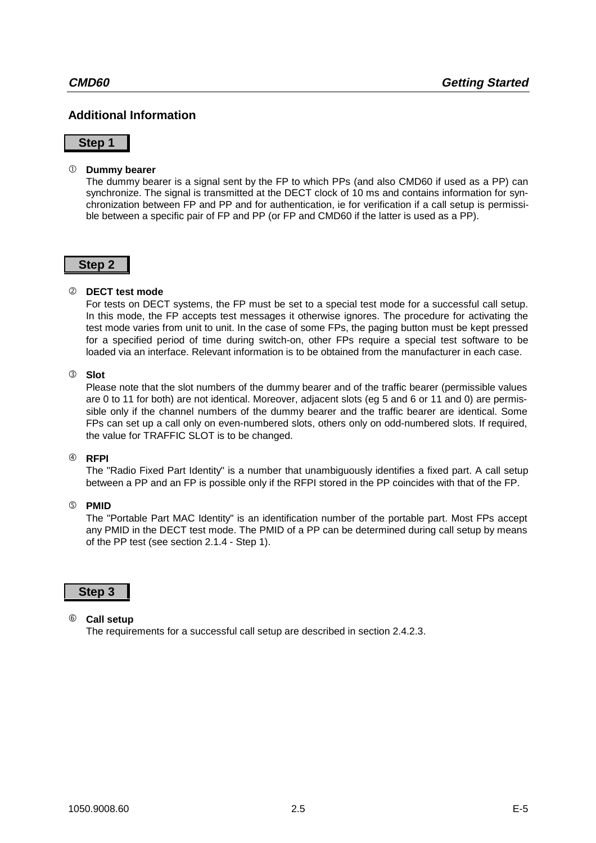## **Additional Information**

#### **Step 1**

#### **Dummy bearer**

The dummy bearer is a signal sent by the FP to which PPs (and also CMD60 if used as a PP) can synchronize. The signal is transmitted at the DECT clock of 10 ms and contains information for synchronization between FP and PP and for authentication, ie for verification if a call setup is permissible between a specific pair of FP and PP (or FP and CMD60 if the latter is used as a PP).

### **Step 2**

#### ô **DECT test mode**

For tests on DECT systems, the FP must be set to a special test mode for a successful call setup. In this mode, the FP accepts test messages it otherwise ignores. The procedure for activating the test mode varies from unit to unit. In the case of some FPs, the paging button must be kept pressed for a specified period of time during switch-on, other FPs require a special test software to be loaded via an interface. Relevant information is to be obtained from the manufacturer in each case.

#### **3** Slot

Please note that the slot numbers of the dummy bearer and of the traffic bearer (permissible values are 0 to 11 for both) are not identical. Moreover, adjacent slots (eg 5 and 6 or 11 and 0) are permissible only if the channel numbers of the dummy bearer and the traffic bearer are identical. Some FPs can set up a call only on even-numbered slots, others only on odd-numbered slots. If required, the value for TRAFFIC SLOT is to be changed.

#### ÷ **RFPI**

The "Radio Fixed Part Identity" is a number that unambiguously identifies a fixed part. A call setup between a PP and an FP is possible only if the RFPI stored in the PP coincides with that of the FP.

#### û **PMID**

The "Portable Part MAC Identity" is an identification number of the portable part. Most FPs accept any PMID in the DECT test mode. The PMID of a PP can be determined during call setup by means of the PP test (see section 2.1.4 - Step 1).

#### **Step 3**

#### ø **Call setup**

The requirements for a successful call setup are described in section 2.4.2.3.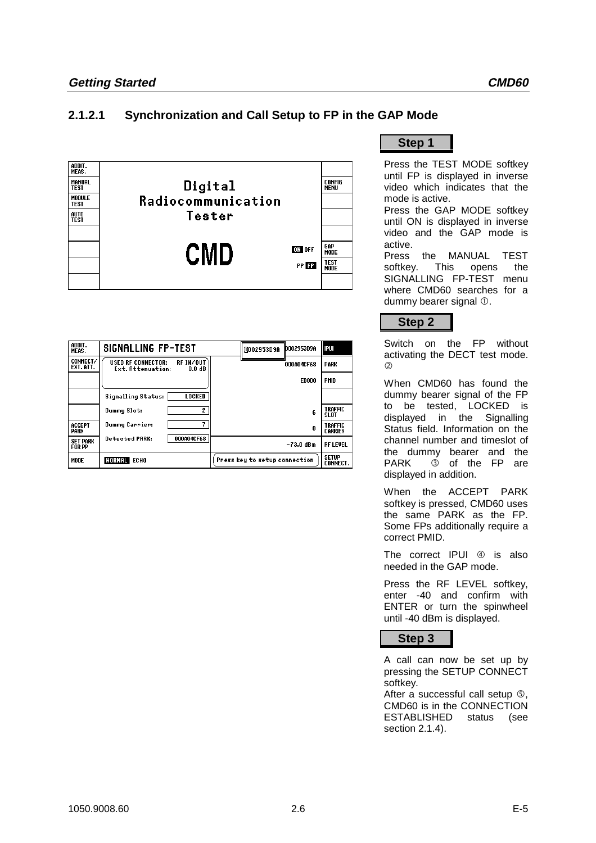## **2.1.2.1 Synchronization and Call Setup to FP in the GAP Mode**



| ADDIT.<br>MEAS.                  | <b>SIGNALLING FP-TEST</b>                                                         | lb002953D9A<br>0002953D9A     | l IPUI                           |
|----------------------------------|-----------------------------------------------------------------------------------|-------------------------------|----------------------------------|
| CONNECT/<br>EXT. ATT.            | RF IN/OUT<br><b>USED RF CONNECTOR:</b><br>Ext. Attenuation:<br>0.0 <sub>d</sub> B | 000A04CF68                    | <b>PARK</b>                      |
|                                  |                                                                                   | <b>E0000</b>                  | PMID                             |
|                                  | <b>Signalling Status:</b><br>LOCKED                                               |                               |                                  |
|                                  | 2<br>Dummy Slot:                                                                  | 6                             | <b>TRAFFIC</b><br>SLOT           |
| ACCEPT<br>PARK                   | <b>Dummy Carrier:</b>                                                             | 0                             | <b>TRAFFIC</b><br><b>CARRIER</b> |
| <b>SET PARK</b><br><b>FOR PP</b> | <b>Detected PARK:</b><br>000A04CF68                                               | $-73.0$ dBm                   | <b>RF LEVEL</b>                  |
| MODE                             | NORMAL ECHO                                                                       | Press key to setup connection | <b>SETUP</b><br><b>CONNECT.</b>  |

**Step 1**

Press the TEST MODE softkey until FP is displayed in inverse video which indicates that the mode is active.

Press the GAP MODE softkey until ON is displayed in inverse video and the GAP mode is active.

Press the MANUAL TEST softkey. This opens the SIGNALLING FP-TEST menu where CMD60 searches for a dummy bearer signal  $<sup>1</sup>$ .</sup>



Switch on the FP without activating the DECT test mode.  $\circled{2}$ 

When CMD60 has found the dummy bearer signal of the FP to be tested, LOCKED is displayed in the Signalling Status field. Information on the channel number and timeslot of the dummy bearer and the PARK **3** of the FP are displayed in addition.

When the ACCEPT PARK softkey is pressed, CMD60 uses the same PARK as the FP. Some FPs additionally require a correct PMID.

The correct  $IPUI \oplus is also$ needed in the GAP mode.

Press the RF LEVEL softkey, enter -40 and confirm with ENTER or turn the spinwheel until -40 dBm is displayed.



A call can now be set up by pressing the SETUP CONNECT softkey.

After a successful call setup û, CMD60 is in the CONNECTION ESTABLISHED status (see section 2.1.4).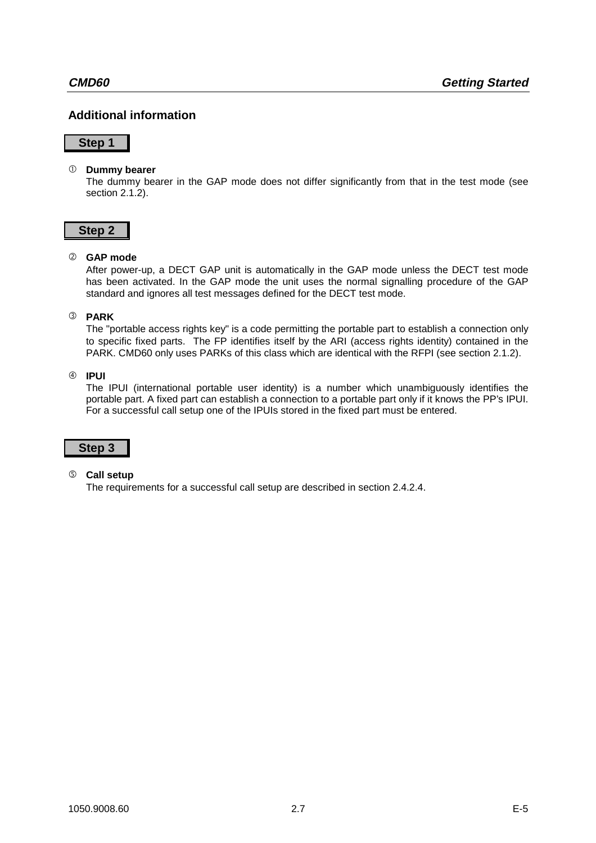## **Additional information**

#### **Step 1**

#### **Dummy bearer**

The dummy bearer in the GAP mode does not differ significantly from that in the test mode (see section 2.1.2).

#### **Step 2**

#### ô **GAP mode**

After power-up, a DECT GAP unit is automatically in the GAP mode unless the DECT test mode has been activated. In the GAP mode the unit uses the normal signalling procedure of the GAP standard and ignores all test messages defined for the DECT test mode.

#### í **PARK**

The "portable access rights key" is a code permitting the portable part to establish a connection only to specific fixed parts. The FP identifies itself by the ARI (access rights identity) contained in the PARK. CMD60 only uses PARKs of this class which are identical with the RFPI (see section 2.1.2).

#### ÷ **IPUI**

The IPUI (international portable user identity) is a number which unambiguously identifies the portable part. A fixed part can establish a connection to a portable part only if it knows the PP's IPUI. For a successful call setup one of the IPUIs stored in the fixed part must be entered.

## **Step 3**

#### û **Call setup**

The requirements for a successful call setup are described in section 2.4.2.4.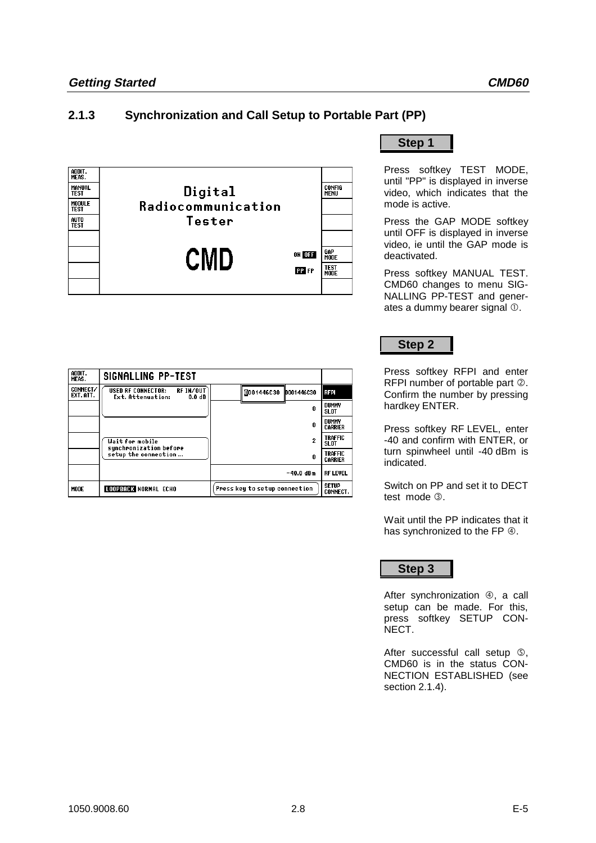## **2.1.3 Synchronization and Call Setup to Portable Part (PP)**



| ADDIT.<br>MEAS.       | SIGNALLING PP-TEST                                                                |                               |                                 |
|-----------------------|-----------------------------------------------------------------------------------|-------------------------------|---------------------------------|
| CONNECT/<br>EXT. ATT. | RF IN/OUT<br><b>USED RF CONNECTOR:</b><br>0.0 <sub>d</sub> B<br>Ext. Attenuation: | 0001446C30   0001446C30       | <b>RFPI</b>                     |
|                       |                                                                                   | n                             | DUMMY<br><b>SLOT</b>            |
|                       |                                                                                   | n                             | DUMMY<br>CARRIER                |
|                       | <b>Wait for mobile</b><br>synchronization before                                  | 2                             | <b>TRAFFIC</b><br>SLOT          |
|                       | setup the connection                                                              | Ū                             | <b>TRAFFIC</b><br>CARRIER       |
|                       |                                                                                   | $-40.0$ dBm                   | <b>RF LEVEL</b>                 |
| <b>MODE</b>           | <b>LOOPBACK NORMAL ECHO</b>                                                       | Press key to setup connection | <b>SETUP</b><br><b>CONNECT.</b> |

**Step 1**

Press softkey TEST MODE, until "PP" is displayed in inverse video, which indicates that the mode is active.

Press the GAP MODE softkey until OFF is displayed in inverse video, ie until the GAP mode is deactivated.

Press softkey MANUAL TEST. CMD60 changes to menu SIG-NALLING PP-TEST and generates a dummy bearer signal  $$\infty$ .$ 

## **Step 2**

Press softkey RFPI and enter RFPI number of portable part 2. Confirm the number by pressing hardkey ENTER.

Press softkey RF LEVEL, enter -40 and confirm with ENTER, or turn spinwheel until -40 dBm is indicated.

Switch on PP and set it to DECT test mode 3.

Wait until the PP indicates that it has synchronized to the FP  $\Phi$ .

**Step 3**

After synchronization 4, a call setup can be made. For this, press softkey SETUP CON-NECT.

After successful call setup  $\circledS$ , CMD60 is in the status CON-NECTION ESTABLISHED (see section 2.1.4).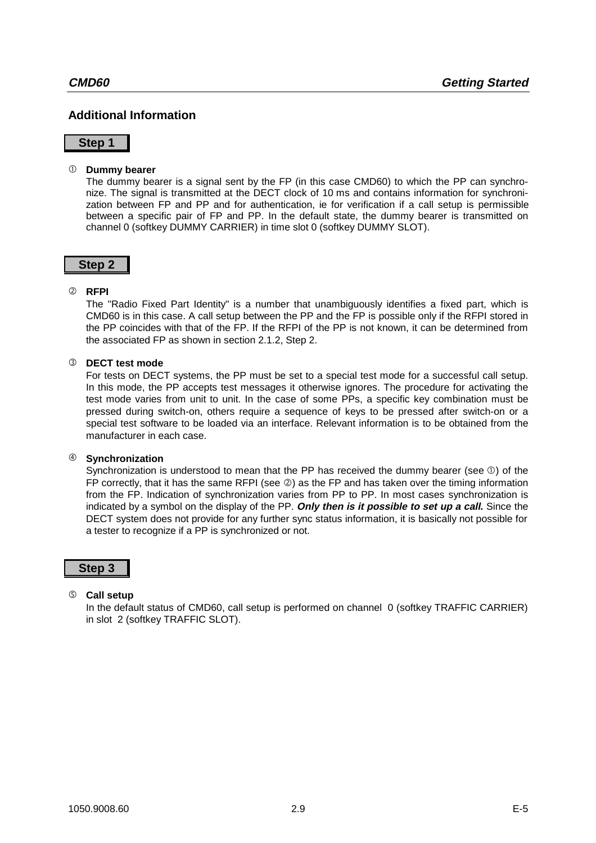## **Additional Information**

#### **Step 1**

#### **Dummy bearer**

The dummy bearer is a signal sent by the FP (in this case CMD60) to which the PP can synchronize. The signal is transmitted at the DECT clock of 10 ms and contains information for synchronization between FP and PP and for authentication, ie for verification if a call setup is permissible between a specific pair of FP and PP. In the default state, the dummy bearer is transmitted on channel 0 (softkey DUMMY CARRIER) in time slot 0 (softkey DUMMY SLOT).

#### **Step 2**

#### ô **RFPI**

The "Radio Fixed Part Identity" is a number that unambiguously identifies a fixed part, which is CMD60 is in this case. A call setup between the PP and the FP is possible only if the RFPI stored in the PP coincides with that of the FP. If the RFPI of the PP is not known, it can be determined from the associated FP as shown in section 2.1.2, Step 2.

#### **3** DECT test mode

For tests on DECT systems, the PP must be set to a special test mode for a successful call setup. In this mode, the PP accepts test messages it otherwise ignores. The procedure for activating the test mode varies from unit to unit. In the case of some PPs, a specific key combination must be pressed during switch-on, others require a sequence of keys to be pressed after switch-on or a special test software to be loaded via an interface. Relevant information is to be obtained from the manufacturer in each case.

#### ÷ **Synchronization**

Synchronization is understood to mean that the PP has received the dummy bearer (see  $\mathbb O$ ) of the FP correctly, that it has the same RFPI (see  $\circledcirc$ ) as the FP and has taken over the timing information from the FP. Indication of synchronization varies from PP to PP. In most cases synchronization is indicated by a symbol on the display of the PP. **Only then is it possible to set up a call.** Since the DECT system does not provide for any further sync status information, it is basically not possible for a tester to recognize if a PP is synchronized or not.

### **Step 3**

#### û **Call setup**

In the default status of CMD60, call setup is performed on channel 0 (softkey TRAFFIC CARRIER) in slot 2 (softkey TRAFFIC SLOT).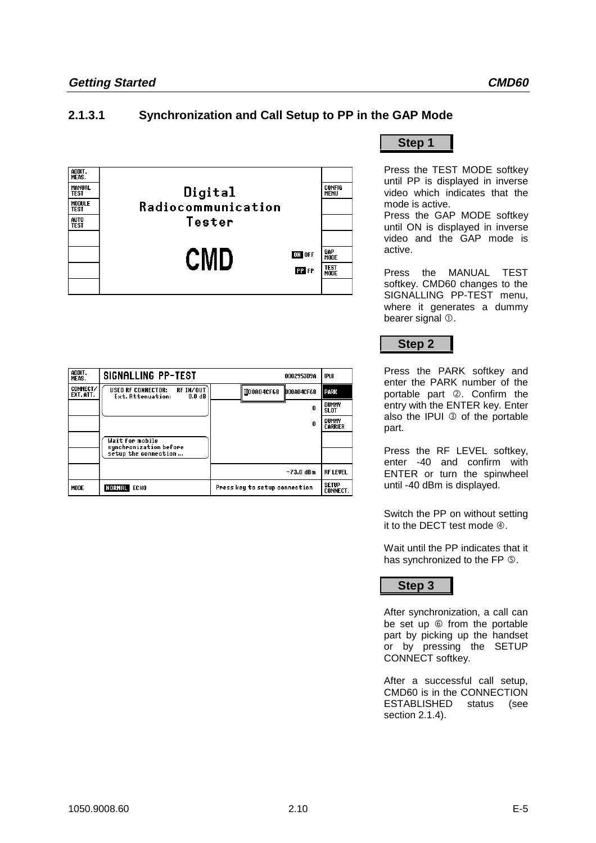## **2.1.3.1 Synchronization and Call Setup to PP in the GAP Mode**



| ADDIT.<br>MEAS.       | SIGNALLING PP-TEST                                                    | 0002953D9A                    | IPUI                            |
|-----------------------|-----------------------------------------------------------------------|-------------------------------|---------------------------------|
| CONNECT/<br>EXT. ATT. | RF IN/OUT<br><b>USED RF CONNECTOR:</b><br>Ext. Attenuation:<br>0.0 dB | 000A04CF68<br>D00A04CF68      | <b>PARK</b>                     |
|                       |                                                                       | 0                             | DUMMY<br><b>SLOT</b>            |
|                       |                                                                       | n                             | DUMMY<br><b>CARRIER</b>         |
|                       | <b>Wait for mobile</b><br>sunchronization before                      |                               |                                 |
|                       | setup the connection                                                  |                               |                                 |
|                       |                                                                       | $-73.0$ dBm                   | <b>RF LEVEL</b>                 |
| MODE                  | NORMAL ECHO                                                           | Press key to setup connection | <b>SETUP</b><br><b>CONNECT.</b> |

**Step 1**

Press the TEST MODE softkey until PP is displayed in inverse video which indicates that the mode is active.

Press the GAP MODE softkey until ON is displayed in inverse video and the GAP mode is active.

Press the MANUAL TEST softkey. CMD60 changes to the SIGNALLING PP-TEST menu, where it generates a dummy bearer signal  $<sup>0</sup>$ .</sup>



Press the PARK softkey and enter the PARK number of the portable part 2. Confirm the entry with the ENTER key. Enter also the IPUI  $\odot$  of the portable part.

Press the RF LEVEL softkey, enter -40 and confirm with ENTER or turn the spinwheel until -40 dBm is displayed.

Switch the PP on without setting it to the DECT test mode  $\Phi$ .

Wait until the PP indicates that it has synchronized to the FP  $\circledS$ .

**Step 3**

After synchronization, a call can be set up  $\circledcirc$  from the portable part by picking up the handset or by pressing the SETUP CONNECT softkey.

After a successful call setup, CMD60 is in the CONNECTION ESTABLISHED status (see section 2.1.4).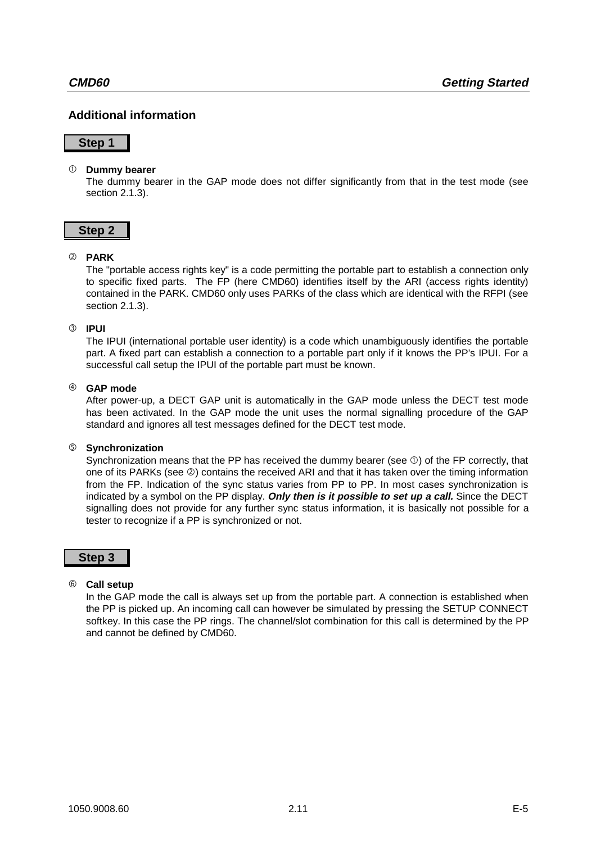## **Additional information**

#### **Step 1**

#### **Dummy bearer**

The dummy bearer in the GAP mode does not differ significantly from that in the test mode (see section 2.1.3).

#### **Step 2**

#### ô **PARK**

The "portable access rights key" is a code permitting the portable part to establish a connection only to specific fixed parts. The FP (here CMD60) identifies itself by the ARI (access rights identity) contained in the PARK. CMD60 only uses PARKs of the class which are identical with the RFPI (see section 2.1.3).

#### í **IPUI**

The IPUI (international portable user identity) is a code which unambiguously identifies the portable part. A fixed part can establish a connection to a portable part only if it knows the PP's IPUI. For a successful call setup the IPUI of the portable part must be known.

#### ÷ **GAP mode**

After power-up, a DECT GAP unit is automatically in the GAP mode unless the DECT test mode has been activated. In the GAP mode the unit uses the normal signalling procedure of the GAP standard and ignores all test messages defined for the DECT test mode.

#### û **Synchronization**

Synchronization means that the PP has received the dummy bearer (see  $\mathbb{O}$ ) of the FP correctly, that one of its PARKs (see  $\circledcirc$ ) contains the received ARI and that it has taken over the timing information from the FP. Indication of the sync status varies from PP to PP. In most cases synchronization is indicated by a symbol on the PP display. **Only then is it possible to set up a call.** Since the DECT signalling does not provide for any further sync status information, it is basically not possible for a tester to recognize if a PP is synchronized or not.

#### **Step 3**

#### ø **Call setup**

In the GAP mode the call is always set up from the portable part. A connection is established when the PP is picked up. An incoming call can however be simulated by pressing the SETUP CONNECT softkey. In this case the PP rings. The channel/slot combination for this call is determined by the PP and cannot be defined by CMD60.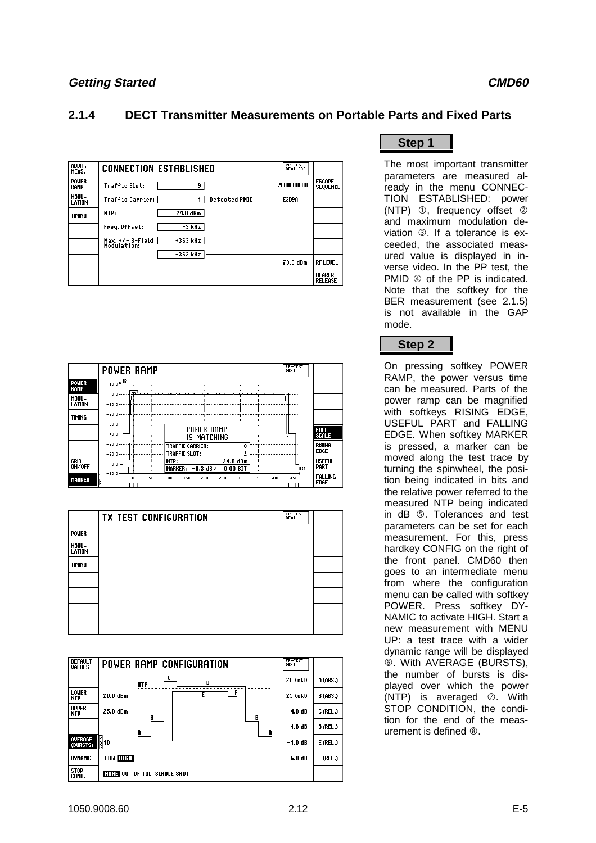## **2.1.4 DECT Transmitter Measurements on Portable Parts and Fixed Parts**

| ADDIT.<br>MEAS.      | PP-TEST<br>DECT GAP<br><b>CONNECTION ESTABLISHED</b> |                |             |                                  |
|----------------------|------------------------------------------------------|----------------|-------------|----------------------------------|
| <b>POWER</b><br>RAMP | Traffic Slot:<br>٩                                   |                | 7000000000  | <b>ESCAPE</b><br><b>SEQUENCE</b> |
| MODU-<br>LATION      | Traffic Carrier:                                     | Detected PMID: | E3D9A       |                                  |
| <b>TIMING</b>        | 24.0 dBm<br>NTP:                                     |                |             |                                  |
|                      | Freq. Offset:<br>-3 kHz                              |                |             |                                  |
|                      | +363 kHz<br>Max.+/-B-Field<br>Modulation:            |                |             |                                  |
|                      | $-363$ kHz                                           |                | $-73.0$ dBm | <b>RF LEVEL</b>                  |
|                      |                                                      |                |             |                                  |
|                      |                                                      |                |             | <b>BEARER</b><br><b>RELEASE</b>  |

|                 | BB-JEST<br><b>POWER RAMP</b>                                                                                     |                |
|-----------------|------------------------------------------------------------------------------------------------------------------|----------------|
| Power<br>Ramp   | $10.0 +$ <sup>dB</sup>                                                                                           |                |
| MODU-<br>LATION | $0.0 +$<br>,,,,,,,,,,<br>$-40.0 +$                                                                               |                |
| <b>TIMING</b>   | $-20.0 + \cdots +$<br>$-30.0 + $                                                                                 |                |
|                 | Power Ramp<br>FULL<br>Scale<br>$-40.0 +$<br><br>IS MATCHING                                                      |                |
|                 | RISING<br>--------------------------------------<br>TRAFFIC CARRIER:<br>0<br><b>EDGE</b><br><b>TRAFFIC SLOT:</b> |                |
| GRID<br>ON/OFF  | 24.0 dBm<br>NTP:<br>-70.0-kul-----<br>PART<br>MARKER: $-0.3$ dB $\prime$<br>0.00 BIT<br>BIT                      | <b>USEFUL</b>  |
| <b>MARKER</b>   | $-80.0$<br>50<br>250<br>300<br>350<br>150<br>200<br>400<br>450<br>400<br><b>EDGE</b><br>R                        | <b>FALLING</b> |

|                 | <b>TX TEST CONFIGURATION</b> | FP-TEST<br>DECT |  |
|-----------------|------------------------------|-----------------|--|
| <b>POWER</b>    |                              |                 |  |
| MODU-<br>LATION |                              |                 |  |
| <b>TIMING</b>   |                              |                 |  |
|                 |                              |                 |  |
|                 |                              |                 |  |
|                 |                              |                 |  |
|                 |                              |                 |  |

| <b>DEFAULT</b><br><b>VALUES</b> | POWER RAMP CONFIGURATION           | EP-TEST   |                 |
|---------------------------------|------------------------------------|-----------|-----------------|
|                                 | c<br>D<br><b>NTP</b>               | 20 (nW)   | A (ABS.)        |
| LOWER<br><b>NTP</b>             | F<br>20.0 dBm                      | 25 (uW)   | <b>B (ABS.)</b> |
| <b>UPPER</b><br><b>NTP</b>      | 25.0 dBm<br>в<br>B                 | 4.0dB     | C (REL.)        |
|                                 | A<br>- A                           | 1.0dB     | $D$ (REL.)      |
| <b>AVERAGE</b><br>(BURSTS)      | M<br>A 10                          | $-1.0$ dB | $E$ (REL.)      |
| <b>DYNAMIC</b>                  | LOW HIGH                           | $-6.0dB$  | $F$ (REL.)      |
| <b>STOP</b><br>COND.            | <b>NONE OUT OF TOL SINGLE SHOT</b> |           |                 |

## **Step 1**

The most important transmitter parameters are measured already in the menu CONNEC-TION ESTABLISHED: power (NTP)  $\mathbb{O}$ , frequency offset  $\mathbb{O}$ and maximum modulation deviation 3. If a tolerance is exceeded, the associated measured value is displayed in inverse video. In the PP test, the PMID  $\circledA$  of the PP is indicated. Note that the softkey for the BER measurement (see 2.1.5) is not available in the GAP mode.

## **Step 2**

On pressing softkey POWER RAMP, the power versus time can be measured. Parts of the power ramp can be magnified with softkeys RISING EDGE, USEFUL PART and FALLING EDGE. When softkey MARKER is pressed, a marker can be moved along the test trace by turning the spinwheel, the position being indicated in bits and the relative power referred to the measured NTP being indicated in dB û. Tolerances and test parameters can be set for each measurement. For this, press hardkey CONFIG on the right of the front panel. CMD60 then goes to an intermediate menu from where the configuration menu can be called with softkey POWER. Press softkey DY-NAMIC to activate HIGH. Start a new measurement with MENU UP: a test trace with a wider dynamic range will be displayed ø. With AVERAGE (BURSTS), the number of bursts is displayed over which the power  $(NTP)$  is averaged  $\oslash$ . With STOP CONDITION, the condition for the end of the measurement is defined  $$\circ$$ .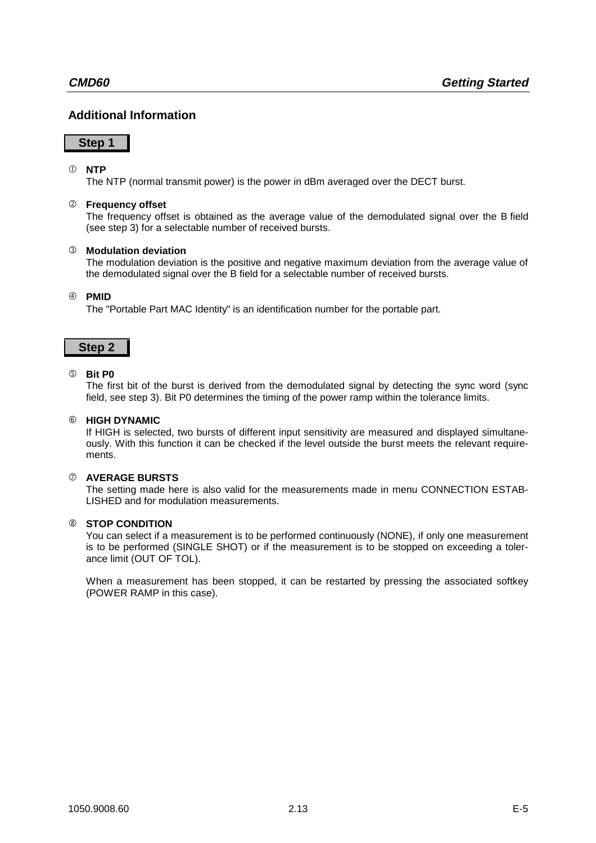## **Additional Information**

### **Step 1**

#### **NTP**

The NTP (normal transmit power) is the power in dBm averaged over the DECT burst.

#### ô **Frequency offset**

The frequency offset is obtained as the average value of the demodulated signal over the B field (see step 3) for a selectable number of received bursts.

#### í **Modulation deviation**

The modulation deviation is the positive and negative maximum deviation from the average value of the demodulated signal over the B field for a selectable number of received bursts.

#### ÷ **PMID**

The "Portable Part MAC Identity" is an identification number for the portable part.

#### **Step 2**

#### û **Bit P0**

The first bit of the burst is derived from the demodulated signal by detecting the sync word (sync field, see step 3). Bit P0 determines the timing of the power ramp within the tolerance limits.

#### ø **HIGH DYNAMIC**

If HIGH is selected, two bursts of different input sensitivity are measured and displayed simultaneously. With this function it can be checked if the level outside the burst meets the relevant requirements.

#### ù **AVERAGE BURSTS**

The setting made here is also valid for the measurements made in menu CONNECTION ESTAB-LISHED and for modulation measurements.

#### î **STOP CONDITION**

You can select if a measurement is to be performed continuously (NONE), if only one measurement is to be performed (SINGLE SHOT) or if the measurement is to be stopped on exceeding a tolerance limit (OUT OF TOL).

When a measurement has been stopped, it can be restarted by pressing the associated softkey (POWER RAMP in this case).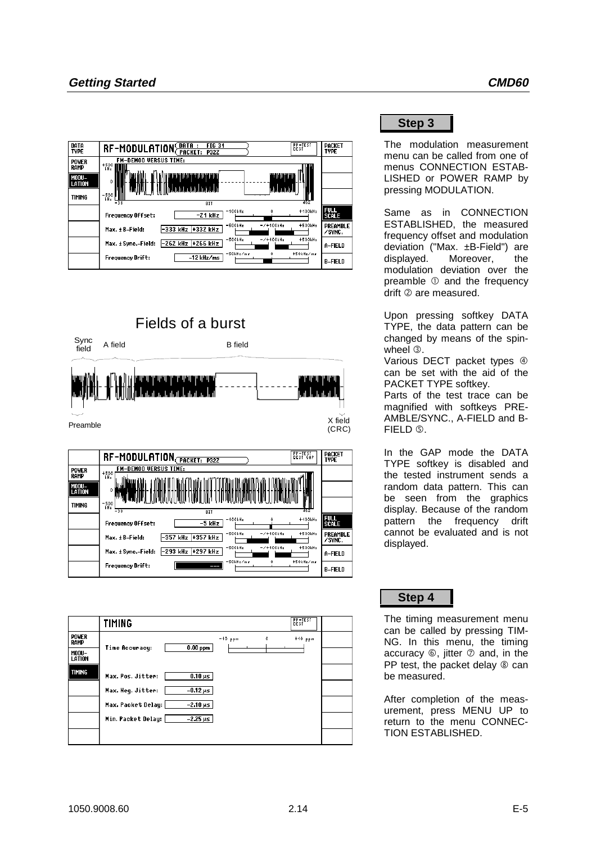| DATA<br><b>TYPE</b>                     | PP-TEST<br>DECT<br><b>FIG31</b><br>RF-MODULATION PACKET:<br><b>P32Z</b>                                                                                         | PACKET<br><b>TYPE</b>       |
|-----------------------------------------|-----------------------------------------------------------------------------------------------------------------------------------------------------------------|-----------------------------|
| <b>POWER</b><br>RAMP<br>MODU-<br>LATION | <b>FM-DEMOD VERSUS TIME:</b><br>+500<br>WHz<br>רויון דיוויון בין הודין<br>טיינדיונים יוניי<br>0<br>فليتأسراننا وتلطيبا وبالمثارعة بالطابعات<br>بالعالجة بأمالعا |                             |
| <b>TIMING</b>                           | nmu.<br>$\frac{-500}{kHz}$<br>462<br>$-38$<br>BIT                                                                                                               |                             |
|                                         | $+400kHz$<br>$-400$ k $Hz$<br>$-21$ kHz<br><b>Frequency Offset:</b>                                                                                             | <b>FULL</b><br><b>SCALE</b> |
|                                         | $+500kHz$<br>$-500kHz$<br>$-7 + 100$ kHz<br>-333 kHz +332 kHz<br>Max. + B-Field:                                                                                | PREAMBLE<br>/SYNC.          |
|                                         | $-7+400kHz$<br>$+500kHz$<br>$-500kHz$<br>-262 kHz  +266 kHz<br>Max. ± Sync.-Field:                                                                              | A-FIELD                     |
|                                         | -50kHz/ms<br>$+50kHz/mr$<br>$-12$ kHz/ms<br><b>Frequency Drift:</b>                                                                                             | <b>B-FIELD</b>              |





|                 | TIMING                                |                | PP-TEST<br>DECT |
|-----------------|---------------------------------------|----------------|-----------------|
| POWER<br>RAMP   |                                       | $-40$ ppm<br>0 | $+40$ ppm       |
| MODU-<br>LATION | $0.00$ ppm<br>Time Accuracy:          |                |                 |
| <b>TIMING</b>   | $0.10 \,\mu s$<br>Max. Pos. Jitter:   |                |                 |
|                 | $-0.12 \,\mu s$<br>Max. Neg. Jitter:  |                |                 |
|                 | $-2.10 \,\mu s$<br>Max. Packet Delay: |                |                 |
|                 | $-2.25 \,\mu s$<br>Min. Packet Delay: |                |                 |
|                 |                                       |                |                 |

**Step 3**

The modulation measurement menu can be called from one of menus CONNECTION ESTAB-LISHED or POWER RAMP by pressing MODULATION.

Same as in CONNECTION ESTABLISHED, the measured frequency offset and modulation deviation ("Max. ±B-Field") are displayed. Moreover, the modulation deviation over the preamble  $\mathbb O$  and the frequency drift  $@$  are measured.

Upon pressing softkey DATA TYPE, the data pattern can be changed by means of the spinwheel  $\circled{3}$ .

Various DECT packet types 4 can be set with the aid of the PACKET TYPE softkey.

Parts of the test trace can be magnified with softkeys PRE-AMBLE/SYNC., A-FIELD and B-FIELD **©**.

In the GAP mode the DATA TYPE softkey is disabled and the tested instrument sends a random data pattern. This can be seen from the graphics display. Because of the random pattern the frequency drift cannot be evaluated and is not displayed.

## **Step 4**

The timing measurement menu can be called by pressing TIM-NG. In this menu, the timing accuracy  $\circledcirc$ , jitter  $\circledcirc$  and, in the PP test, the packet delay  $\circledast$  can be measured.

After completion of the measurement, press MENU UP to return to the menu CONNEC-TION ESTABLISHED.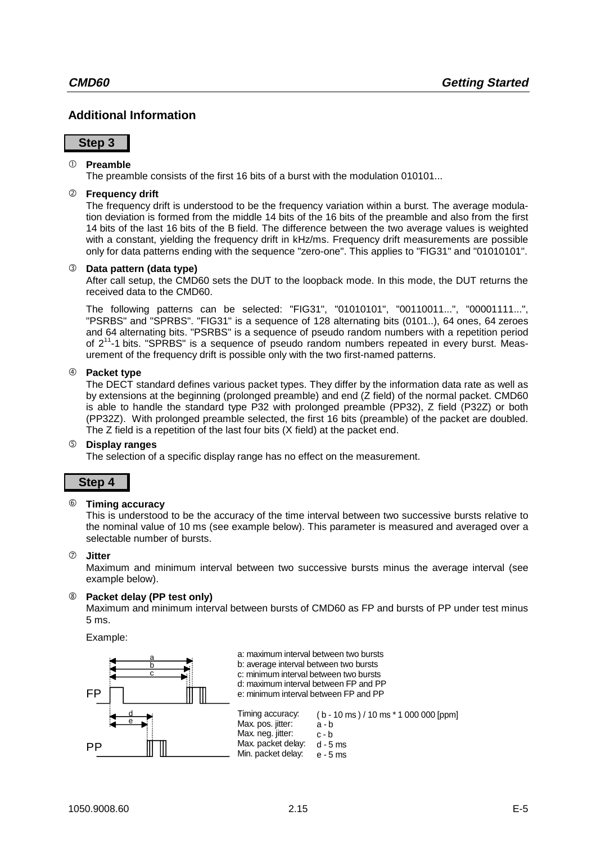## **Additional Information**

#### **Step 3**

#### **Preamble**

The preamble consists of the first 16 bits of a burst with the modulation 010101...

#### ô **Frequency drift**

The frequency drift is understood to be the frequency variation within a burst. The average modulation deviation is formed from the middle 14 bits of the 16 bits of the preamble and also from the first 14 bits of the last 16 bits of the B field. The difference between the two average values is weighted with a constant, yielding the frequency drift in kHz/ms. Frequency drift measurements are possible only for data patterns ending with the sequence "zero-one". This applies to "FIG31" and "01010101".

#### í **Data pattern (data type)**

After call setup, the CMD60 sets the DUT to the loopback mode. In this mode, the DUT returns the received data to the CMD60.

The following patterns can be selected: "FIG31", "01010101", "00110011...", "00001111...", "PSRBS" and "SPRBS". "FIG31" is a sequence of 128 alternating bits (0101..), 64 ones, 64 zeroes and 64 alternating bits. "PSRBS" is a sequence of pseudo random numbers with a repetition period of  $2^{11}$ -1 bits. "SPRBS" is a sequence of pseudo random numbers repeated in every burst. Measurement of the frequency drift is possible only with the two first-named patterns.

#### ÷ **Packet type**

The DECT standard defines various packet types. They differ by the information data rate as well as by extensions at the beginning (prolonged preamble) and end (Z field) of the normal packet. CMD60 is able to handle the standard type P32 with prolonged preamble (PP32), Z field (P32Z) or both (PP32Z). With prolonged preamble selected, the first 16 bits (preamble) of the packet are doubled. The Z field is a repetition of the last four bits (X field) at the packet end.

#### û **Display ranges**

The selection of a specific display range has no effect on the measurement.

### **Step 4**

#### ø **Timing accuracy**

This is understood to be the accuracy of the time interval between two successive bursts relative to the nominal value of 10 ms (see example below). This parameter is measured and averaged over a selectable number of bursts.

#### ù **Jitter**

Maximum and minimum interval between two successive bursts minus the average interval (see example below).

#### î **Packet delay (PP test only)**

Maximum and minimum interval between bursts of CMD60 as FP and bursts of PP under test minus 5 ms.

Example:

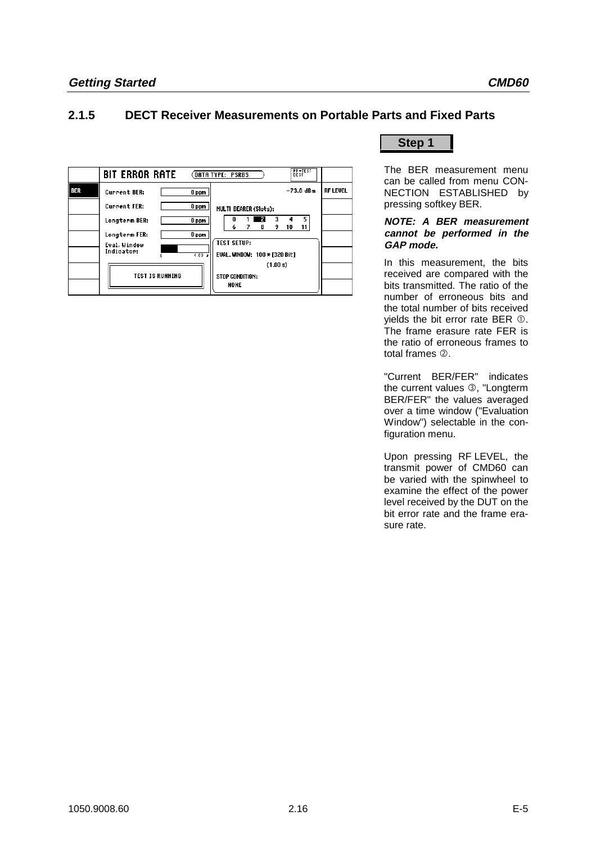## **2.1.5 DECT Receiver Measurements on Portable Parts and Fixed Parts**



## **Step 1**

The BER measurement menu can be called from menu CON-NECTION ESTABLISHED by pressing softkey BER.

#### **NOTE: A BER measurement cannot be performed in the GAP mode.**

In this measurement, the bits received are compared with the bits transmitted. The ratio of the number of erroneous bits and the total number of bits received vields the bit error rate BER  $$\mathbb{D}$ .$ The frame erasure rate FER is the ratio of erroneous frames to total frames 2.

"Current BER/FER" indicates the current values 3, "Longterm BER/FER" the values averaged over a time window ("Evaluation Window") selectable in the configuration menu.

Upon pressing RF LEVEL, the transmit power of CMD60 can be varied with the spinwheel to examine the effect of the power level received by the DUT on the bit error rate and the frame erasure rate.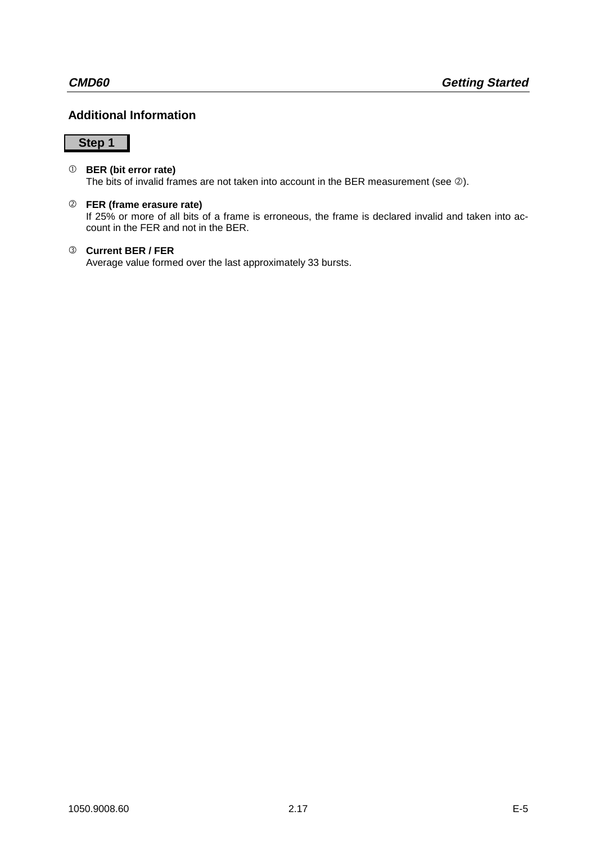## **Additional Information**

## **Step 1**

#### **BER (bit error rate)**

The bits of invalid frames are not taken into account in the BER measurement (see 2).

#### ô **FER (frame erasure rate)**

If 25% or more of all bits of a frame is erroneous, the frame is declared invalid and taken into account in the FER and not in the BER.

#### í **Current BER / FER**

Average value formed over the last approximately 33 bursts.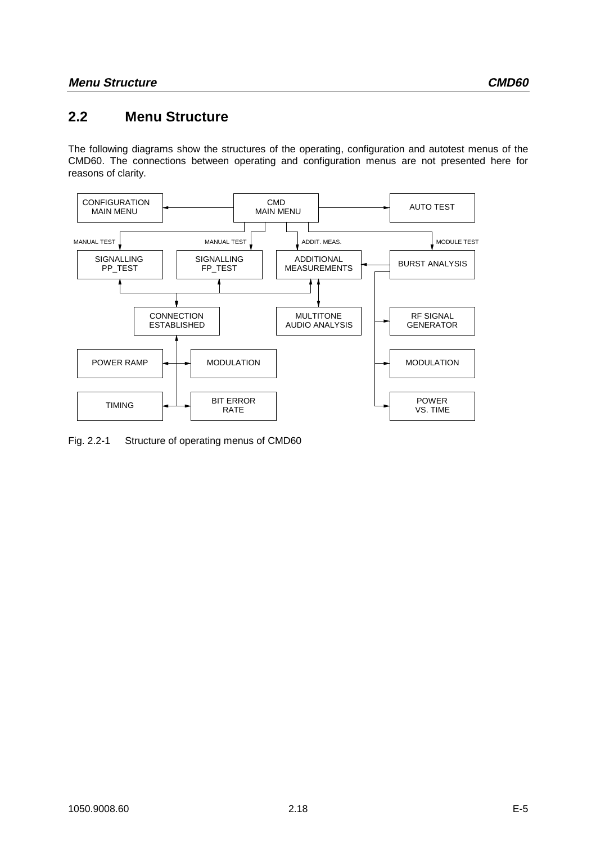## **2.2 Menu Structure**

The following diagrams show the structures of the operating, configuration and autotest menus of the CMD60. The connections between operating and configuration menus are not presented here for reasons of clarity.



Fig. 2.2-1 Structure of operating menus of CMD60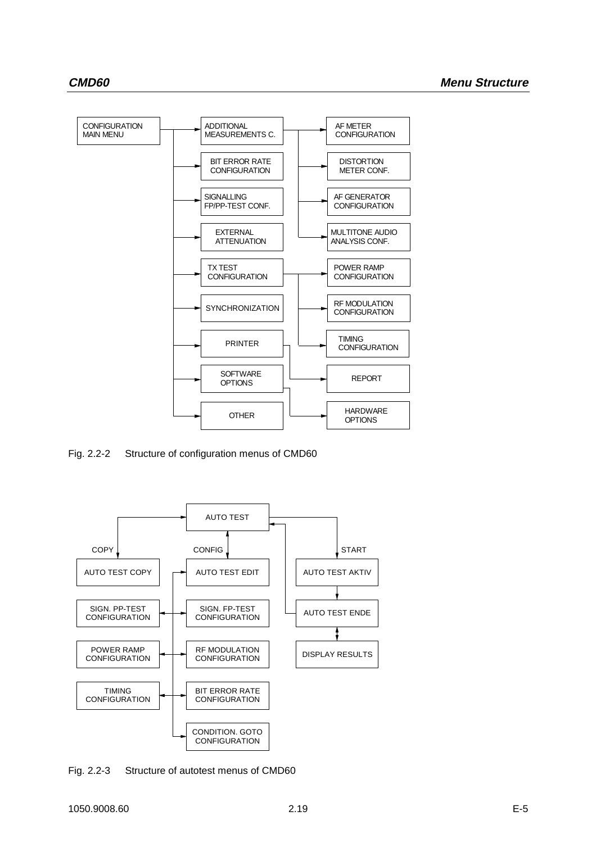

Fig. 2.2-2 Structure of configuration menus of CMD60



Fig. 2.2-3 Structure of autotest menus of CMD60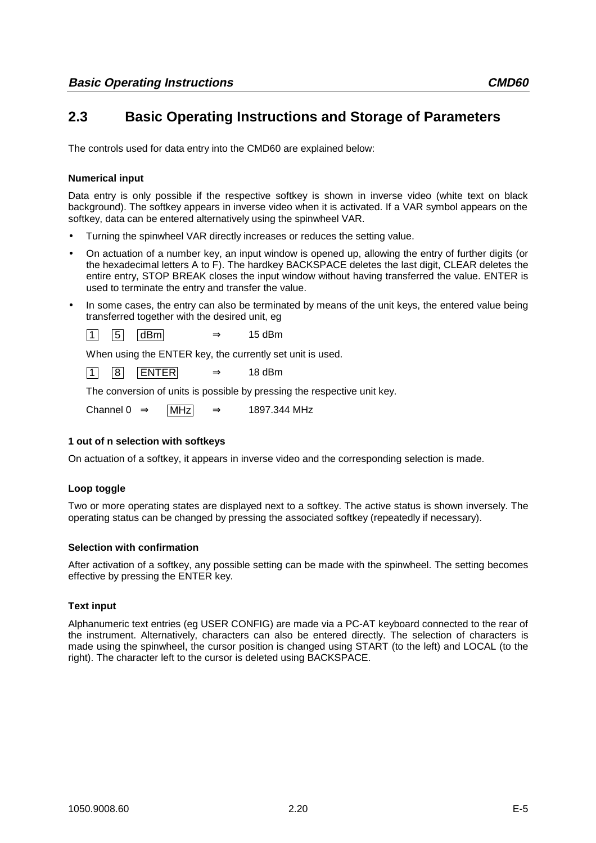## **2.3 Basic Operating Instructions and Storage of Parameters**

The controls used for data entry into the CMD60 are explained below:

#### **Numerical input**

Data entry is only possible if the respective softkey is shown in inverse video (white text on black background). The softkey appears in inverse video when it is activated. If a VAR symbol appears on the softkey, data can be entered alternatively using the spinwheel VAR.

- Turning the spinwheel VAR directly increases or reduces the setting value.
- On actuation of a number key, an input window is opened up, allowing the entry of further digits (or the hexadecimal letters A to F). The hardkey BACKSPACE deletes the last digit, CLEAR deletes the entire entry, STOP BREAK closes the input window without having transferred the value. ENTER is used to terminate the entry and transfer the value.
- In some cases, the entry can also be terminated by means of the unit keys, the entered value being transferred together with the desired unit, eg

 $\begin{array}{|c|c|c|c|c|}\n\hline\n1 & 5 & dBm \\
\hline\n\end{array}$  dBm  $\Rightarrow$  15 dBm

When using the ENTER key, the currently set unit is used.

 $\begin{array}{|c|c|c|c|c|}\n\hline\n1 & 8 & \text{ENTER} & \Rightarrow & 18 \text{ dBm}\n\end{array}$ 

The conversion of units is possible by pressing the respective unit key.

Channel 0  $\Rightarrow$  MHz  $\Rightarrow$  1897.344 MHz

#### **1 out of n selection with softkeys**

On actuation of a softkey, it appears in inverse video and the corresponding selection is made.

#### **Loop toggle**

Two or more operating states are displayed next to a softkey. The active status is shown inversely. The operating status can be changed by pressing the associated softkey (repeatedly if necessary).

#### **Selection with confirmation**

After activation of a softkey, any possible setting can be made with the spinwheel. The setting becomes effective by pressing the ENTER key.

#### **Text input**

Alphanumeric text entries (eg USER CONFIG) are made via a PC-AT keyboard connected to the rear of the instrument. Alternatively, characters can also be entered directly. The selection of characters is made using the spinwheel, the cursor position is changed using START (to the left) and LOCAL (to the right). The character left to the cursor is deleted using BACKSPACE.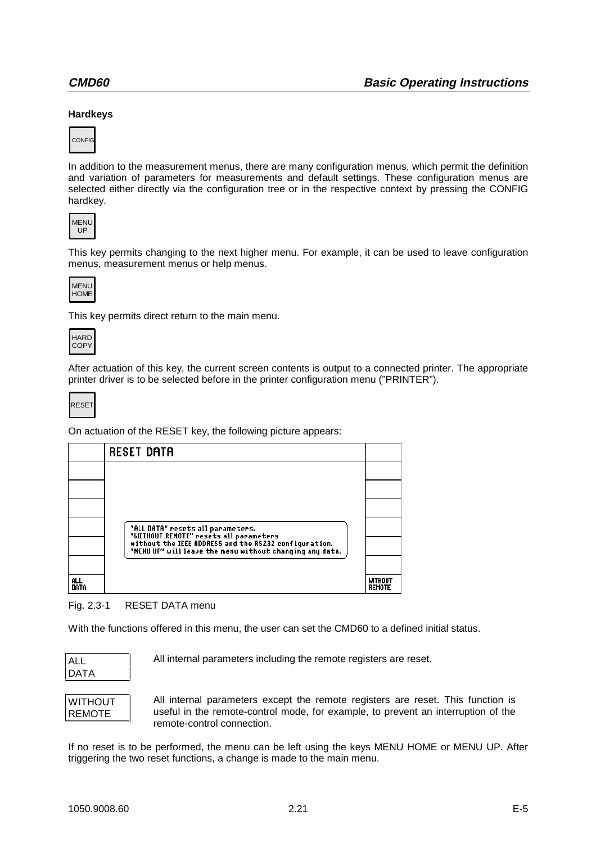#### **Hardkeys**



In addition to the measurement menus, there are many configuration menus, which permit the definition and variation of parameters for measurements and default settings. These configuration menus are selected either directly via the configuration tree or in the respective context by pressing the CONFIG hardkey.



This key permits changing to the next higher menu. For example, it can be used to leave configuration menus, measurement menus or help menus.



This key permits direct return to the main menu.



After actuation of this key, the current screen contents is output to a connected printer. The appropriate printer driver is to be selected before in the printer configuration menu ("PRINTER").

**RESET** 

On actuation of the RESET key, the following picture appears:

|             | <b>RESET DATA</b>                                                                                                 |                                 |
|-------------|-------------------------------------------------------------------------------------------------------------------|---------------------------------|
|             |                                                                                                                   |                                 |
|             |                                                                                                                   |                                 |
|             |                                                                                                                   |                                 |
|             | "ALL DATA" resets all parameters.<br>"WITHOUT REMOTE" resets all parameters                                       |                                 |
|             | without the IEEE ADDRESS and the RS232 configuration.<br>"MENU UP" will leave the menu without changing any data. |                                 |
|             |                                                                                                                   |                                 |
| ALL<br>DATA |                                                                                                                   | <b>WITHOUT</b><br><b>REMOTE</b> |

#### Fig. 2.3-1 RESET DATA menu

With the functions offered in this menu, the user can set the CMD60 to a defined initial status.



All internal parameters including the remote registers are reset.

| WITHOUT |  |
|---------|--|
| REMOTE  |  |

All internal parameters except the remote registers are reset. This function is useful in the remote-control mode, for example, to prevent an interruption of the remote-control connection.

If no reset is to be performed, the menu can be left using the keys MENU HOME or MENU UP. After triggering the two reset functions, a change is made to the main menu.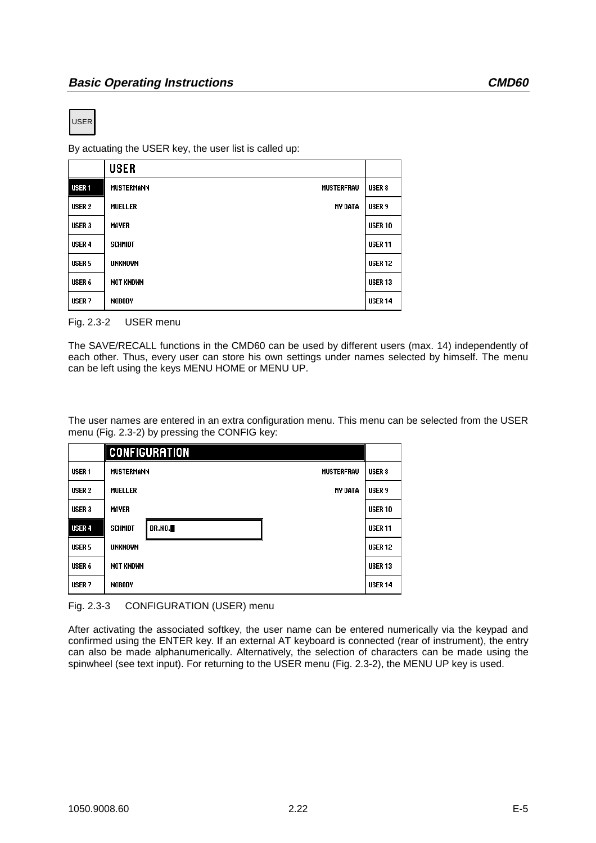USER

By actuating the USER key, the user list is called up:

|                   | <b>USER</b>                            |                   |
|-------------------|----------------------------------------|-------------------|
| <b>USER1</b>      | <b>MUSTERFRAU</b><br><b>MUSTERMANN</b> | USER <sub>8</sub> |
| USER <sub>2</sub> | <b>MUELLER</b><br><b>MY DATA</b>       | USER 9            |
| USER <sub>3</sub> | <b>MAYER</b>                           | <b>USER 10</b>    |
| USER <sub>4</sub> | <b>SCHMIDT</b>                         | <b>USER 11</b>    |
| USER <sub>5</sub> | <b>UNKNOWN</b>                         | <b>USER 12</b>    |
| USER 6            | <b>NOT KNOWN</b>                       | <b>USER 13</b>    |
| USER <sub>7</sub> | <b>NOBODY</b>                          | <b>USER 14</b>    |

Fig. 2.3-2 USER menu

The SAVE/RECALL functions in the CMD60 can be used by different users (max. 14) independently of each other. Thus, every user can store his own settings under names selected by himself. The menu can be left using the keys MENU HOME or MENU UP.

The user names are entered in an extra configuration menu. This menu can be selected from the USER menu (Fig. 2.3-2) by pressing the CONFIG key:

|                   |                   | <b>CONFIGURATION</b> |                   |                   |
|-------------------|-------------------|----------------------|-------------------|-------------------|
| USER <sub>1</sub> | <b>MUSTERMANN</b> |                      | <b>MUSTERFRAU</b> | USER <sub>8</sub> |
| USER <sub>2</sub> | <b>MUELLER</b>    |                      | <b>MY DATA</b>    | USER <sub>9</sub> |
| USER <sub>3</sub> | <b>MAYER</b>      |                      |                   | <b>USER 10</b>    |
| <b>USER 4</b>     | <b>SCHMIDT</b>    | <b>DR.NO.</b>        |                   | <b>USER 11</b>    |
| USER <sub>5</sub> | <b>UNKNOWN</b>    |                      |                   | <b>USER 12</b>    |
| USER 6            | <b>NOT KNOWN</b>  |                      |                   | <b>USER 13</b>    |
| USER <sub>7</sub> | <b>NOBODY</b>     |                      |                   | <b>USER 14</b>    |

Fig. 2.3-3 CONFIGURATION (USER) menu

After activating the associated softkey, the user name can be entered numerically via the keypad and confirmed using the ENTER key. If an external AT keyboard is connected (rear of instrument), the entry can also be made alphanumerically. Alternatively, the selection of characters can be made using the spinwheel (see text input). For returning to the USER menu (Fig. 2.3-2), the MENU UP key is used.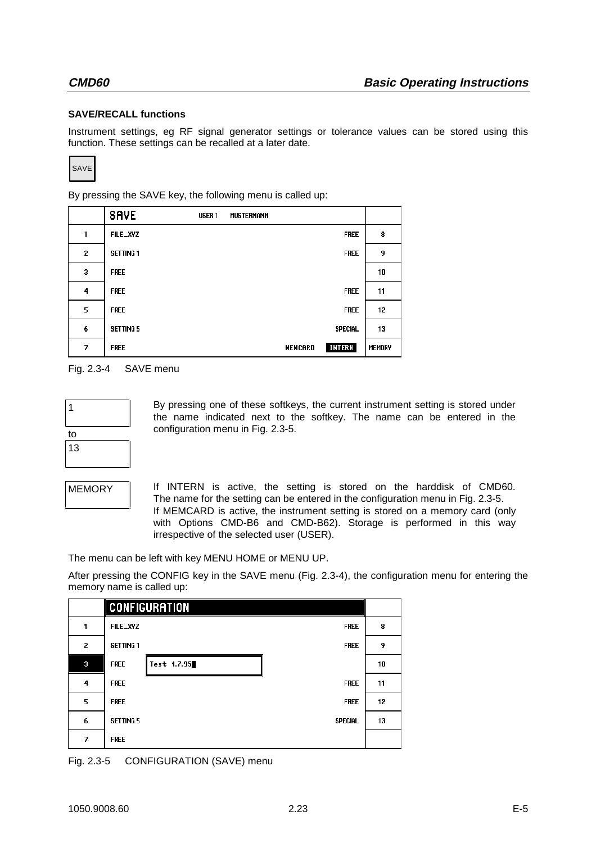#### **SAVE/RECALL functions**

Instrument settings, eg RF signal generator settings or tolerance values can be stored using this function. These settings can be recalled at a later date.

SAVE

By pressing the SAVE key, the following menu is called up:

|   | <b>SAVE</b>      | USER 1 | <b>MUSTERMANN</b> |                |               |
|---|------------------|--------|-------------------|----------------|---------------|
| 1 | FILE_XYZ         |        |                   | <b>FREE</b>    | 8             |
| 2 | <b>SETTING 1</b> |        |                   | <b>FREE</b>    | 9             |
| 3 | <b>FREE</b>      |        |                   |                | 10            |
| 4 | <b>FREE</b>      |        |                   | <b>FREE</b>    | 11            |
| 5 | <b>FREE</b>      |        |                   | <b>FREE</b>    | 12            |
| 6 | <b>SETTING 5</b> |        |                   | <b>SPECIAL</b> | 13            |
| 7 | <b>FREE</b>      |        | <b>MEMCARD</b>    | <b>INTERN</b>  | <b>MEMORY</b> |

Fig. 2.3-4 SAVE menu

| to |  |
|----|--|
| 13 |  |
|    |  |

By pressing one of these softkeys, the current instrument setting is stored under the name indicated next to the softkey. The name can be entered in the configuration menu in Fig. 2.3-5.

MEMORY If INTERN is active, the setting is stored on the harddisk of CMD60. The name for the setting can be entered in the configuration menu in Fig. 2.3-5. If MEMCARD is active, the instrument setting is stored on a memory card (only with Options CMD-B6 and CMD-B62). Storage is performed in this way irrespective of the selected user (USER).

The menu can be left with key MENU HOME or MENU UP.

After pressing the CONFIG key in the SAVE menu (Fig. 2.3-4), the configuration menu for entering the memory name is called up:

|   | <b>CONFIGURATION</b>               |    |
|---|------------------------------------|----|
| 1 | <b>FILE_XYZ</b><br><b>FREE</b>     | 8  |
| 2 | <b>SETTING 1</b><br><b>FREE</b>    | 9  |
| 3 | Test 1.7.95<br><b>FREE</b>         | 10 |
| 4 | <b>FREE</b><br><b>FREE</b>         | 11 |
| 5 | <b>FREE</b><br><b>FREE</b>         | 12 |
| 6 | <b>SETTING 5</b><br><b>SPECIAL</b> | 13 |
| 7 | <b>FREE</b>                        |    |

Fig. 2.3-5 CONFIGURATION (SAVE) menu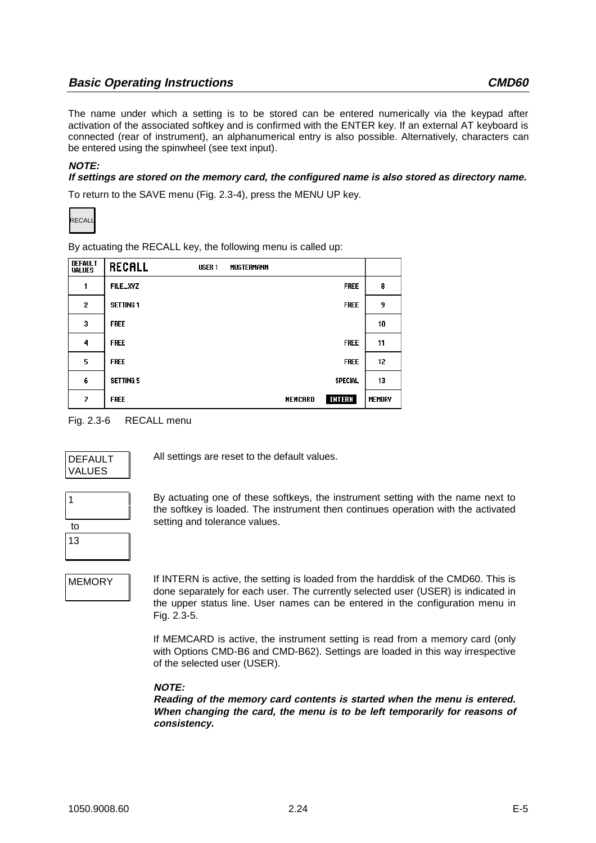The name under which a setting is to be stored can be entered numerically via the keypad after activation of the associated softkey and is confirmed with the ENTER key. If an external AT keyboard is connected (rear of instrument), an alphanumerical entry is also possible. Alternatively, characters can be entered using the spinwheel (see text input).

#### **NOTE:**

#### **If settings are stored on the memory card, the configured name is also stored as directory name.**

To return to the SAVE menu (Fig. 2.3-4), press the MENU UP key.



By actuating the RECALL key, the following menu is called up:

| <b>DEFAULT</b><br><b>VALUES</b> | <b>RECALL</b>    | USER <sub>1</sub> | <b>MUSTERMANN</b> |                |        |
|---------------------------------|------------------|-------------------|-------------------|----------------|--------|
| 1                               | FILE_XYZ         |                   |                   | <b>FREE</b>    | 8      |
| 2                               | <b>SETTING 1</b> |                   |                   | <b>FREE</b>    | 9      |
| 3                               | <b>FREE</b>      |                   |                   |                | 10     |
| 4                               | <b>FREE</b>      |                   |                   | <b>FREE</b>    | 11     |
| 5                               | <b>FREE</b>      |                   |                   | <b>FREE</b>    | 12     |
| 6                               | <b>SETTING 5</b> |                   |                   | <b>SPECIAL</b> | 13     |
| 7                               | <b>FREE</b>      |                   | <b>MEMCARD</b>    | INTERN         | MEMORY |





All settings are reset to the default values.

| to |  |
|----|--|
| 13 |  |

By actuating one of these softkeys, the instrument setting with the name next to the softkey is loaded. The instrument then continues operation with the activated setting and tolerance values.

MEMORY **I** If INTERN is active, the setting is loaded from the harddisk of the CMD60. This is done separately for each user. The currently selected user (USER) is indicated in the upper status line. User names can be entered in the configuration menu in Fig. 2.3-5.

> If MEMCARD is active, the instrument setting is read from a memory card (only with Options CMD-B6 and CMD-B62). Settings are loaded in this way irrespective of the selected user (USER).

#### **NOTE:**

**Reading of the memory card contents is started when the menu is entered. When changing the card, the menu is to be left temporarily for reasons of consistency.**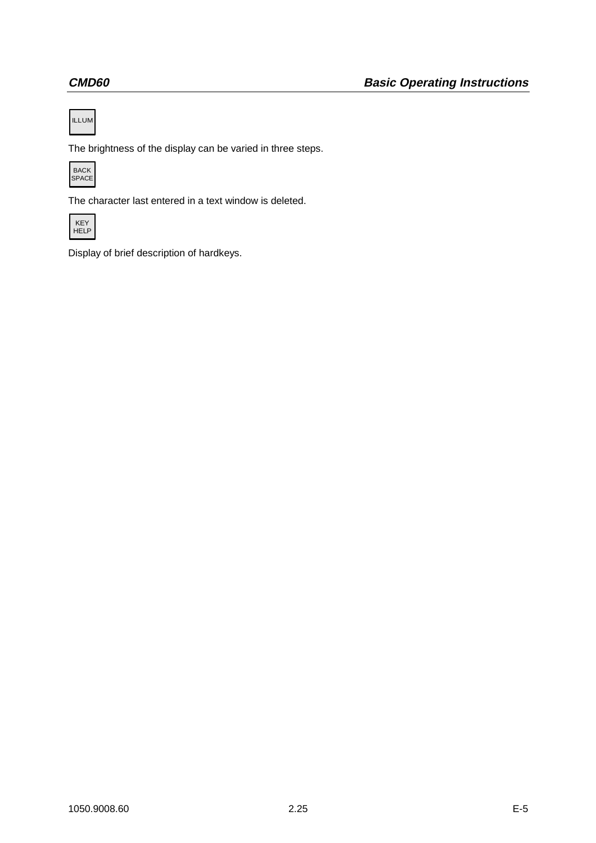

The brightness of the display can be varied in three steps.



The character last entered in a text window is deleted.



Display of brief description of hardkeys.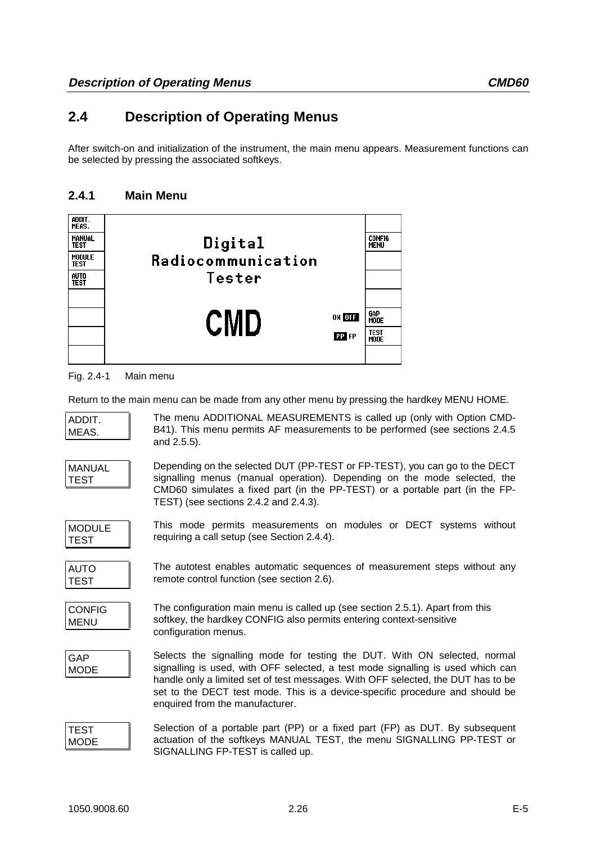## **2.4 Description of Operating Menus**

After switch-on and initialization of the instrument, the main menu appears. Measurement functions can be selected by pressing the associated softkeys.

## **2.4.1 Main Menu**



Fig. 2.4-1 Main menu

Return to the main menu can be made from any other menu by pressing the hardkey MENU HOME.

| ADDIT.<br>MEAS.              | The menu ADDITIONAL MEASUREMENTS is called up (only with Option CMD-<br>B41). This menu permits AF measurements to be performed (see sections 2.4.5)<br>and 2.5.5).                                                                                                                                                                                                 |
|------------------------------|---------------------------------------------------------------------------------------------------------------------------------------------------------------------------------------------------------------------------------------------------------------------------------------------------------------------------------------------------------------------|
| <b>MANUAL</b><br><b>TEST</b> | Depending on the selected DUT (PP-TEST or FP-TEST), you can go to the DECT<br>signalling menus (manual operation). Depending on the mode selected, the<br>CMD60 simulates a fixed part (in the PP-TEST) or a portable part (in the FP-<br>TEST) (see sections 2.4.2 and 2.4.3).                                                                                     |
| <b>MODULE</b><br><b>TEST</b> | This mode permits measurements on modules or DECT systems without<br>requiring a call setup (see Section 2.4.4).                                                                                                                                                                                                                                                    |
| <b>AUTO</b><br><b>TEST</b>   | The autotest enables automatic sequences of measurement steps without any<br>remote control function (see section 2.6).                                                                                                                                                                                                                                             |
| <b>CONFIG</b><br><b>MENU</b> | The configuration main menu is called up (see section 2.5.1). Apart from this<br>softkey, the hardkey CONFIG also permits entering context-sensitive<br>configuration menus.                                                                                                                                                                                        |
| <b>GAP</b><br><b>MODE</b>    | Selects the signalling mode for testing the DUT. With ON selected, normal<br>signalling is used, with OFF selected, a test mode signalling is used which can<br>handle only a limited set of test messages. With OFF selected, the DUT has to be<br>set to the DECT test mode. This is a device-specific procedure and should be<br>enquired from the manufacturer. |
| <b>TEST</b><br><b>MODE</b>   | Selection of a portable part (PP) or a fixed part (FP) as DUT. By subsequent<br>actuation of the softkeys MANUAL TEST, the menu SIGNALLING PP-TEST or<br>SIGNALLING FP-TEST is called up.                                                                                                                                                                           |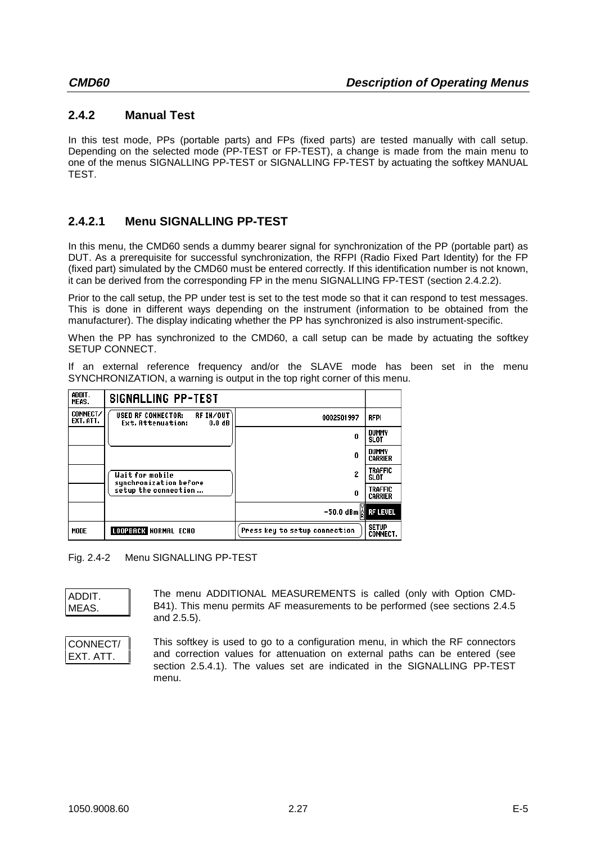## **2.4.2 Manual Test**

In this test mode, PPs (portable parts) and FPs (fixed parts) are tested manually with call setup. Depending on the selected mode (PP-TEST or FP-TEST), a change is made from the main menu to one of the menus SIGNALLING PP-TEST or SIGNALLING FP-TEST by actuating the softkey MANUAL TEST.

## **2.4.2.1 Menu SIGNALLING PP-TEST**

In this menu, the CMD60 sends a dummy bearer signal for synchronization of the PP (portable part) as DUT. As a prerequisite for successful synchronization, the RFPI (Radio Fixed Part Identity) for the FP (fixed part) simulated by the CMD60 must be entered correctly. If this identification number is not known, it can be derived from the corresponding FP in the menu SIGNALLING FP-TEST (section 2.4.2.2).

Prior to the call setup, the PP under test is set to the test mode so that it can respond to test messages. This is done in different ways depending on the instrument (information to be obtained from the manufacturer). The display indicating whether the PP has synchronized is also instrument-specific.

When the PP has synchronized to the CMD60, a call setup can be made by actuating the softkey SETUP CONNECT.

If an external reference frequency and/or the SLAVE mode has been set in the menu SYNCHRONIZATION, a warning is output in the top right corner of this menu.

| ADDIT.<br>MEAS.       | <b>SIGNALLING PP-TEST</b>                                                        |                                 |                                  |
|-----------------------|----------------------------------------------------------------------------------|---------------------------------|----------------------------------|
| CONNECT/<br>EXT. ATT. | RF IN/OUT<br><b>USED RF CONNECTOR:</b><br>Ext. Attenuation:<br>0.0 <sub>dB</sub> | 0002501997                      | <b>RFPI</b>                      |
|                       |                                                                                  | 0                               | <b>DUMMY</b><br>SLOT             |
|                       |                                                                                  | 0                               | <b>DUMMY</b><br><b>CARRIER</b>   |
|                       | Wait for mobile<br>synchronization before                                        | 2                               | <b>TRAFFIC</b><br>SLOT           |
|                       | setup the connection                                                             | 0                               | <b>TRAFFIC</b><br><b>CARRIER</b> |
|                       |                                                                                  | $-50.0$ dBm $_{\odot}$ RF LEVEL |                                  |
| MODE                  | <b>LOOPBACK NORMAL ECHO</b>                                                      | Press key to setup connection   | <b>SETUP</b><br><b>CONNECT.</b>  |

Fig. 2.4-2 Menu SIGNALLING PP-TEST

| ADDIT. |  |
|--------|--|
| MEAS.  |  |

The menu ADDITIONAL MEASUREMENTS is called (only with Option CMD-B41). This menu permits AF measurements to be performed (see sections 2.4.5 and 2.5.5).

| CONNECT/  |  |
|-----------|--|
| EXT. ATT. |  |

This softkey is used to go to a configuration menu, in which the RF connectors and correction values for attenuation on external paths can be entered (see section 2.5.4.1). The values set are indicated in the SIGNALLING PP-TEST menu.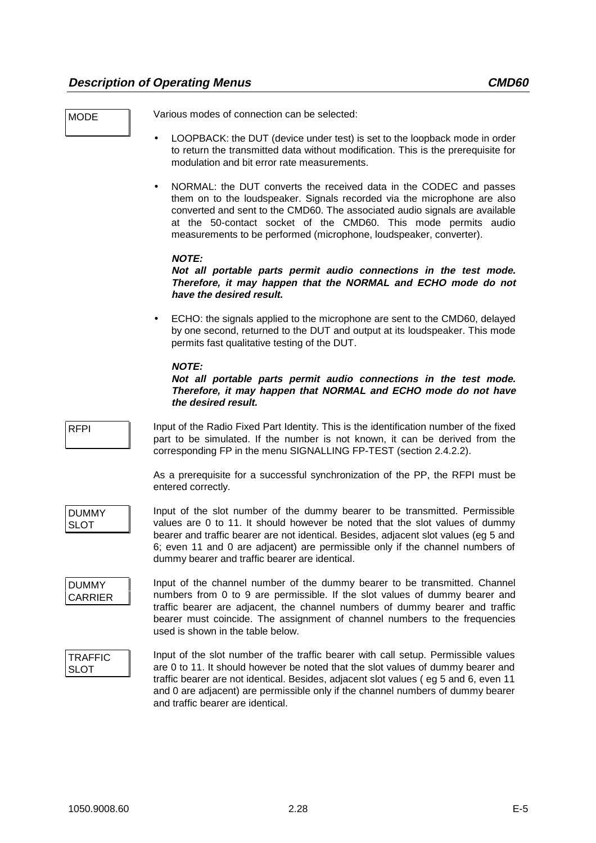MODE Various modes of connection can be selected:

- LOOPBACK: the DUT (device under test) is set to the loopback mode in order to return the transmitted data without modification. This is the prerequisite for modulation and bit error rate measurements.
- NORMAL: the DUT converts the received data in the CODEC and passes them on to the loudspeaker. Signals recorded via the microphone are also converted and sent to the CMD60. The associated audio signals are available at the 50-contact socket of the CMD60. This mode permits audio measurements to be performed (microphone, loudspeaker, converter).

#### **NOTE:**

#### **Not all portable parts permit audio connections in the test mode. Therefore, it may happen that the NORMAL and ECHO mode do not have the desired result.**

• ECHO: the signals applied to the microphone are sent to the CMD60, delayed by one second, returned to the DUT and output at its loudspeaker. This mode permits fast qualitative testing of the DUT.

#### **NOTE:**

#### **Not all portable parts permit audio connections in the test mode. Therefore, it may happen that NORMAL and ECHO mode do not have the desired result.**

RFPI Input of the Radio Fixed Part Identity. This is the identification number of the fixed part to be simulated. If the number is not known, it can be derived from the corresponding FP in the menu SIGNALLING FP-TEST (section 2.4.2.2).

> As a prerequisite for a successful synchronization of the PP, the RFPI must be entered correctly.

DUMMY SLOT

Input of the slot number of the dummy bearer to be transmitted. Permissible values are 0 to 11. It should however be noted that the slot values of dummy bearer and traffic bearer are not identical. Besides, adjacent slot values (eg 5 and 6; even 11 and 0 are adjacent) are permissible only if the channel numbers of dummy bearer and traffic bearer are identical.

DUMMY CARRIER

Input of the channel number of the dummy bearer to be transmitted. Channel numbers from 0 to 9 are permissible. If the slot values of dummy bearer and traffic bearer are adjacent, the channel numbers of dummy bearer and traffic bearer must coincide. The assignment of channel numbers to the frequencies used is shown in the table below.

TRAFFIC SLOT

Input of the slot number of the traffic bearer with call setup. Permissible values are 0 to 11. It should however be noted that the slot values of dummy bearer and traffic bearer are not identical. Besides, adjacent slot values ( eg 5 and 6, even 11 and 0 are adjacent) are permissible only if the channel numbers of dummy bearer and traffic bearer are identical.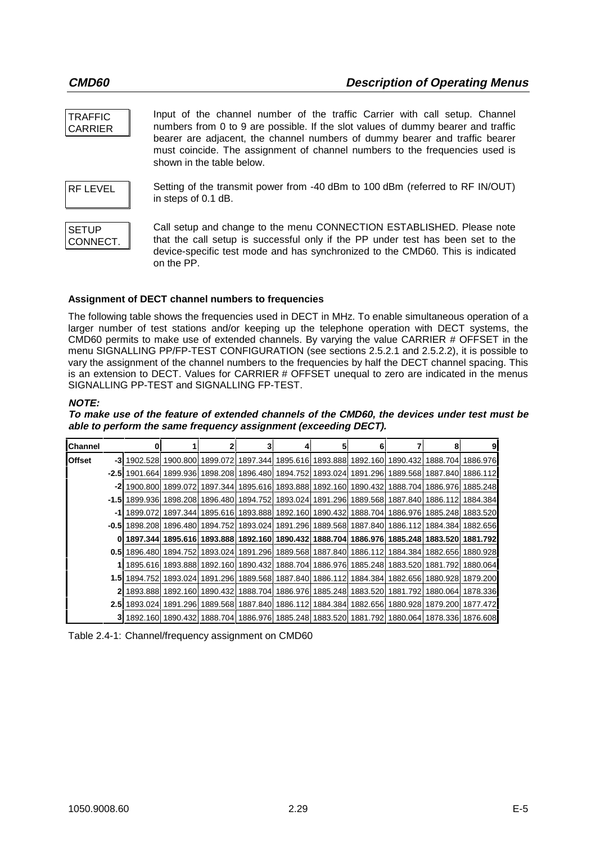| <b>TRAFFIC</b><br><b>CARRIER</b> | Input of the channel number of the traffic Carrier with call setup. Channel<br>numbers from 0 to 9 are possible. If the slot values of dummy bearer and traffic<br>bearer are adjacent, the channel numbers of dummy bearer and traffic bearer<br>must coincide. The assignment of channel numbers to the frequencies used is<br>shown in the table below. |
|----------------------------------|------------------------------------------------------------------------------------------------------------------------------------------------------------------------------------------------------------------------------------------------------------------------------------------------------------------------------------------------------------|
| <b>RF LEVEL</b>                  | Setting of the transmit power from -40 dBm to 100 dBm (referred to RF IN/OUT)<br>in steps of 0.1 dB.                                                                                                                                                                                                                                                       |
| <b>SETUP</b><br>CONNECT.         | Call setup and change to the menu CONNECTION ESTABLISHED. Please note<br>that the call setup is successful only if the PP under test has been set to the<br>device-specific test mode and has synchronized to the CMD60. This is indicated<br>on the PP.                                                                                                   |

#### **Assignment of DECT channel numbers to frequencies**

The following table shows the frequencies used in DECT in MHz. To enable simultaneous operation of a larger number of test stations and/or keeping up the telephone operation with DECT systems, the CMD60 permits to make use of extended channels. By varying the value CARRIER # OFFSET in the menu SIGNALLING PP/FP-TEST CONFIGURATION (see sections 2.5.2.1 and 2.5.2.2), it is possible to vary the assignment of the channel numbers to the frequencies by half the DECT channel spacing. This is an extension to DECT. Values for CARRIER # OFFSET unequal to zero are indicated in the menus SIGNALLING PP-TEST and SIGNALLING FP-TEST.

#### **NOTE:**

#### **To make use of the feature of extended channels of the CMD60, the devices under test must be able to perform the same frequency assignment (exceeding DECT).**

| Channel       |       | 01                                                                                                               |                                     |                            |                                                                                                    | 6 | 8                                   | 9 |
|---------------|-------|------------------------------------------------------------------------------------------------------------------|-------------------------------------|----------------------------|----------------------------------------------------------------------------------------------------|---|-------------------------------------|---|
| <b>Offset</b> |       | -3  1902.528  1900.800  1899.072  1897.344  1895.616  1893.888  1892.160  1890.432  1888.704  1886.976           |                                     |                            |                                                                                                    |   |                                     |   |
|               | -2.51 | 1901.664                                                                                                         |                                     | 1899.936 1898.208 1896.480 | 1894.752  1893.024  1891.296  1889.568  1887.840  1886.112                                         |   |                                     |   |
|               | -21   |                                                                                                                  | 1900.800 1899.072                   | 1897.344 1895.616          | 1893.888  1892.160  1890.432  1888.704  1886.976  1885.248                                         |   |                                     |   |
|               | -1.51 |                                                                                                                  |                                     |                            | 1899.936  1898.208  1896.480  1894.752  1893.024  1891.296  1889.568  1887.840  1886.112  1884.384 |   |                                     |   |
|               | -11   | 1899.072                                                                                                         |                                     |                            | 1897.344 1895.616 1893.888 1892.160 1890.432 1888.704 1886.976 1885.248 1883.520                   |   |                                     |   |
|               |       | <b>-0.5l</b> 1898.208l 1896.480l 1894.752l 1893.024l 1891.296l 1889.568l 1887.840l 1886.112l 1884.384l 1882.656l |                                     |                            |                                                                                                    |   |                                     |   |
|               |       |                                                                                                                  |                                     |                            | 1897.344  1895.616  1893.888  1892.160  1890.432  1888.704  1886.976  1885.248  1883.520  1881.792 |   |                                     |   |
|               |       | 0.5  1896.480  1894.752  1893.024  1891.296  1889.568  1887.840  1886.112  1884.384  1882.656  1880.928          |                                     |                            |                                                                                                    |   |                                     |   |
|               |       |                                                                                                                  | 1895.616 1893.888 1892.160 1890.432 |                            | 1888.704   1886.976   1885.248   1883.520   1881.792   1880.064                                    |   |                                     |   |
|               |       | <b>1.5l</b> 1894.752l 1893.024l 1891.296l 1889.568l 1887.840l 1886.112l 1884.384l 1882.656l 1880.928l 1879.200l  |                                     |                            |                                                                                                    |   |                                     |   |
|               |       |                                                                                                                  | 1893.888 1892.160 1890.432 1888.704 |                            | 1886.976 1885.248                                                                                  |   | 1883.520 1881.792 1880.064 1878.336 |   |
|               |       | 2.5  1893.024  1891.296  1889.568  1887.840  1886.112  1884.384  1882.656  1880.928  1879.200  1877.472          |                                     |                            |                                                                                                    |   |                                     |   |
|               |       | 3 1892.160 1890.432 1888.704 1886.976 1885.248 1883.520 1881.792 1880.064 1878.336 1876.608                      |                                     |                            |                                                                                                    |   |                                     |   |

Table 2.4-1: Channel/frequency assignment on CMD60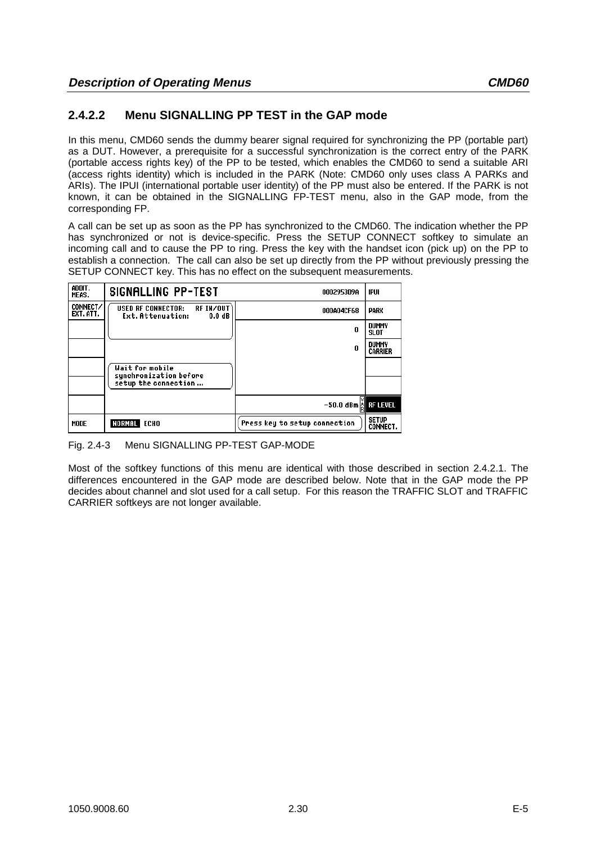## **2.4.2.2 Menu SIGNALLING PP TEST in the GAP mode**

In this menu, CMD60 sends the dummy bearer signal required for synchronizing the PP (portable part) as a DUT. However, a prerequisite for a successful synchronization is the correct entry of the PARK (portable access rights key) of the PP to be tested, which enables the CMD60 to send a suitable ARI (access rights identity) which is included in the PARK (Note: CMD60 only uses class A PARKs and ARIs). The IPUI (international portable user identity) of the PP must also be entered. If the PARK is not known, it can be obtained in the SIGNALLING FP-TEST menu, also in the GAP mode, from the corresponding FP.

A call can be set up as soon as the PP has synchronized to the CMD60. The indication whether the PP has synchronized or not is device-specific. Press the SETUP CONNECT softkey to simulate an incoming call and to cause the PP to ring. Press the key with the handset icon (pick up) on the PP to establish a connection. The call can also be set up directly from the PP without previously pressing the SETUP CONNECT key. This has no effect on the subsequent measurements.

| ADDIT.<br>MEAS.       | <b>SIGNALLING PP-TEST</b>                                                         | 0002953D9A                          | IPUI                            |
|-----------------------|-----------------------------------------------------------------------------------|-------------------------------------|---------------------------------|
| CONNECT/<br>EXT. ATT. | RF IN/OUT<br><b>USED RF CONNECTOR:</b><br>Ext. Attenuation:<br>0.0 <sub>d</sub> B | 000A04CF68                          | PARK                            |
|                       |                                                                                   | 0                                   | <b>DUMMY</b><br>SLOT            |
|                       |                                                                                   | n                                   | DUMMY<br><b>CARRIER</b>         |
|                       | Wait for mobile<br>synchronization before                                         |                                     |                                 |
|                       | setup the connection                                                              |                                     |                                 |
|                       |                                                                                   | $-50.0$ dBm $\frac{3}{10}$ RF LEVEL |                                 |
| MODE                  | NORMAL ECHO                                                                       | Press key to setup connection       | <b>SETUP</b><br><b>CONNECT.</b> |

Fig. 2.4-3 Menu SIGNALLING PP-TEST GAP-MODE

Most of the softkey functions of this menu are identical with those described in section 2.4.2.1. The differences encountered in the GAP mode are described below. Note that in the GAP mode the PP decides about channel and slot used for a call setup. For this reason the TRAFFIC SLOT and TRAFFIC CARRIER softkeys are not longer available.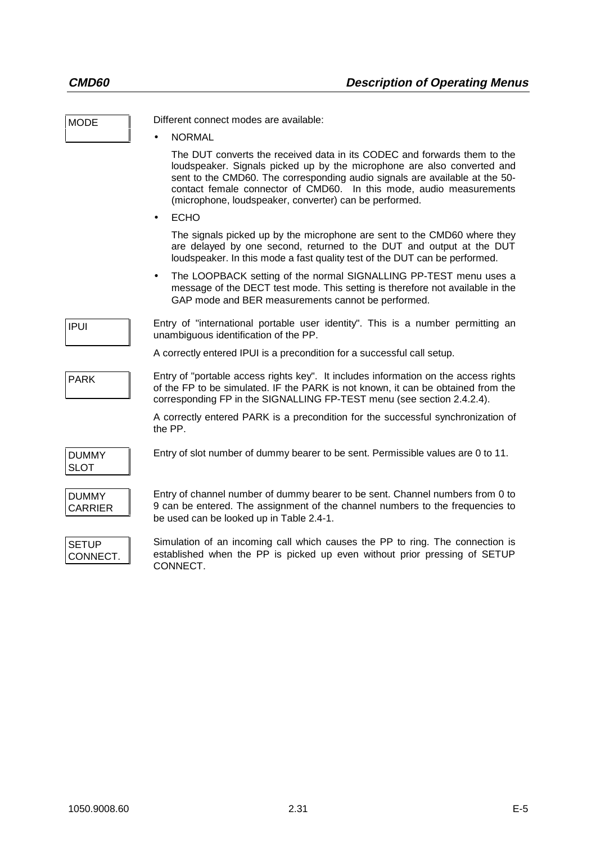| <b>MODE</b>                    | Different connect modes are available:                                                                                                                                                                                                                                                                                                                              |
|--------------------------------|---------------------------------------------------------------------------------------------------------------------------------------------------------------------------------------------------------------------------------------------------------------------------------------------------------------------------------------------------------------------|
|                                | <b>NORMAL</b>                                                                                                                                                                                                                                                                                                                                                       |
|                                | The DUT converts the received data in its CODEC and forwards them to the<br>loudspeaker. Signals picked up by the microphone are also converted and<br>sent to the CMD60. The corresponding audio signals are available at the 50-<br>contact female connector of CMD60. In this mode, audio measurements<br>(microphone, loudspeaker, converter) can be performed. |
|                                | <b>ECHO</b><br>$\bullet$                                                                                                                                                                                                                                                                                                                                            |
|                                | The signals picked up by the microphone are sent to the CMD60 where they<br>are delayed by one second, returned to the DUT and output at the DUT<br>loudspeaker. In this mode a fast quality test of the DUT can be performed.                                                                                                                                      |
|                                | The LOOPBACK setting of the normal SIGNALLING PP-TEST menu uses a<br>$\bullet$<br>message of the DECT test mode. This setting is therefore not available in the<br>GAP mode and BER measurements cannot be performed.                                                                                                                                               |
| <b>IPUI</b>                    | Entry of "international portable user identity". This is a number permitting an<br>unambiguous identification of the PP.                                                                                                                                                                                                                                            |
|                                | A correctly entered IPUI is a precondition for a successful call setup.                                                                                                                                                                                                                                                                                             |
| <b>PARK</b>                    | Entry of "portable access rights key". It includes information on the access rights<br>of the FP to be simulated. IF the PARK is not known, it can be obtained from the<br>corresponding FP in the SIGNALLING FP-TEST menu (see section 2.4.2.4).                                                                                                                   |
|                                | A correctly entered PARK is a precondition for the successful synchronization of<br>the PP.                                                                                                                                                                                                                                                                         |
| <b>DUMMY</b><br><b>SLOT</b>    | Entry of slot number of dummy bearer to be sent. Permissible values are 0 to 11.                                                                                                                                                                                                                                                                                    |
| <b>DUMMY</b><br><b>CARRIER</b> | Entry of channel number of dummy bearer to be sent. Channel numbers from 0 to<br>9 can be entered. The assignment of the channel numbers to the frequencies to<br>be used can be looked up in Table 2.4-1.                                                                                                                                                          |
| <b>SETUP</b><br>CONNECT.       | Simulation of an incoming call which causes the PP to ring. The connection is<br>established when the PP is picked up even without prior pressing of SETUP<br>CONNECT.                                                                                                                                                                                              |
|                                |                                                                                                                                                                                                                                                                                                                                                                     |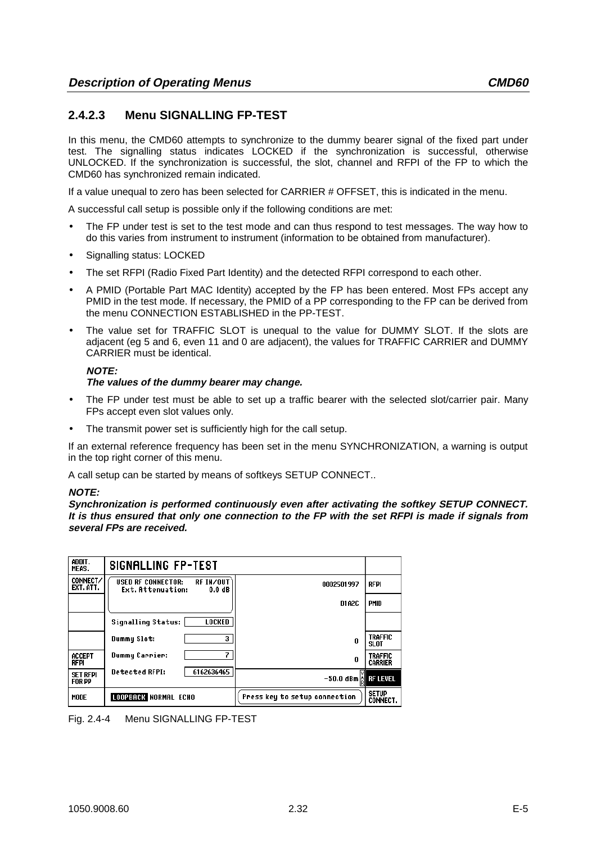## **2.4.2.3 Menu SIGNALLING FP-TEST**

In this menu, the CMD60 attempts to synchronize to the dummy bearer signal of the fixed part under test. The signalling status indicates LOCKED if the synchronization is successful, otherwise UNLOCKED. If the synchronization is successful, the slot, channel and RFPI of the FP to which the CMD60 has synchronized remain indicated.

If a value unequal to zero has been selected for CARRIER # OFFSET, this is indicated in the menu.

A successful call setup is possible only if the following conditions are met:

- The FP under test is set to the test mode and can thus respond to test messages. The way how to do this varies from instrument to instrument (information to be obtained from manufacturer).
- Signalling status: LOCKED
- The set RFPI (Radio Fixed Part Identity) and the detected RFPI correspond to each other.
- A PMID (Portable Part MAC Identity) accepted by the FP has been entered. Most FPs accept any PMID in the test mode. If necessary, the PMID of a PP corresponding to the FP can be derived from the menu CONNECTION ESTABLISHED in the PP-TEST.
- The value set for TRAFFIC SLOT is unequal to the value for DUMMY SLOT. If the slots are adjacent (eg 5 and 6, even 11 and 0 are adjacent), the values for TRAFFIC CARRIER and DUMMY CARRIER must be identical.

#### **NOTE:**

#### **The values of the dummy bearer may change.**

- The FP under test must be able to set up a traffic bearer with the selected slot/carrier pair. Many FPs accept even slot values only.
- The transmit power set is sufficiently high for the call setup.

If an external reference frequency has been set in the menu SYNCHRONIZATION, a warning is output in the top right corner of this menu.

A call setup can be started by means of softkeys SETUP CONNECT..

#### **NOTE:**

**Synchronization is performed continuously even after activating the softkey SETUP CONNECT. It is thus ensured that only one connection to the FP with the set RFPI is made if signals from several FPs are received.**

| ADDIT.<br>MEAS.                  | <b>SIGNALLING FP-TEST</b>                                                         |                               |                                  |
|----------------------------------|-----------------------------------------------------------------------------------|-------------------------------|----------------------------------|
| CONNECT/<br>EXT. ATT.            | <b>USED RF CONNECTOR:</b><br>RF IN/OUT<br>Ext. Attenuation:<br>0.0 <sub>d</sub> B | 0002501997                    | <b>RFPI</b>                      |
|                                  |                                                                                   | D1A2C                         | <b>PMID</b>                      |
|                                  | LOCKED<br><b>Signalling Status:</b>                                               |                               |                                  |
|                                  | 3.<br>Dummy Slot:                                                                 | 0                             | <b>TRAFFIC</b><br>SLOT           |
| <b>ACCEPT</b><br>RFPI            | Dummy Carrier:                                                                    | 0                             | <b>TRAFFIC</b><br><b>CARRIER</b> |
| <b>SET RFPI</b><br><b>FOR PP</b> | <b>Detected RFPI:</b><br>6162636465                                               | –50.0 dBm  å   RF LEVEL       |                                  |
| MODE                             | <b>LOOPBACK NORMAL ECHO</b>                                                       | Press key to setup connection | <b>SETUP</b><br><b>CONNECT.</b>  |

Fig. 2.4-4 Menu SIGNALLING FP-TEST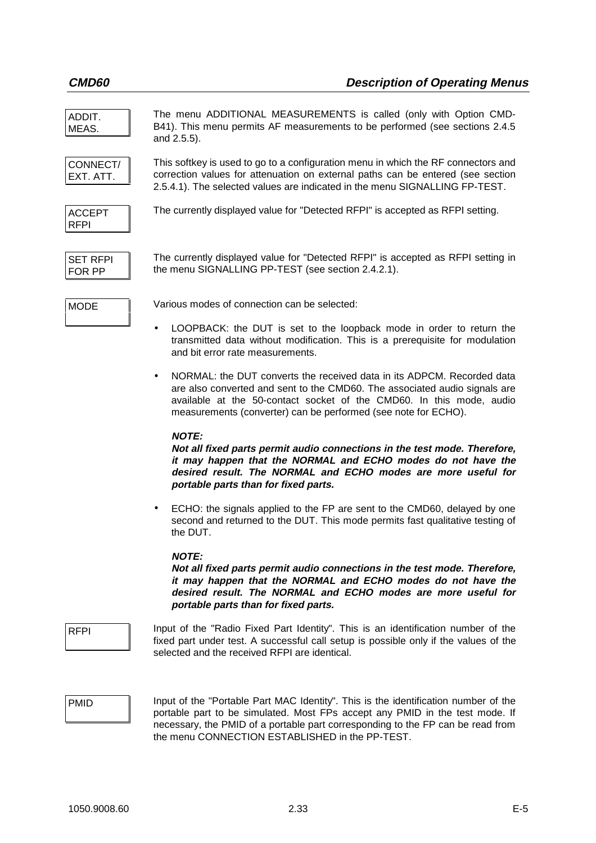ADDIT. MEAS. The menu ADDITIONAL MEASUREMENTS is called (only with Option CMD-B41). This menu permits AF measurements to be performed (see sections 2.4.5 and 2.5.5). CONNECT/ EXT. ATT. This softkey is used to go to a configuration menu in which the RF connectors and correction values for attenuation on external paths can be entered (see section 2.5.4.1). The selected values are indicated in the menu SIGNALLING FP-TEST. ACCEPT RFPI The currently displayed value for "Detected RFPI" is accepted as RFPI setting.

SET RFPI FOR PP

The currently displayed value for "Detected RFPI" is accepted as RFPI setting in the menu SIGNALLING PP-TEST (see section 2.4.2.1).

MODE Various modes of connection can be selected:

- LOOPBACK: the DUT is set to the loopback mode in order to return the transmitted data without modification. This is a prerequisite for modulation and bit error rate measurements.
- NORMAL: the DUT converts the received data in its ADPCM. Recorded data are also converted and sent to the CMD60. The associated audio signals are available at the 50-contact socket of the CMD60. In this mode, audio measurements (converter) can be performed (see note for ECHO).

#### **NOTE:**

**Not all fixed parts permit audio connections in the test mode. Therefore, it may happen that the NORMAL and ECHO modes do not have the desired result. The NORMAL and ECHO modes are more useful for portable parts than for fixed parts.**

• ECHO: the signals applied to the FP are sent to the CMD60, delayed by one second and returned to the DUT. This mode permits fast qualitative testing of the DUT.

#### **NOTE:**

**Not all fixed parts permit audio connections in the test mode. Therefore, it may happen that the NORMAL and ECHO modes do not have the desired result. The NORMAL and ECHO modes are more useful for portable parts than for fixed parts.**

RFPI Input of the "Radio Fixed Part Identity". This is an identification number of the fixed part under test. A successful call setup is possible only if the values of the selected and the received RFPI are identical.

**PMID** Input of the "Portable Part MAC Identity". This is the identification number of the portable part to be simulated. Most FPs accept any PMID in the test mode. If necessary, the PMID of a portable part corresponding to the FP can be read from the menu CONNECTION ESTABLISHED in the PP-TEST.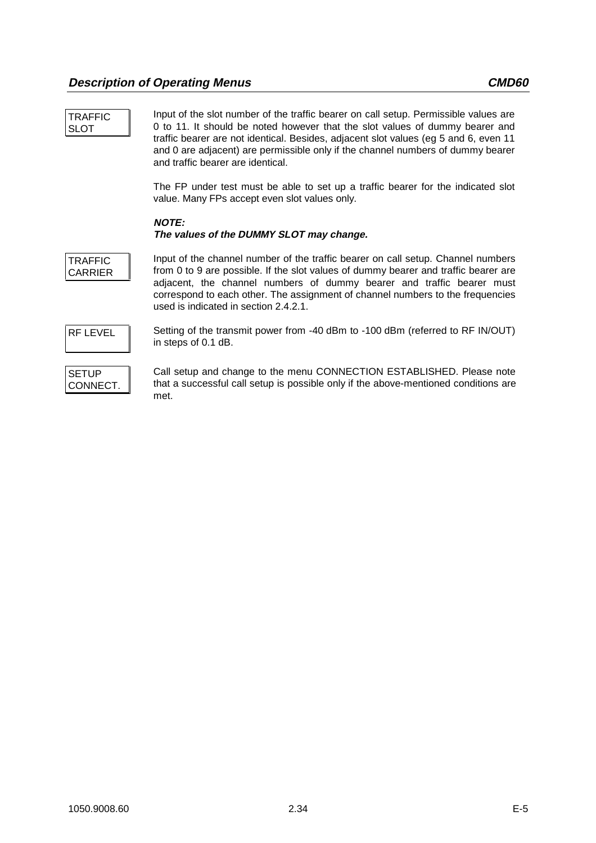| <b>TRAFFIC</b><br><b>SLOT</b>    | Input of the slot number of the traffic bearer on call setup. Permissible values are<br>0 to 11. It should be noted however that the slot values of dummy bearer and<br>traffic bearer are not identical. Besides, adjacent slot values (eg 5 and 6, even 11<br>and 0 are adjacent) are permissible only if the channel numbers of dummy bearer<br>and traffic bearer are identical. |
|----------------------------------|--------------------------------------------------------------------------------------------------------------------------------------------------------------------------------------------------------------------------------------------------------------------------------------------------------------------------------------------------------------------------------------|
|                                  | The FP under test must be able to set up a traffic bearer for the indicated slot<br>value. Many FPs accept even slot values only.                                                                                                                                                                                                                                                    |
|                                  | <b>NOTE:</b><br>The values of the DUMMY SLOT may change.                                                                                                                                                                                                                                                                                                                             |
| <b>TRAFFIC</b><br><b>CARRIER</b> | Input of the channel number of the traffic bearer on call setup. Channel numbers<br>from 0 to 9 are possible. If the slot values of dummy bearer and traffic bearer are<br>adjacent, the channel numbers of dummy bearer and traffic bearer must<br>correspond to each other. The assignment of channel numbers to the frequencies<br>used is indicated in section 2.4.2.1.          |
| <b>RF LEVEL</b>                  | Setting of the transmit power from -40 dBm to -100 dBm (referred to RF IN/OUT)<br>in steps of 0.1 dB.                                                                                                                                                                                                                                                                                |
| <b>SETUP</b><br>CONNECT.         | Call setup and change to the menu CONNECTION ESTABLISHED. Please note<br>that a successful call setup is possible only if the above-mentioned conditions are<br>met.                                                                                                                                                                                                                 |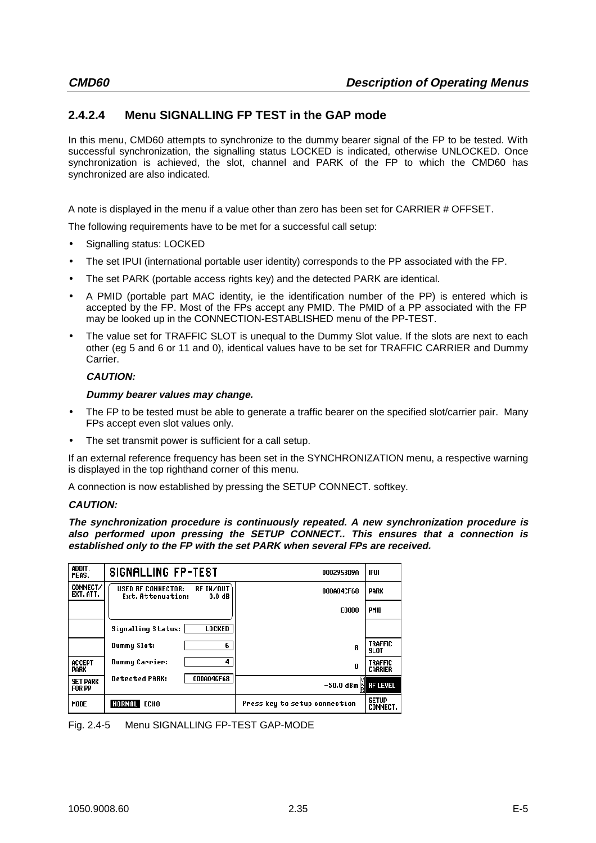# **2.4.2.4 Menu SIGNALLING FP TEST in the GAP mode**

In this menu, CMD60 attempts to synchronize to the dummy bearer signal of the FP to be tested. With successful synchronization, the signalling status LOCKED is indicated, otherwise UNLOCKED. Once synchronization is achieved, the slot, channel and PARK of the FP to which the CMD60 has synchronized are also indicated.

A note is displayed in the menu if a value other than zero has been set for CARRIER # OFFSET.

The following requirements have to be met for a successful call setup:

- Signalling status: LOCKED
- The set IPUI (international portable user identity) corresponds to the PP associated with the FP.
- The set PARK (portable access rights key) and the detected PARK are identical.
- A PMID (portable part MAC identity, ie the identification number of the PP) is entered which is accepted by the FP. Most of the FPs accept any PMID. The PMID of a PP associated with the FP may be looked up in the CONNECTION-ESTABLISHED menu of the PP-TEST.
- The value set for TRAFFIC SLOT is unequal to the Dummy Slot value. If the slots are next to each other (eg 5 and 6 or 11 and 0), identical values have to be set for TRAFFIC CARRIER and Dummy Carrier.

## **CAUTION:**

#### **Dummy bearer values may change.**

- The FP to be tested must be able to generate a traffic bearer on the specified slot/carrier pair. Many FPs accept even slot values only.
- The set transmit power is sufficient for a call setup.

If an external reference frequency has been set in the SYNCHRONIZATION menu, a respective warning is displayed in the top righthand corner of this menu.

A connection is now established by pressing the SETUP CONNECT. softkey.

#### **CAUTION:**

**The synchronization procedure is continuously repeated. A new synchronization procedure is also performed upon pressing the SETUP CONNECT.. This ensures that a connection is established only to the FP with the set PARK when several FPs are received.**

| ADDIT.<br>MEAS.                  | <b>SIGNALLING FP-TEST</b>                                             | 0002953D9A                    | IPUI                             |
|----------------------------------|-----------------------------------------------------------------------|-------------------------------|----------------------------------|
| CONNECT/<br>EXT. ATT.            | RF IN/OUT<br><b>USED RF CONNECTOR:</b><br>0.0 dB<br>Ext. Attenuation: | 000A04CF68                    | PARK                             |
|                                  |                                                                       | <b>E0000</b>                  | <b>PMID</b>                      |
|                                  | LOCKED<br><b>Signalling Status:</b>                                   |                               |                                  |
|                                  | Dummy Slot:<br>6.                                                     | 8                             | <b>TRAFFIC</b><br>SLOT           |
| <b>ACCEPT</b><br>PARK            | Dummy Carrier:<br>4                                                   | 0                             | <b>TRAFFIC</b><br><b>CARRIER</b> |
| <b>SET PARK</b><br><b>FOR PP</b> | 000A04CF68<br><b>Detected PARK:</b>                                   |                               |                                  |
| <b>MODE</b>                      | NORMAL ECHO                                                           | Press key to setup connection | <b>SETUP</b><br><b>CONNECT.</b>  |

Fig. 2.4-5 Menu SIGNALLING FP-TEST GAP-MODE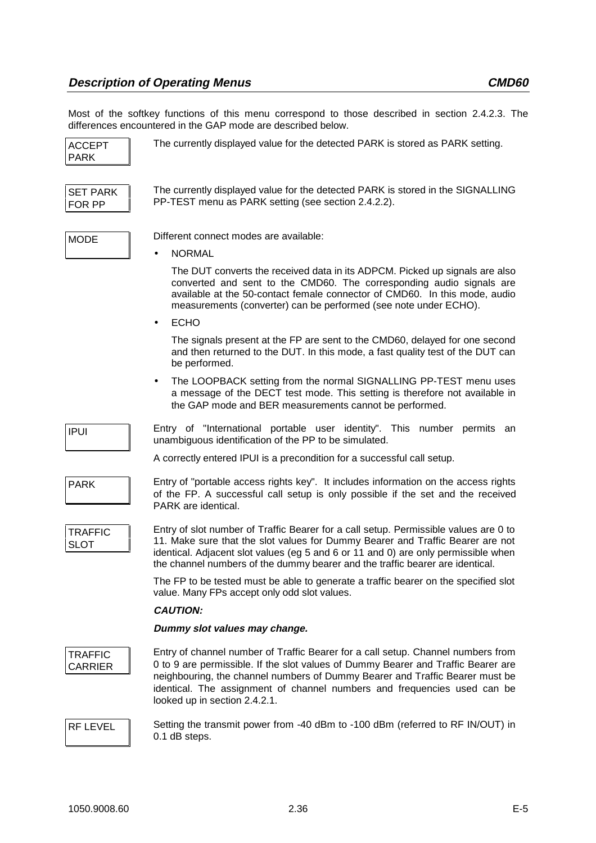Most of the softkey functions of this menu correspond to those described in section 2.4.2.3. The differences encountered in the GAP mode are described below.

|                                  | directives encountered in the GAF mode are described below.                                                                                                                                                                                                                                                                                                        |
|----------------------------------|--------------------------------------------------------------------------------------------------------------------------------------------------------------------------------------------------------------------------------------------------------------------------------------------------------------------------------------------------------------------|
| <b>ACCEPT</b><br><b>PARK</b>     | The currently displayed value for the detected PARK is stored as PARK setting.                                                                                                                                                                                                                                                                                     |
| <b>SET PARK</b><br>FOR PP        | The currently displayed value for the detected PARK is stored in the SIGNALLING<br>PP-TEST menu as PARK setting (see section 2.4.2.2).                                                                                                                                                                                                                             |
| <b>MODE</b>                      | Different connect modes are available:                                                                                                                                                                                                                                                                                                                             |
|                                  | <b>NORMAL</b>                                                                                                                                                                                                                                                                                                                                                      |
|                                  | The DUT converts the received data in its ADPCM. Picked up signals are also<br>converted and sent to the CMD60. The corresponding audio signals are<br>available at the 50-contact female connector of CMD60. In this mode, audio<br>measurements (converter) can be performed (see note under ECHO).                                                              |
|                                  | <b>ECHO</b><br>$\bullet$                                                                                                                                                                                                                                                                                                                                           |
|                                  | The signals present at the FP are sent to the CMD60, delayed for one second<br>and then returned to the DUT. In this mode, a fast quality test of the DUT can<br>be performed.                                                                                                                                                                                     |
|                                  | The LOOPBACK setting from the normal SIGNALLING PP-TEST menu uses<br>$\bullet$<br>a message of the DECT test mode. This setting is therefore not available in<br>the GAP mode and BER measurements cannot be performed.                                                                                                                                            |
| <b>IPUI</b>                      | Entry of "International portable user identity". This number permits an<br>unambiguous identification of the PP to be simulated.                                                                                                                                                                                                                                   |
|                                  | A correctly entered IPUI is a precondition for a successful call setup.                                                                                                                                                                                                                                                                                            |
| <b>PARK</b>                      | Entry of "portable access rights key". It includes information on the access rights<br>of the FP. A successful call setup is only possible if the set and the received<br>PARK are identical.                                                                                                                                                                      |
| <b>TRAFFIC</b><br><b>SLOT</b>    | Entry of slot number of Traffic Bearer for a call setup. Permissible values are 0 to<br>11. Make sure that the slot values for Dummy Bearer and Traffic Bearer are not<br>identical. Adjacent slot values (eg 5 and 6 or 11 and 0) are only permissible when<br>the channel numbers of the dummy bearer and the traffic bearer are identical.                      |
|                                  | The FP to be tested must be able to generate a traffic bearer on the specified slot<br>value. Many FPs accept only odd slot values.                                                                                                                                                                                                                                |
|                                  | <b>CAUTION:</b>                                                                                                                                                                                                                                                                                                                                                    |
|                                  | Dummy slot values may change.                                                                                                                                                                                                                                                                                                                                      |
| <b>TRAFFIC</b><br><b>CARRIER</b> | Entry of channel number of Traffic Bearer for a call setup. Channel numbers from<br>0 to 9 are permissible. If the slot values of Dummy Bearer and Traffic Bearer are<br>neighbouring, the channel numbers of Dummy Bearer and Traffic Bearer must be<br>identical. The assignment of channel numbers and frequencies used can be<br>looked up in section 2.4.2.1. |
| RF LEVEL                         | Setting the transmit power from -40 dBm to -100 dBm (referred to RF IN/OUT) in<br>0.1 dB steps.                                                                                                                                                                                                                                                                    |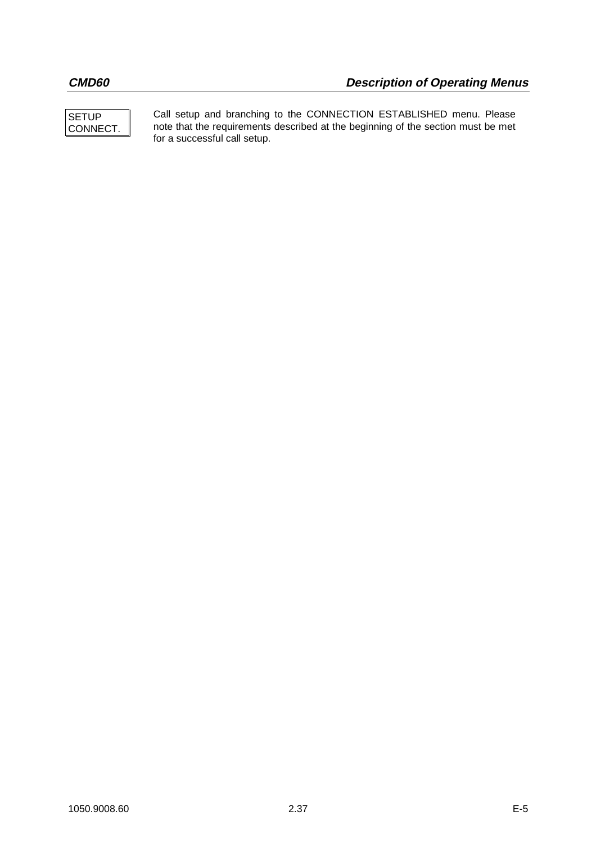

Call setup and branching to the CONNECTION ESTABLISHED menu. Please note that the requirements described at the beginning of the section must be met for a successful call setup.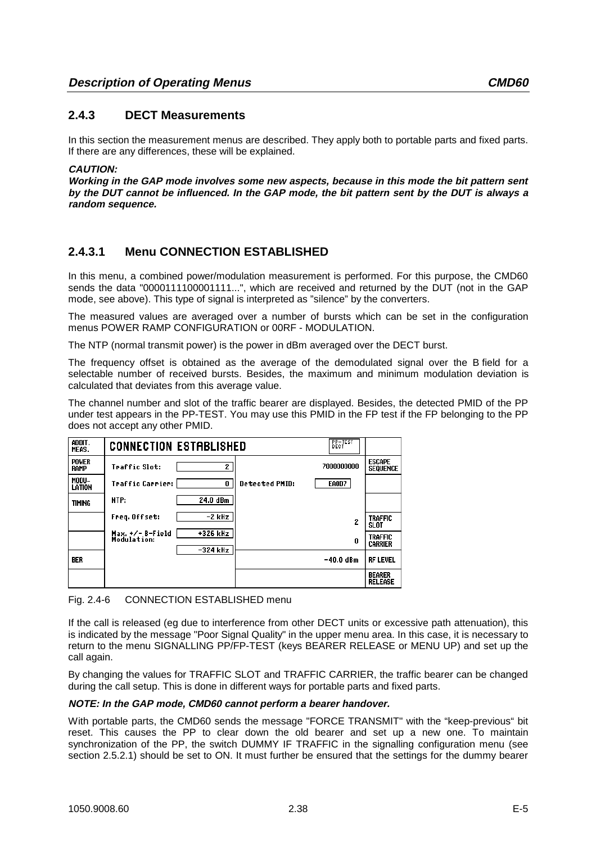# **2.4.3 DECT Measurements**

In this section the measurement menus are described. They apply both to portable parts and fixed parts. If there are any differences, these will be explained.

#### **CAUTION:**

**Working in the GAP mode involves some new aspects, because in this mode the bit pattern sent by the DUT cannot be influenced. In the GAP mode, the bit pattern sent by the DUT is always a random sequence.**

# **2.4.3.1 Menu CONNECTION ESTABLISHED**

In this menu, a combined power/modulation measurement is performed. For this purpose, the CMD60 sends the data "0000111100001111...", which are received and returned by the DUT (not in the GAP mode, see above). This type of signal is interpreted as "silence" by the converters.

The measured values are averaged over a number of bursts which can be set in the configuration menus POWER RAMP CONFIGURATION or 00RF - MODULATION.

The NTP (normal transmit power) is the power in dBm averaged over the DECT burst.

The frequency offset is obtained as the average of the demodulated signal over the B field for a selectable number of received bursts. Besides, the maximum and minimum modulation deviation is calculated that deviates from this average value.

The channel number and slot of the traffic bearer are displayed. Besides, the detected PMID of the PP under test appears in the PP-TEST. You may use this PMID in the FP test if the FP belonging to the PP does not accept any other PMID.

| ADDIT.<br>MEAS.             | $E_{\rm eff}$<br><b>CONNECTION ESTABLISHED</b> |                       |            |                                  |
|-----------------------------|------------------------------------------------|-----------------------|------------|----------------------------------|
| <b>POWER</b><br><b>RAMP</b> | <b>Traffic Slot:</b><br>$\mathbf{z}$           |                       | 7000000000 | <b>ESCAPE</b><br><b>SEQUENCE</b> |
| MODU-<br>LATION             | <b>Traffic Carrier:</b><br>0                   | <b>Detected PMID:</b> | EAOD7      |                                  |
| TIMING                      | 24.0 dBm<br>NTP:                               |                       |            |                                  |
|                             | Freq. Offset:<br>-2 kHz                        |                       | 2          | <b>TRAFFIC</b><br>SLOT           |
|                             | +326 kHz<br>Max. +/- B-Field<br>Modulation:    |                       | 0          | <b>TRAFFIC</b><br><b>CARRIER</b> |
| <b>BER</b>                  | $-324$ kHz                                     |                       | -40.0 dBm  | <b>RF LEVEL</b>                  |
|                             |                                                |                       |            | <b>BEARER</b><br><b>RELEASE</b>  |

Fig. 2.4-6 CONNECTION ESTABLISHED menu

If the call is released (eg due to interference from other DECT units or excessive path attenuation), this is indicated by the message "Poor Signal Quality" in the upper menu area. In this case, it is necessary to return to the menu SIGNALLING PP/FP-TEST (keys BEARER RELEASE or MENU UP) and set up the call again.

By changing the values for TRAFFIC SLOT and TRAFFIC CARRIER, the traffic bearer can be changed during the call setup. This is done in different ways for portable parts and fixed parts.

#### **NOTE: In the GAP mode, CMD60 cannot perform a bearer handover.**

With portable parts, the CMD60 sends the message "FORCE TRANSMIT" with the "keep-previous" bit reset. This causes the PP to clear down the old bearer and set up a new one. To maintain synchronization of the PP, the switch DUMMY IF TRAFFIC in the signalling configuration menu (see section 2.5.2.1) should be set to ON. It must further be ensured that the settings for the dummy bearer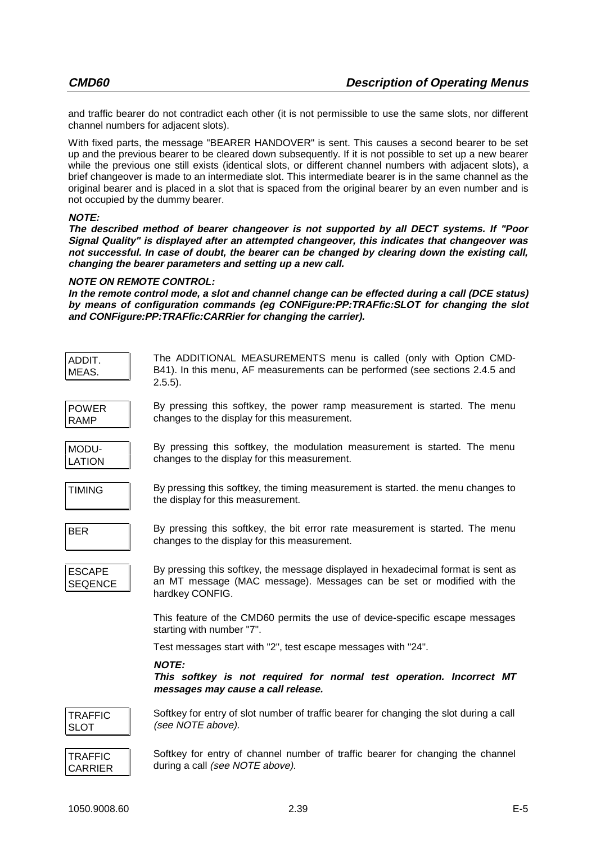and traffic bearer do not contradict each other (it is not permissible to use the same slots, nor different channel numbers for adjacent slots).

With fixed parts, the message "BEARER HANDOVER" is sent. This causes a second bearer to be set up and the previous bearer to be cleared down subsequently. If it is not possible to set up a new bearer while the previous one still exists (identical slots, or different channel numbers with adjacent slots), a brief changeover is made to an intermediate slot. This intermediate bearer is in the same channel as the original bearer and is placed in a slot that is spaced from the original bearer by an even number and is not occupied by the dummy bearer.

#### **NOTE:**

**The described method of bearer changeover is not supported by all DECT systems. If "Poor Signal Quality" is displayed after an attempted changeover, this indicates that changeover was not successful. In case of doubt, the bearer can be changed by clearing down the existing call, changing the bearer parameters and setting up a new call.**

#### **NOTE ON REMOTE CONTROL:**

**In the remote control mode, a slot and channel change can be effected during a call (DCE status) by means of configuration commands (eg CONFigure:PP:TRAFfic:SLOT for changing the slot and CONFigure:PP:TRAFfic:CARRier for changing the carrier).**

| ADDIT.<br>MEAS.                  | The ADDITIONAL MEASUREMENTS menu is called (only with Option CMD-<br>B41). In this menu, AF measurements can be performed (see sections 2.4.5 and<br>$2.5.5$ ).              |
|----------------------------------|------------------------------------------------------------------------------------------------------------------------------------------------------------------------------|
| <b>POWER</b><br><b>RAMP</b>      | By pressing this softkey, the power ramp measurement is started. The menu<br>changes to the display for this measurement.                                                    |
| MODU-<br><b>LATION</b>           | By pressing this softkey, the modulation measurement is started. The menu<br>changes to the display for this measurement.                                                    |
| <b>TIMING</b>                    | By pressing this softkey, the timing measurement is started. the menu changes to<br>the display for this measurement.                                                        |
| <b>BER</b>                       | By pressing this softkey, the bit error rate measurement is started. The menu<br>changes to the display for this measurement.                                                |
| <b>ESCAPE</b><br><b>SEQENCE</b>  | By pressing this softkey, the message displayed in hexadecimal format is sent as<br>an MT message (MAC message). Messages can be set or modified with the<br>hardkey CONFIG. |
|                                  | This feature of the CMD60 permits the use of device-specific escape messages<br>starting with number "7".                                                                    |
|                                  | Test messages start with "2", test escape messages with "24".                                                                                                                |
|                                  | <b>NOTE:</b><br>This softkey is not required for normal test operation. Incorrect MT<br>messages may cause a call release.                                                   |
| <b>TRAFFIC</b><br><b>SLOT</b>    | Softkey for entry of slot number of traffic bearer for changing the slot during a call<br>(see NOTE above).                                                                  |
| <b>TRAFFIC</b><br><b>CARRIER</b> | Softkey for entry of channel number of traffic bearer for changing the channel<br>during a call (see NOTE above).                                                            |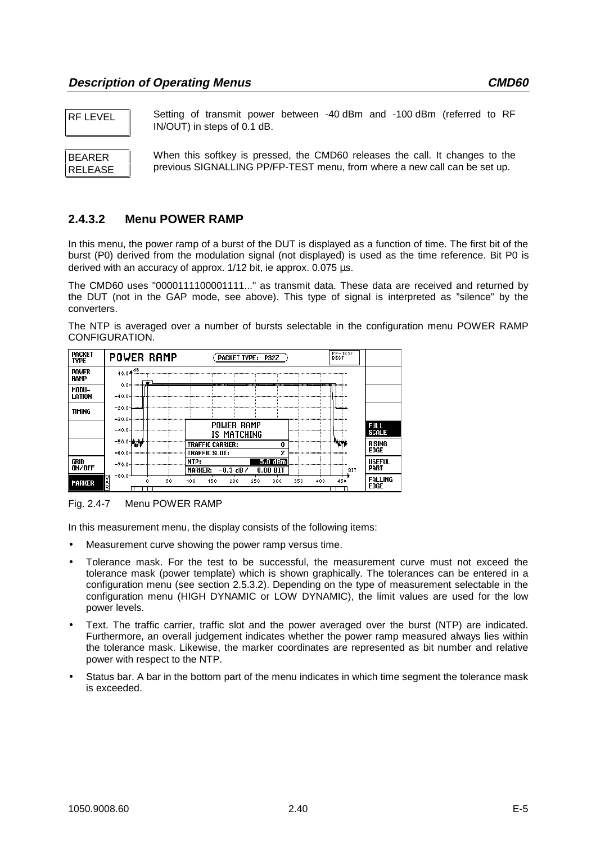RF LEVEL Setting of transmit power between -40 dBm and -100 dBm (referred to RF IN/OUT) in steps of 0.1 dB.

BEARER RELEASE When this softkey is pressed, the CMD60 releases the call. It changes to the previous SIGNALLING PP/FP-TEST menu, from where a new call can be set up.

# **2.4.3.2 Menu POWER RAMP**

In this menu, the power ramp of a burst of the DUT is displayed as a function of time. The first bit of the burst (P0) derived from the modulation signal (not displayed) is used as the time reference. Bit P0 is derived with an accuracy of approx. 1/12 bit, ie approx. 0.075 µs.

The CMD60 uses "0000111100001111..." as transmit data. These data are received and returned by the DUT (not in the GAP mode, see above). This type of signal is interpreted as "silence" by the converters.

The NTP is averaged over a number of bursts selectable in the configuration menu POWER RAMP CONFIGURATION.

| <b>PACKET</b><br><b>TYPE</b> | <b>POWER RAMP</b>    | PACKET TYPE: P32Z                                         | <b>BECTEST</b>                       |
|------------------------------|----------------------|-----------------------------------------------------------|--------------------------------------|
| <b>POWER</b><br><b>RAMP</b>  | . dB<br>10.0个        |                                                           |                                      |
| MODU-<br>LATION              | $0.0 -$<br>$-40.0$   | --------------<br>- -<br>$\ldots$<br>-                    | ___________________                  |
| <b>TIMING</b>                | $-20.0$<br>$-30.0$   |                                                           | .1                                   |
|                              |                      | POWER RAMP<br>IS MATCHING                                 | Full<br>Scale<br>.                   |
|                              | -50.0 MWW<br>$-60.0$ | TRAFFIC CARRIER:<br>0<br><b>TRAFFIC SLOT:</b>             | <b>™Nm</b><br>rising<br><b>EDGE</b>  |
| GRID<br>ON/OFF               | $-70.0$              | NTP:<br>5.0 dBm<br>MARKER: $-0.3$ dB $\prime$<br>0.00 BIT | <b>USEFUL</b><br><b>PART</b><br>BIT  |
| <b>MARKER</b>                | $-80.0$<br>50        | 250<br>300<br>450<br>200<br>350<br>100<br>400             | <b>FALLING</b><br>450<br><b>EDGE</b> |

## Fig. 2.4-7 Menu POWER RAMP

In this measurement menu, the display consists of the following items:

- Measurement curve showing the power ramp versus time.
- Tolerance mask. For the test to be successful, the measurement curve must not exceed the tolerance mask (power template) which is shown graphically. The tolerances can be entered in a configuration menu (see section 2.5.3.2). Depending on the type of measurement selectable in the configuration menu (HIGH DYNAMIC or LOW DYNAMIC), the limit values are used for the low power levels.
- Text. The traffic carrier, traffic slot and the power averaged over the burst (NTP) are indicated. Furthermore, an overall judgement indicates whether the power ramp measured always lies within the tolerance mask. Likewise, the marker coordinates are represented as bit number and relative power with respect to the NTP.
- Status bar. A bar in the bottom part of the menu indicates in which time segment the tolerance mask is exceeded.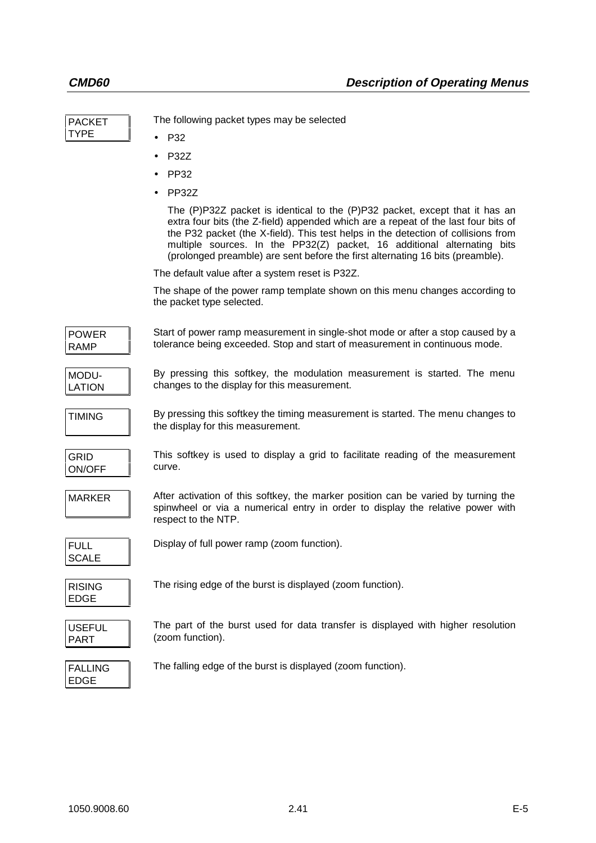| <b>PACKET</b>                 | The following packet types may be selected                                                                                                                                                                                                                                                                                                                                                                          |
|-------------------------------|---------------------------------------------------------------------------------------------------------------------------------------------------------------------------------------------------------------------------------------------------------------------------------------------------------------------------------------------------------------------------------------------------------------------|
| TYPE                          | P32                                                                                                                                                                                                                                                                                                                                                                                                                 |
|                               | <b>P32Z</b>                                                                                                                                                                                                                                                                                                                                                                                                         |
|                               | PP32                                                                                                                                                                                                                                                                                                                                                                                                                |
|                               | PP32Z                                                                                                                                                                                                                                                                                                                                                                                                               |
|                               | The (P)P32Z packet is identical to the (P)P32 packet, except that it has an<br>extra four bits (the Z-field) appended which are a repeat of the last four bits of<br>the P32 packet (the X-field). This test helps in the detection of collisions from<br>multiple sources. In the PP32(Z) packet, 16 additional alternating bits<br>(prolonged preamble) are sent before the first alternating 16 bits (preamble). |
|                               | The default value after a system reset is P32Z.                                                                                                                                                                                                                                                                                                                                                                     |
|                               | The shape of the power ramp template shown on this menu changes according to<br>the packet type selected.                                                                                                                                                                                                                                                                                                           |
| <b>POWER</b><br><b>RAMP</b>   | Start of power ramp measurement in single-shot mode or after a stop caused by a<br>tolerance being exceeded. Stop and start of measurement in continuous mode.                                                                                                                                                                                                                                                      |
| MODU-<br>LATION               | By pressing this softkey, the modulation measurement is started. The menu<br>changes to the display for this measurement.                                                                                                                                                                                                                                                                                           |
| <b>TIMING</b>                 | By pressing this softkey the timing measurement is started. The menu changes to<br>the display for this measurement.                                                                                                                                                                                                                                                                                                |
| <b>GRID</b><br>ON/OFF         | This softkey is used to display a grid to facilitate reading of the measurement<br>curve.                                                                                                                                                                                                                                                                                                                           |
| <b>MARKER</b>                 | After activation of this softkey, the marker position can be varied by turning the<br>spinwheel or via a numerical entry in order to display the relative power with<br>respect to the NTP.                                                                                                                                                                                                                         |
| <b>FULL</b><br>SCALE          | Display of full power ramp (zoom function).                                                                                                                                                                                                                                                                                                                                                                         |
| <b>RISING</b><br><b>EDGE</b>  | The rising edge of the burst is displayed (zoom function).                                                                                                                                                                                                                                                                                                                                                          |
| <b>USEFUL</b><br>PART         | The part of the burst used for data transfer is displayed with higher resolution<br>(zoom function).                                                                                                                                                                                                                                                                                                                |
| <b>FALLING</b><br><b>EDGE</b> | The falling edge of the burst is displayed (zoom function).                                                                                                                                                                                                                                                                                                                                                         |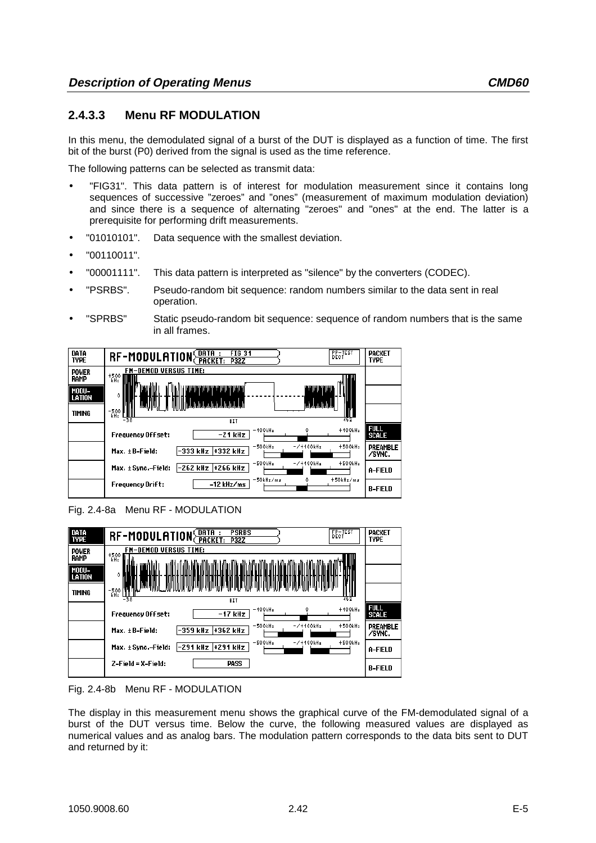# **2.4.3.3 Menu RF MODULATION**

In this menu, the demodulated signal of a burst of the DUT is displayed as a function of time. The first bit of the burst (P0) derived from the signal is used as the time reference.

The following patterns can be selected as transmit data:

- "FIG31". This data pattern is of interest for modulation measurement since it contains long sequences of successive "zeroes" and "ones" (measurement of maximum modulation deviation) and since there is a sequence of alternating "zeroes" and "ones" at the end. The latter is a prerequisite for performing drift measurements.
- "01010101". Data sequence with the smallest deviation.
- "00110011".
- "00001111". This data pattern is interpreted as "silence" by the converters (CODEC).
- "PSRBS". Pseudo-random bit sequence: random numbers similar to the data sent in real operation.
- "SPRBS" Static pseudo-random bit sequence: sequence of random numbers that is the same in all frames.



Fig. 2.4-8a Menu RF - MODULATION



Fig. 2.4-8b Menu RF - MODULATION

The display in this measurement menu shows the graphical curve of the FM-demodulated signal of a burst of the DUT versus time. Below the curve, the following measured values are displayed as numerical values and as analog bars. The modulation pattern corresponds to the data bits sent to DUT and returned by it: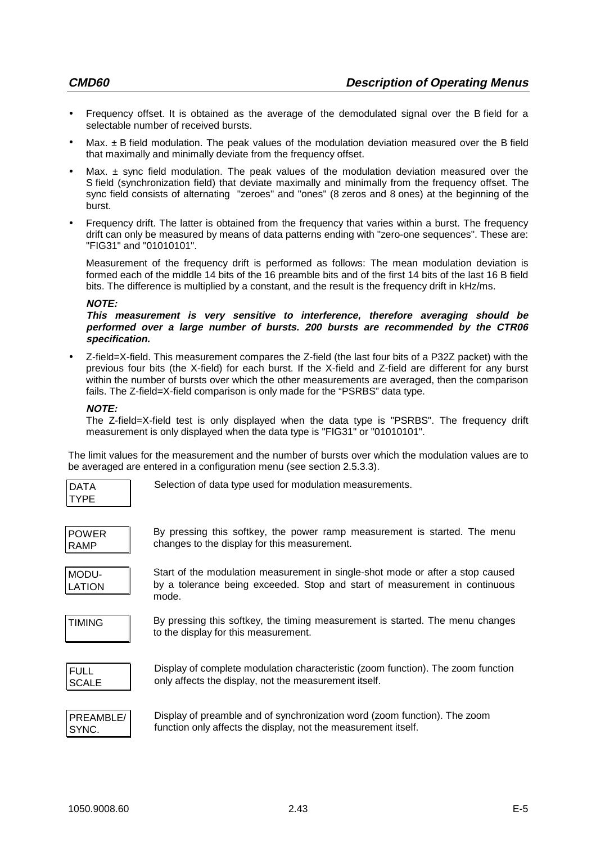- Frequency offset. It is obtained as the average of the demodulated signal over the B field for a selectable number of received bursts.
- Max.  $\pm$  B field modulation. The peak values of the modulation deviation measured over the B field that maximally and minimally deviate from the frequency offset.
- Max.  $\pm$  sync field modulation. The peak values of the modulation deviation measured over the S field (synchronization field) that deviate maximally and minimally from the frequency offset. The sync field consists of alternating "zeroes" and "ones" (8 zeros and 8 ones) at the beginning of the burst.
- Frequency drift. The latter is obtained from the frequency that varies within a burst. The frequency drift can only be measured by means of data patterns ending with "zero-one sequences". These are: "FIG31" and "01010101".

Measurement of the frequency drift is performed as follows: The mean modulation deviation is formed each of the middle 14 bits of the 16 preamble bits and of the first 14 bits of the last 16 B field bits. The difference is multiplied by a constant, and the result is the frequency drift in kHz/ms.

#### **NOTE:**

**This measurement is very sensitive to interference, therefore averaging should be performed over a large number of bursts. 200 bursts are recommended by the CTR06 specification.**

• Z-field=X-field. This measurement compares the Z-field (the last four bits of a P32Z packet) with the previous four bits (the X-field) for each burst. If the X-field and Z-field are different for any burst within the number of bursts over which the other measurements are averaged, then the comparison fails. The Z-field=X-field comparison is only made for the "PSRBS" data type.

## **NOTE:**

The Z-field=X-field test is only displayed when the data type is "PSRBS". The frequency drift measurement is only displayed when the data type is "FIG31" or "01010101".

The limit values for the measurement and the number of bursts over which the modulation values are to be averaged are entered in a configuration menu (see section 2.5.3.3).

| DAT<br>$\blacktriangle$ |  |
|-------------------------|--|
| YΡ                      |  |

Selection of data type used for modulation measurements.

| <b>POWER</b> |  |
|--------------|--|
| <b>RAMP</b>  |  |

By pressing this softkey, the power ramp measurement is started. The menu changes to the display for this measurement.

MODU-LATION Start of the modulation measurement in single-shot mode or after a stop caused by a tolerance being exceeded. Stop and start of measurement in continuous mode.

TIMING By pressing this softkey, the timing measurement is started. The menu changes to the display for this measurement.

| I FULL       |  |
|--------------|--|
| <b>SCALE</b> |  |

Display of complete modulation characteristic (zoom function). The zoom function only affects the display, not the measurement itself.



Display of preamble and of synchronization word (zoom function). The zoom function only affects the display, not the measurement itself.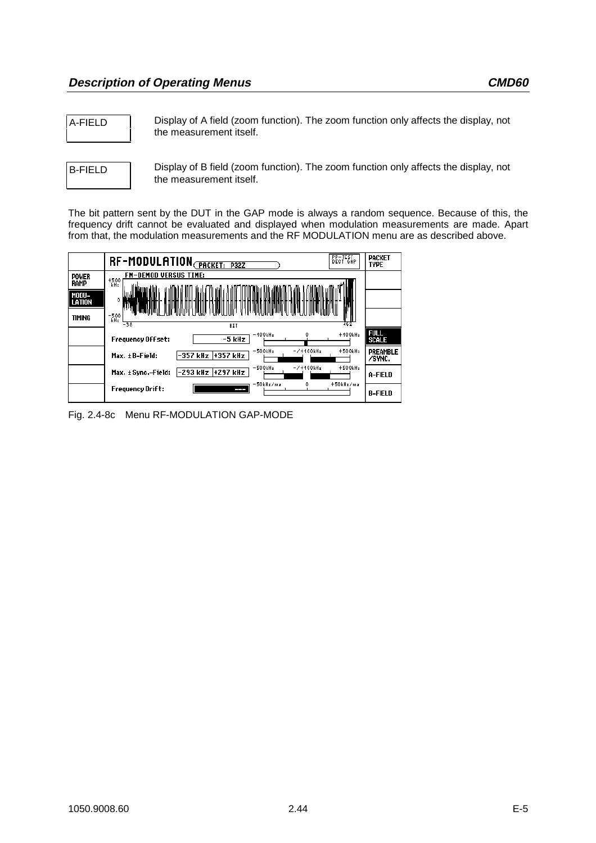A-FIELD Display of A field (zoom function). The zoom function only affects the display, not the measurement itself.

B-FIELD Display of B field (zoom function). The zoom function only affects the display, not the measurement itself.

The bit pattern sent by the DUT in the GAP mode is always a random sequence. Because of this, the frequency drift cannot be evaluated and displayed when modulation measurements are made. Apart from that, the modulation measurements and the RF MODULATION menu are as described above.



Fig. 2.4-8c Menu RF-MODULATION GAP-MODE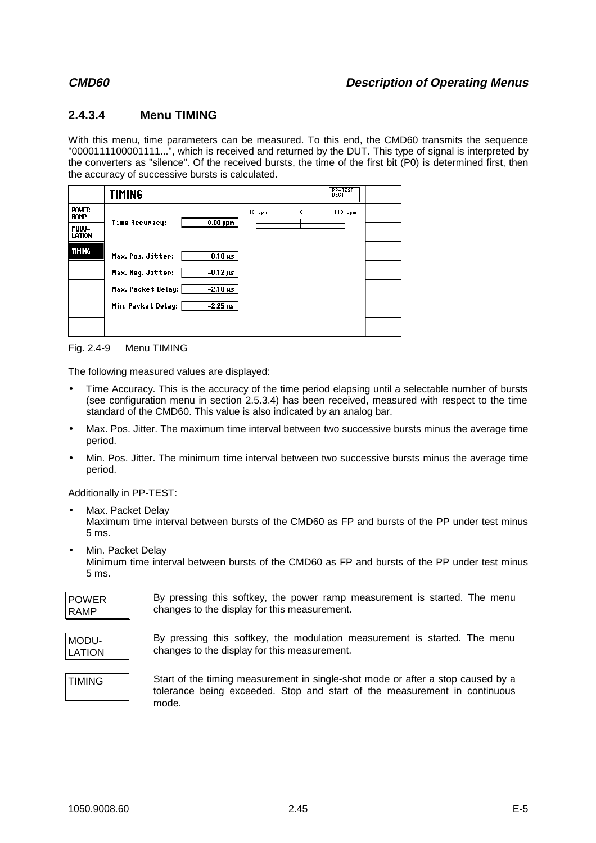# **2.4.3.4 Menu TIMING**

With this menu, time parameters can be measured. To this end, the CMD60 transmits the sequence "0000111100001111...", which is received and returned by the DUT. This type of signal is interpreted by the converters as "silence". Of the received bursts, the time of the first bit (P0) is determined first, then the accuracy of successive bursts is calculated.

|                             | TIMING                                |                | <b>PP-TEST</b><br>DECT |  |
|-----------------------------|---------------------------------------|----------------|------------------------|--|
| <b>POWER</b><br><b>RAMP</b> |                                       | $-40$ ppm<br>٥ | $+40$ ppm              |  |
| MODU-<br>LATION             | $0.00$ ppm<br>Time Accuracy:          |                |                        |  |
| TIMING                      | $0.10 \,\mu s$<br>Max. Pos. Jitter:   |                |                        |  |
|                             | $-0.12 \,\mu s$<br>Max. Neg. Jitter:  |                |                        |  |
|                             | Max. Packet Delay:<br>$-2.10 \,\mu s$ |                |                        |  |
|                             | -2.25 µs<br>Min. Packet Delay:        |                |                        |  |
|                             |                                       |                |                        |  |

Fig. 2.4-9 Menu TIMING

The following measured values are displayed:

- Time Accuracy. This is the accuracy of the time period elapsing until a selectable number of bursts (see configuration menu in section 2.5.3.4) has been received, measured with respect to the time standard of the CMD60. This value is also indicated by an analog bar.
- Max. Pos. Jitter. The maximum time interval between two successive bursts minus the average time period.
- Min. Pos. Jitter. The minimum time interval between two successive bursts minus the average time period.

Additionally in PP-TEST:

• Max. Packet Delay

Maximum time interval between bursts of the CMD60 as FP and bursts of the PP under test minus 5 ms.

Min. Packet Delay

Minimum time interval between bursts of the CMD60 as FP and bursts of the PP under test minus 5 ms.



By pressing this softkey, the power ramp measurement is started. The menu changes to the display for this measurement.

| MODU-  |  |
|--------|--|
| LATION |  |

By pressing this softkey, the modulation measurement is started. The menu changes to the display for this measurement.

TIMING Start of the timing measurement in single-shot mode or after a stop caused by a tolerance being exceeded. Stop and start of the measurement in continuous mode.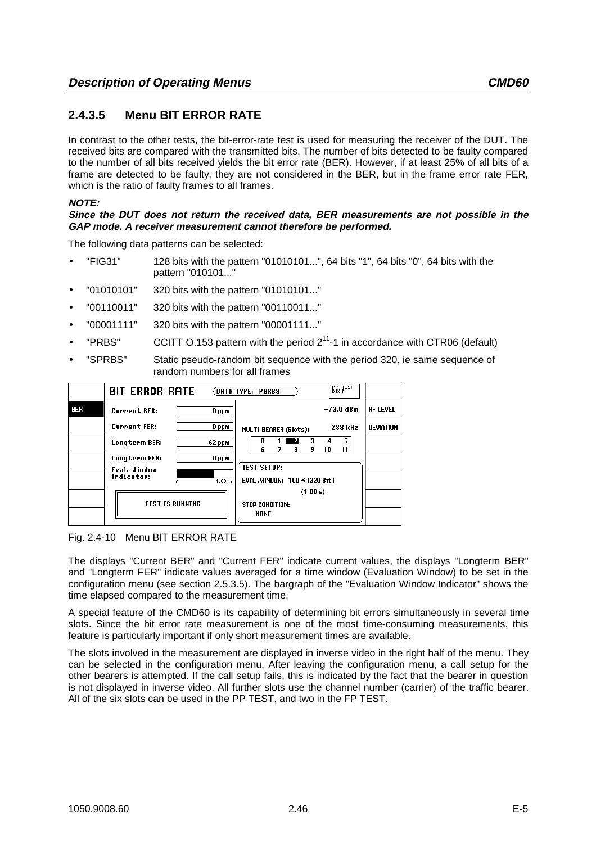# **2.4.3.5 Menu BIT ERROR RATE**

In contrast to the other tests, the bit-error-rate test is used for measuring the receiver of the DUT. The received bits are compared with the transmitted bits. The number of bits detected to be faulty compared to the number of all bits received yields the bit error rate (BER). However, if at least 25% of all bits of a frame are detected to be faulty, they are not considered in the BER, but in the frame error rate FER, which is the ratio of faulty frames to all frames.

## **NOTE:**

**Since the DUT does not return the received data, BER measurements are not possible in the GAP mode. A receiver measurement cannot therefore be performed.**

The following data patterns can be selected:

- "FIG31" 128 bits with the pattern "01010101...", 64 bits "1", 64 bits "0", 64 bits with the pattern "010101..."
- "01010101" 320 bits with the pattern "01010101..."
- "00110011" 320 bits with the pattern "00110011..."
- "00001111" 320 bits with the pattern "00001111..."
- "PRBS" CCITT O.153 pattern with the period  $2^{11}$ -1 in accordance with CTR06 (default)
- "SPRBS" Static pseudo-random bit sequence with the period 320, ie same sequence of random numbers for all frames

|     | <b>BIT ERROR RATE</b>                           | <b>PP-TES</b><br>(DATA TYPE: PSRBS                  |                  |
|-----|-------------------------------------------------|-----------------------------------------------------|------------------|
| BER | <b>Current BER:</b><br>0 ppm                    | $-73.0$ dBm                                         | <b>RF LEVEL</b>  |
|     | <b>Current FER:</b><br>0 ppm                    | 288 kHz<br><b>MULTI BEARER (Slots):</b>             | <b>DEVIATION</b> |
|     | Longterm BER:<br>62 ppm                         | 5<br>3<br>4<br>9<br>11<br>я<br>10                   |                  |
|     | Longterm FER:<br>0 ppm                          |                                                     |                  |
|     | Eval. Window<br>Indicator:<br>4.00 <sub>r</sub> | <b>TEST SETUP:</b><br>EVAL. WINDOW: 100 * [320 Bit] |                  |
|     | <b>TEST IS RUNNING</b>                          | (1.00 s)<br><b>STOP CONDITION:</b>                  |                  |
|     |                                                 | <b>NONE</b>                                         |                  |

Fig. 2.4-10 Menu BIT ERROR RATE

The displays "Current BER" and "Current FER" indicate current values, the displays "Longterm BER" and "Longterm FER" indicate values averaged for a time window (Evaluation Window) to be set in the configuration menu (see section 2.5.3.5). The bargraph of the "Evaluation Window Indicator" shows the time elapsed compared to the measurement time.

A special feature of the CMD60 is its capability of determining bit errors simultaneously in several time slots. Since the bit error rate measurement is one of the most time-consuming measurements, this feature is particularly important if only short measurement times are available.

The slots involved in the measurement are displayed in inverse video in the right half of the menu. They can be selected in the configuration menu. After leaving the configuration menu, a call setup for the other bearers is attempted. If the call setup fails, this is indicated by the fact that the bearer in question is not displayed in inverse video. All further slots use the channel number (carrier) of the traffic bearer. All of the six slots can be used in the PP TEST, and two in the FP TEST.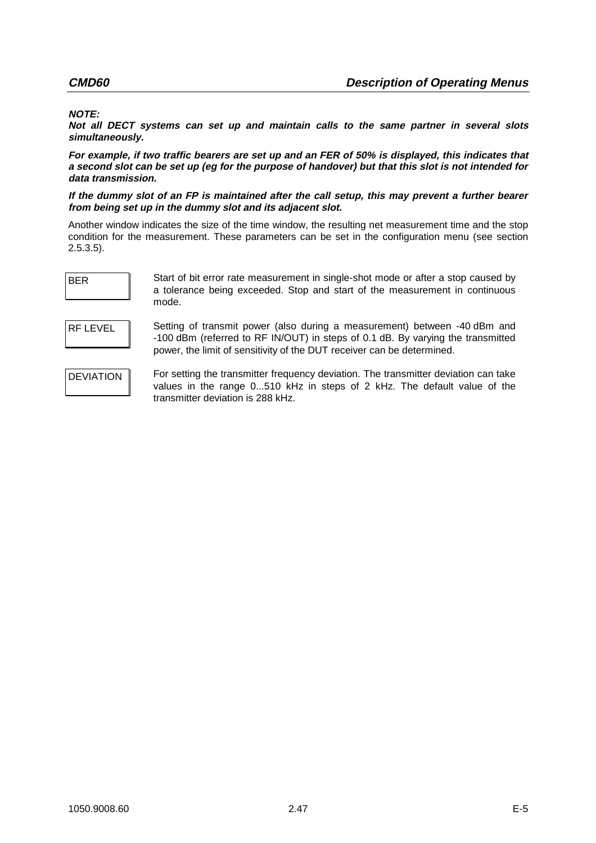## **NOTE:**

**Not all DECT systems can set up and maintain calls to the same partner in several slots simultaneously.**

**For example, if two traffic bearers are set up and an FER of 50% is displayed, this indicates that a second slot can be set up (eg for the purpose of handover) but that this slot is not intended for data transmission.**

**If the dummy slot of an FP is maintained after the call setup, this may prevent a further bearer from being set up in the dummy slot and its adjacent slot.**

Another window indicates the size of the time window, the resulting net measurement time and the stop condition for the measurement. These parameters can be set in the configuration menu (see section 2.5.3.5).

BER Start of bit error rate measurement in single-shot mode or after a stop caused by a tolerance being exceeded. Stop and start of the measurement in continuous mode.

RF LEVEL Setting of transmit power (also during a measurement) between -40 dBm and -100 dBm (referred to RF IN/OUT) in steps of 0.1 dB. By varying the transmitted power, the limit of sensitivity of the DUT receiver can be determined.

DEVIATION For setting the transmitter frequency deviation. The transmitter deviation can take values in the range 0...510 kHz in steps of 2 kHz. The default value of the transmitter deviation is 288 kHz.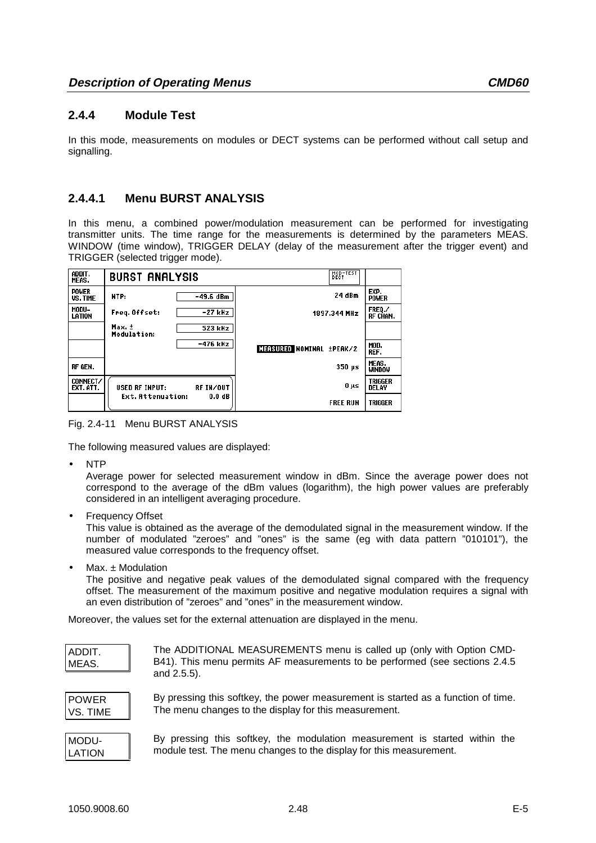# **2.4.4 Module Test**

In this mode, measurements on modules or DECT systems can be performed without call setup and signalling.

# **2.4.4.1 Menu BURST ANALYSIS**

In this menu, a combined power/modulation measurement can be performed for investigating transmitter units. The time range for the measurements is determined by the parameters MEAS. WINDOW (time window), TRIGGER DELAY (delay of the measurement after the trigger event) and TRIGGER (selected trigger mode).

| ADDIT.<br>MEAS.                 | <b>BURST ANALYSIS</b> |           | MOD-TEST                  |                         |
|---------------------------------|-----------------------|-----------|---------------------------|-------------------------|
| <b>POWER</b><br><b>US. TIME</b> | NTP:                  | -49.6 dBm | 24 dBm                    | EXP.<br><b>POWER</b>    |
| MODU-<br>LATION                 | Freq. Offset:         | -27 kHz   | 1897.344 MHz              | FREQ./<br>RF CHAN.      |
|                                 | Max. ±<br>Modulation: | 523 kHz   |                           |                         |
|                                 |                       | -476 kHz  | MEASURED NOMINAL ±PEAK/2  | MOD.<br>REF.            |
| RF GEN.                         |                       |           | $350 \text{ }\mu\text{s}$ | MEAS.<br><b>WINDOW</b>  |
| CONNECT/<br>EXT. ATT.           | <b>USED RF INPUT:</b> | RF IN/OUT | 0 µs                      | <b>TRIGGER</b><br>DELAY |
|                                 | Ext. Attenuation:     | 0.0 dB    | <b>FREE RUN</b>           | <b>TRIGGER</b>          |

Fig. 2.4-11 Menu BURST ANALYSIS

The following measured values are displayed:

• NTP

Average power for selected measurement window in dBm. Since the average power does not correspond to the average of the dBm values (logarithm), the high power values are preferably considered in an intelligent averaging procedure.

**Frequency Offset** 

This value is obtained as the average of the demodulated signal in the measurement window. If the number of modulated "zeroes" and "ones" is the same (eg with data pattern "010101"), the measured value corresponds to the frequency offset.

Max.  $±$  Modulation

The positive and negative peak values of the demodulated signal compared with the frequency offset. The measurement of the maximum positive and negative modulation requires a signal with an even distribution of "zeroes" and "ones" in the measurement window.

Moreover, the values set for the external attenuation are displayed in the menu.

| ADDIT.<br>MEAS. | The ADDITIONAL MEASUREMENTS menu is called up (only with Option CMD-<br>B41). This menu permits AF measurements to be performed (see sections 2.4.5<br>and $2.5.5$ ). |
|-----------------|-----------------------------------------------------------------------------------------------------------------------------------------------------------------------|
|-----------------|-----------------------------------------------------------------------------------------------------------------------------------------------------------------------|

POWER VS. TIME By pressing this softkey, the power measurement is started as a function of time. The menu changes to the display for this measurement.

| MODU-  |  |
|--------|--|
| LATION |  |

By pressing this softkey, the modulation measurement is started within the module test. The menu changes to the display for this measurement.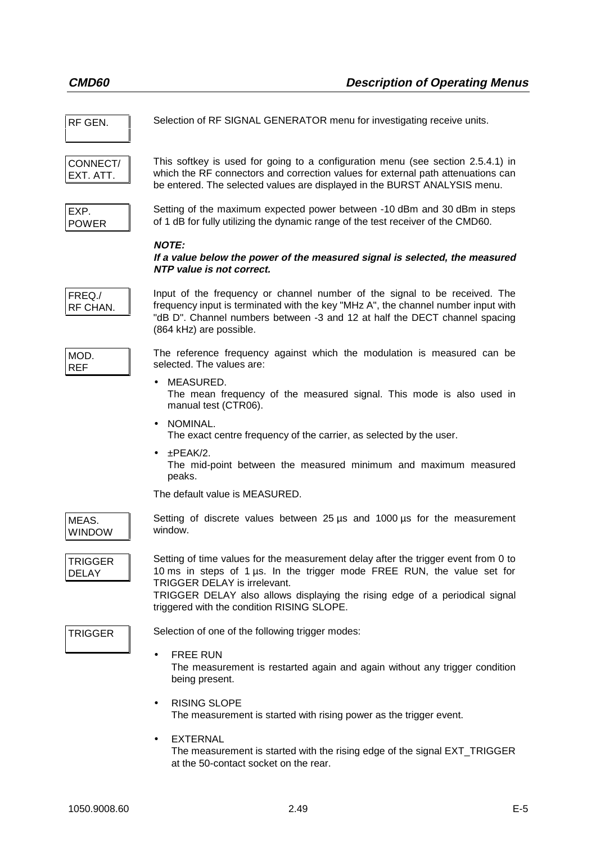| RF GEN.                 | Selection of RF SIGNAL GENERATOR menu for investigating receive units.                                                                                                                                                                                                                                                     |
|-------------------------|----------------------------------------------------------------------------------------------------------------------------------------------------------------------------------------------------------------------------------------------------------------------------------------------------------------------------|
| CONNECT/<br>EXT. ATT.   | This softkey is used for going to a configuration menu (see section 2.5.4.1) in<br>which the RF connectors and correction values for external path attenuations can<br>be entered. The selected values are displayed in the BURST ANALYSIS menu.                                                                           |
| EXP.<br><b>POWER</b>    | Setting of the maximum expected power between -10 dBm and 30 dBm in steps<br>of 1 dB for fully utilizing the dynamic range of the test receiver of the CMD60.                                                                                                                                                              |
|                         | <b>NOTE:</b><br>If a value below the power of the measured signal is selected, the measured<br>NTP value is not correct.                                                                                                                                                                                                   |
| FREQ./<br>RF CHAN.      | Input of the frequency or channel number of the signal to be received. The<br>frequency input is terminated with the key "MHz A", the channel number input with<br>"dB D". Channel numbers between -3 and 12 at half the DECT channel spacing<br>(864 kHz) are possible.                                                   |
| MOD.<br><b>REF</b>      | The reference frequency against which the modulation is measured can be<br>selected. The values are:                                                                                                                                                                                                                       |
|                         | MEASURED.<br>The mean frequency of the measured signal. This mode is also used in<br>manual test (CTR06).                                                                                                                                                                                                                  |
|                         | NOMINAL.<br>The exact centre frequency of the carrier, as selected by the user.                                                                                                                                                                                                                                            |
|                         | ±PEAK/2.<br>$\bullet$<br>The mid-point between the measured minimum and maximum measured<br>peaks.                                                                                                                                                                                                                         |
|                         | The default value is MEASURED.                                                                                                                                                                                                                                                                                             |
| MEAS.<br><b>WINDOW</b>  | Setting of discrete values between 25 $\mu$ s and 1000 $\mu$ s for the measurement<br>window.                                                                                                                                                                                                                              |
| TRIGGER<br><b>DELAY</b> | Setting of time values for the measurement delay after the trigger event from 0 to<br>10 ms in steps of 1 µs. In the trigger mode FREE RUN, the value set for<br>TRIGGER DELAY is irrelevant.<br>TRIGGER DELAY also allows displaying the rising edge of a periodical signal<br>triggered with the condition RISING SLOPE. |
| <b>TRIGGER</b>          | Selection of one of the following trigger modes:                                                                                                                                                                                                                                                                           |
|                         | <b>FREE RUN</b><br>$\bullet$<br>The measurement is restarted again and again without any trigger condition<br>being present.                                                                                                                                                                                               |
|                         | <b>RISING SLOPE</b><br>$\bullet$<br>The measurement is started with rising power as the trigger event.                                                                                                                                                                                                                     |
|                         | <b>EXTERNAL</b><br>The measurement is started with the rising edge of the signal EXT_TRIGGER                                                                                                                                                                                                                               |

at the 50-contact socket on the rear.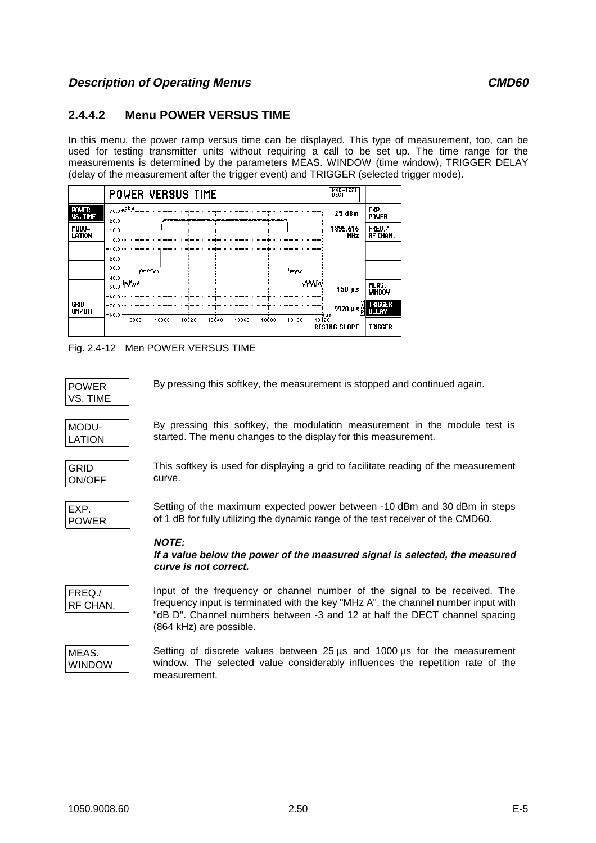# **2.4.4.2 Menu POWER VERSUS TIME**

In this menu, the power ramp versus time can be displayed. This type of measurement, too, can be used for testing transmitter units without requiring a call to be set up. The time range for the measurements is determined by the parameters MEAS. WINDOW (time window), TRIGGER DELAY (delay of the measurement after the trigger event) and TRIGGER (selected trigger mode).



Fig. 2.4-12 Men POWER VERSUS TIME

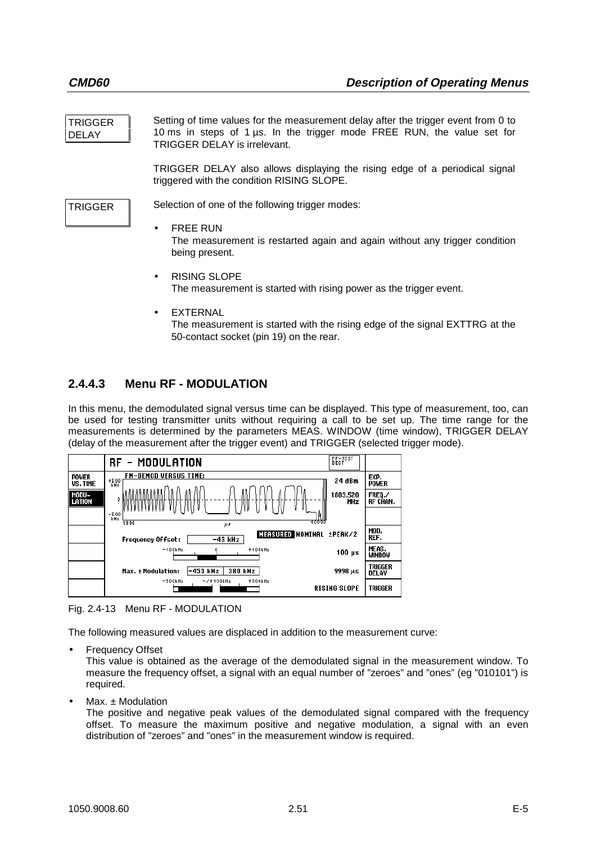| <b>TRIGGER</b><br><b>DELAY</b> | Setting of time values for the measurement delay after the trigger event from 0 to<br>10 ms in steps of 1 $\mu$ s. In the trigger mode FREE RUN, the value set for<br><b>TRIGGER DELAY is irrelevant.</b> |
|--------------------------------|-----------------------------------------------------------------------------------------------------------------------------------------------------------------------------------------------------------|
|                                | TRIGGER DELAY also allows displaying the rising edge of a periodical signal<br>triggered with the condition RISING SLOPE.                                                                                 |
| <b>TRIGGER</b>                 | Selection of one of the following trigger modes:<br><b>FREE RUN</b><br>$\bullet$                                                                                                                          |
|                                | The measurement is restarted again and again without any trigger condition<br>being present.                                                                                                              |

- RISING SLOPE The measurement is started with rising power as the trigger event.
- **EXTERNAL** The measurement is started with the rising edge of the signal EXTTRG at the 50-contact socket (pin 19) on the rear.

# **2.4.4.3 Menu RF - MODULATION**

In this menu, the demodulated signal versus time can be displayed. This type of measurement, too, can be used for testing transmitter units without requiring a call to be set up. The time range for the measurements is determined by the parameters MEAS. WINDOW (time window), TRIGGER DELAY (delay of the measurement after the trigger event) and TRIGGER (selected trigger mode).



Fig. 2.4-13 Menu RF - MODULATION

The following measured values are displaced in addition to the measurement curve:

**Frequency Offset** 

This value is obtained as the average of the demodulated signal in the measurement window. To measure the frequency offset, a signal with an equal number of "zeroes" and "ones" (eg "010101") is required.

 $Max. ± Modulation$ 

The positive and negative peak values of the demodulated signal compared with the frequency offset. To measure the maximum positive and negative modulation, a signal with an even distribution of "zeroes" and "ones" in the measurement window is required.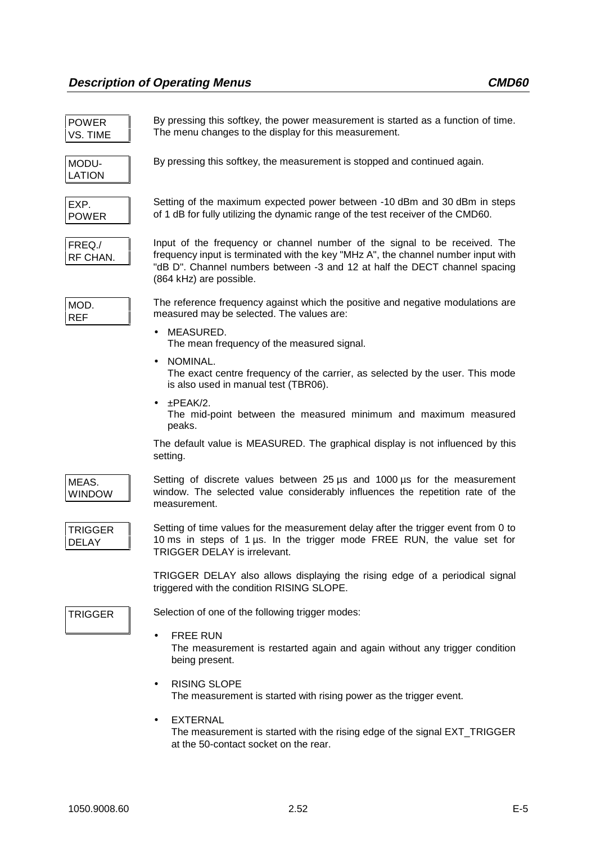| <b>POWER</b><br>VS. TIME       | By pressing this softkey, the power measurement is started as a function of time.<br>The menu changes to the display for this measurement.                                                                                                                               |
|--------------------------------|--------------------------------------------------------------------------------------------------------------------------------------------------------------------------------------------------------------------------------------------------------------------------|
| MODU-<br><b>LATION</b>         | By pressing this softkey, the measurement is stopped and continued again.                                                                                                                                                                                                |
| EXP.<br><b>POWER</b>           | Setting of the maximum expected power between -10 dBm and 30 dBm in steps<br>of 1 dB for fully utilizing the dynamic range of the test receiver of the CMD60.                                                                                                            |
| FREQ./<br>RF CHAN.             | Input of the frequency or channel number of the signal to be received. The<br>frequency input is terminated with the key "MHz A", the channel number input with<br>"dB D". Channel numbers between -3 and 12 at half the DECT channel spacing<br>(864 kHz) are possible. |
| MOD.<br><b>REF</b>             | The reference frequency against which the positive and negative modulations are<br>measured may be selected. The values are:                                                                                                                                             |
|                                | MEASURED.<br>The mean frequency of the measured signal.                                                                                                                                                                                                                  |
|                                | NOMINAL.<br>The exact centre frequency of the carrier, as selected by the user. This mode<br>is also used in manual test (TBR06).                                                                                                                                        |
|                                | $\pm$ PEAK/2.<br>The mid-point between the measured minimum and maximum measured<br>peaks.                                                                                                                                                                               |
|                                | The default value is MEASURED. The graphical display is not influenced by this<br>setting.                                                                                                                                                                               |
| MEAS.<br><b>WINDOW</b>         | Setting of discrete values between 25 us and 1000 us for the measurement<br>window. The selected value considerably influences the repetition rate of the<br>measurement.                                                                                                |
| <b>TRIGGER</b><br><b>DELAY</b> | Setting of time values for the measurement delay after the trigger event from 0 to<br>10 ms in steps of 1 us. In the trigger mode FREE RUN, the value set for<br>TRIGGER DELAY is irrelevant.                                                                            |
|                                | TRIGGER DELAY also allows displaying the rising edge of a periodical signal<br>triggered with the condition RISING SLOPE.                                                                                                                                                |
| <b>TRIGGER</b>                 | Selection of one of the following trigger modes:                                                                                                                                                                                                                         |
|                                | <b>FREE RUN</b><br>The measurement is restarted again and again without any trigger condition<br>being present.                                                                                                                                                          |
|                                | <b>RISING SLOPE</b><br>The measurement is started with rising power as the trigger event.                                                                                                                                                                                |
|                                | <b>EXTERNAL</b><br>The measurement is started with the rising edge of the signal EXT_TRIGGER<br>at the 50-contact socket on the rear.                                                                                                                                    |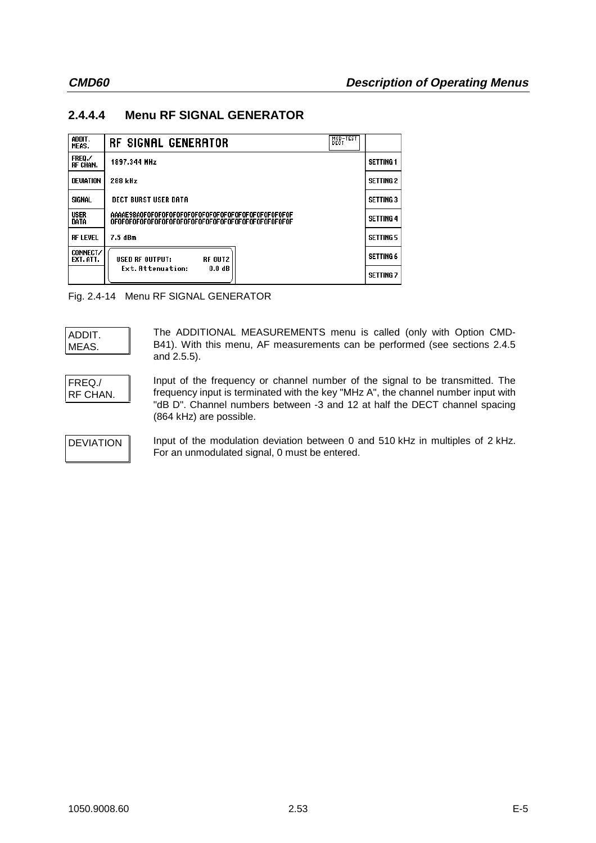# **2.4.4.4 Menu RF SIGNAL GENERATOR**

| ADDIT.<br>MEAS.       | MOD-TEST<br><b>RF SIGNAL GENERATOR</b> |                  |
|-----------------------|----------------------------------------|------------------|
| FREQ./<br>RF CHAN.    | 1897.344 MHz                           | <b>SETTING 1</b> |
| <b>DEVIATION</b>      | 288 kHz                                | <b>SETTING 2</b> |
| SIGNAL                | <b>DECT BURST USER DATA</b>            | <b>SETTING 3</b> |
| <b>USER</b><br>DATA   |                                        | <b>SETTING 4</b> |
| <b>RF LEVEL</b>       | 7.5 dBm                                | <b>SETTING 5</b> |
| CONNECT/<br>EXT. ATT. | <b>RF OUT2</b><br>USED RF OUTPUT:      | <b>SETTING 6</b> |
|                       | Ext. Attenuation:<br>0.0 dB            | <b>SETTING 7</b> |

Fig. 2.4-14 Menu RF SIGNAL GENERATOR

| ADDIT. |  |
|--------|--|
| MEAS.  |  |

The ADDITIONAL MEASUREMENTS menu is called (only with Option CMD-B41). With this menu, AF measurements can be performed (see sections 2.4.5 and 2.5.5).

```
FREQ./
RF CHAN.
```
Input of the frequency or channel number of the signal to be transmitted. The frequency input is terminated with the key "MHz A", the channel number input with "dB D". Channel numbers between -3 and 12 at half the DECT channel spacing (864 kHz) are possible.

DEVIATION Input of the modulation deviation between 0 and 510 kHz in multiples of 2 kHz. For an unmodulated signal, 0 must be entered.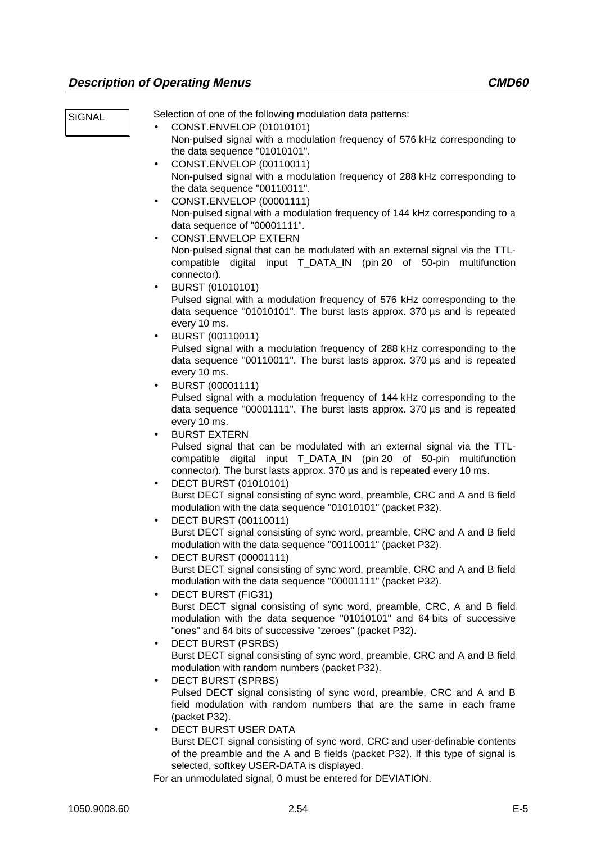SIGNAL Selection of one of the following modulation data patterns:

- CONST.ENVELOP (01010101) Non-pulsed signal with a modulation frequency of 576 kHz corresponding to the data sequence "01010101".
- CONST.ENVELOP (00110011) Non-pulsed signal with a modulation frequency of 288 kHz corresponding to the data sequence "00110011".
- CONST.ENVELOP (00001111) Non-pulsed signal with a modulation frequency of 144 kHz corresponding to a data sequence of "00001111".
- CONST.ENVELOP EXTERN Non-pulsed signal that can be modulated with an external signal via the TTLcompatible digital input T\_DATA\_IN (pin 20 of 50-pin multifunction connector).
- BURST (01010101) Pulsed signal with a modulation frequency of 576 kHz corresponding to the data sequence "01010101". The burst lasts approx. 370 µs and is repeated every 10 ms.
- BURST (00110011)

Pulsed signal with a modulation frequency of 288 kHz corresponding to the data sequence "00110011". The burst lasts approx. 370 µs and is repeated every 10 ms.

• BURST (00001111)

Pulsed signal with a modulation frequency of 144 kHz corresponding to the data sequence "00001111". The burst lasts approx. 370 µs and is repeated every 10 ms.

• BURST EXTERN

Pulsed signal that can be modulated with an external signal via the TTLcompatible digital input T\_DATA\_IN (pin 20 of 50-pin multifunction connector). The burst lasts approx. 370 µs and is repeated every 10 ms.

- DECT BURST (01010101) Burst DECT signal consisting of sync word, preamble, CRC and A and B field modulation with the data sequence "01010101" (packet P32).
- DECT BURST (00110011) Burst DECT signal consisting of sync word, preamble, CRC and A and B field modulation with the data sequence "00110011" (packet P32).
- DECT BURST (00001111) Burst DECT signal consisting of sync word, preamble, CRC and A and B field modulation with the data sequence "00001111" (packet P32).
- DECT BURST (FIG31) Burst DECT signal consisting of sync word, preamble, CRC, A and B field modulation with the data sequence "01010101" and 64 bits of successive "ones" and 64 bits of successive "zeroes" (packet P32).
- DECT BURST (PSRBS)

Burst DECT signal consisting of sync word, preamble, CRC and A and B field modulation with random numbers (packet P32).

- DECT BURST (SPRBS) Pulsed DECT signal consisting of sync word, preamble, CRC and A and B field modulation with random numbers that are the same in each frame (packet P32).
- DECT BURST USER DATA Burst DECT signal consisting of sync word, CRC and user-definable contents of the preamble and the A and B fields (packet P32). If this type of signal is selected, softkey USER-DATA is displayed.

For an unmodulated signal, 0 must be entered for DEVIATION.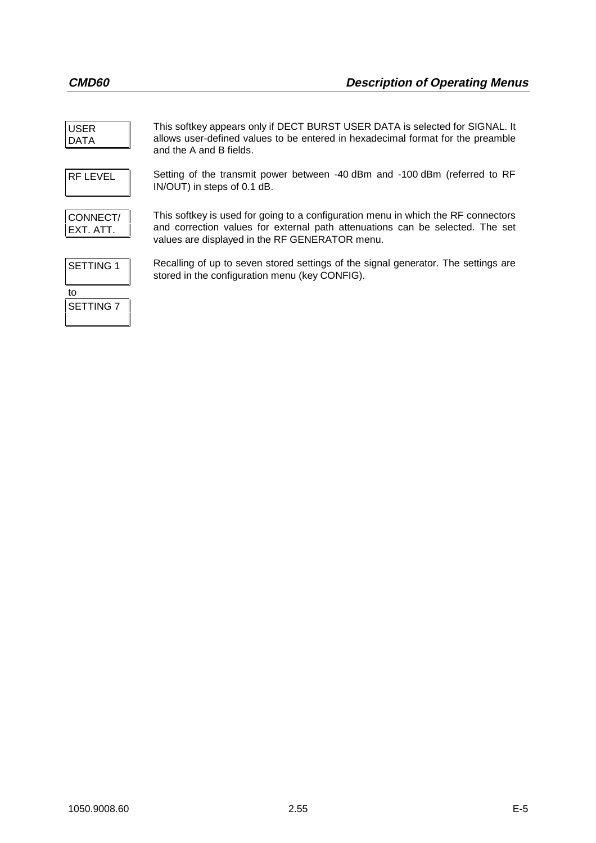| <b>USER</b><br><b>DATA</b> | This softkey appears only if DECT BURST USER DATA is selected for SIGNAL. It<br>allows user-defined values to be entered in hexadecimal format for the preamble<br>and the A and B fields.                           |
|----------------------------|----------------------------------------------------------------------------------------------------------------------------------------------------------------------------------------------------------------------|
| <b>RF LEVEL</b>            | Setting of the transmit power between -40 dBm and -100 dBm (referred to RF<br>IN/OUT) in steps of 0.1 dB.                                                                                                            |
| CONNECT/<br>EXT. ATT.      | This softkey is used for going to a configuration menu in which the RF connectors<br>and correction values for external path attenuations can be selected. The set<br>values are displayed in the RF GENERATOR menu. |
| <b>SETTING 1</b>           | Recalling of up to seven stored settings of the signal generator. The settings are<br>stored in the configuration menu (key CONFIG).                                                                                 |
| to<br><b>SETTING 7</b>     |                                                                                                                                                                                                                      |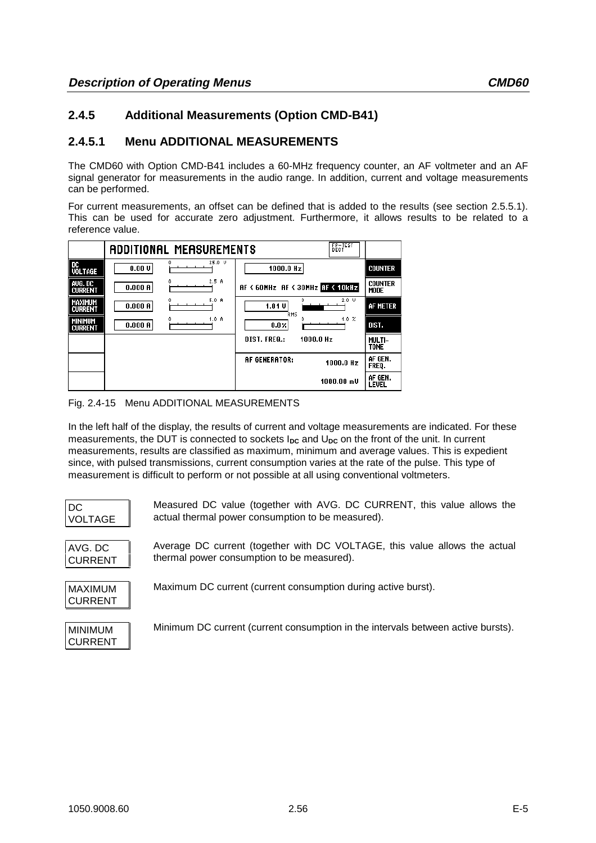# **2.4.5 Additional Measurements (Option CMD-B41)**

# **2.4.5.1 Menu ADDITIONAL MEASUREMENTS**

The CMD60 with Option CMD-B41 includes a 60-MHz frequency counter, an AF voltmeter and an AF signal generator for measurements in the audio range. In addition, current and voltage measurements can be performed.

For current measurements, an offset can be defined that is added to the results (see section 2.5.5.1). This can be used for accurate zero adjustment. Furthermore, it allows results to be related to a reference value.





In the left half of the display, the results of current and voltage measurements are indicated. For these measurements, the DUT is connected to sockets I<sub>DC</sub> and U<sub>DC</sub> on the front of the unit. In current measurements, results are classified as maximum, minimum and average values. This is expedient since, with pulsed transmissions, current consumption varies at the rate of the pulse. This type of measurement is difficult to perform or not possible at all using conventional voltmeters.

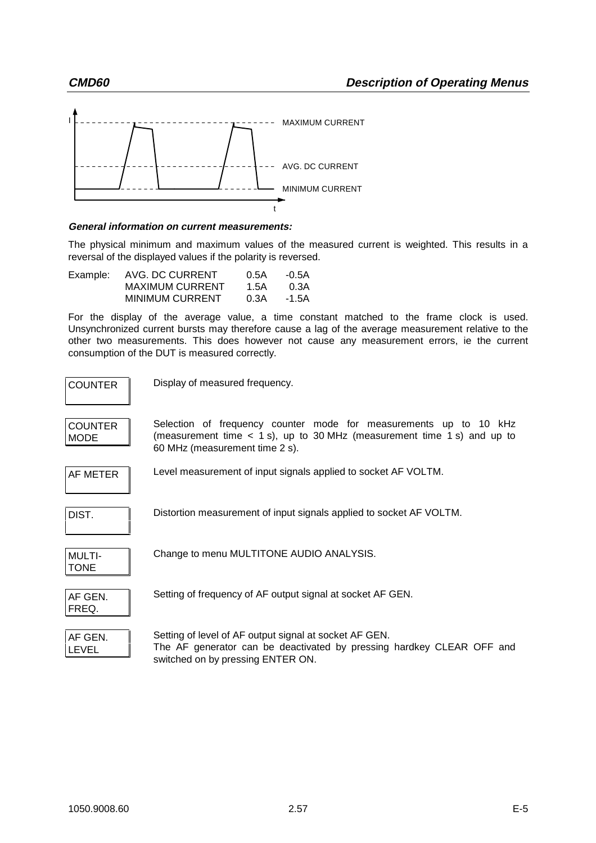

## **General information on current measurements:**

The physical minimum and maximum values of the measured current is weighted. This results in a reversal of the displayed values if the polarity is reversed.

| Example: | AVG. DC CURRENT        | 0.5A | -0.5A |
|----------|------------------------|------|-------|
|          | <b>MAXIMUM CURRENT</b> | 1.5A | 0.3A  |
|          | <b>MINIMUM CURRENT</b> | 0.3A | -1.5A |

For the display of the average value, a time constant matched to the frame clock is used. Unsynchronized current bursts may therefore cause a lag of the average measurement relative to the other two measurements. This does however not cause any measurement errors, ie the current consumption of the DUT is measured correctly.

| <b>COUNTER</b>                | Display of measured frequency.                                                                                                                                                 |
|-------------------------------|--------------------------------------------------------------------------------------------------------------------------------------------------------------------------------|
| <b>COUNTER</b><br><b>MODE</b> | Selection of frequency counter mode for measurements up to 10 kHz<br>(measurement time < 1 s), up to 30 MHz (measurement time 1 s) and up to<br>60 MHz (measurement time 2 s). |
| AF METER                      | Level measurement of input signals applied to socket AF VOLTM.                                                                                                                 |
| DIST.                         | Distortion measurement of input signals applied to socket AF VOLTM.                                                                                                            |
| <b>MULTI-</b><br><b>TONE</b>  | Change to menu MULTITONE AUDIO ANALYSIS.                                                                                                                                       |
| AF GEN.<br>FREQ.              | Setting of frequency of AF output signal at socket AF GEN.                                                                                                                     |
| AF GEN.<br><b>LEVEL</b>       | Setting of level of AF output signal at socket AF GEN.<br>The AF generator can be deactivated by pressing hardkey CLEAR OFF and<br>switched on by pressing ENTER ON.           |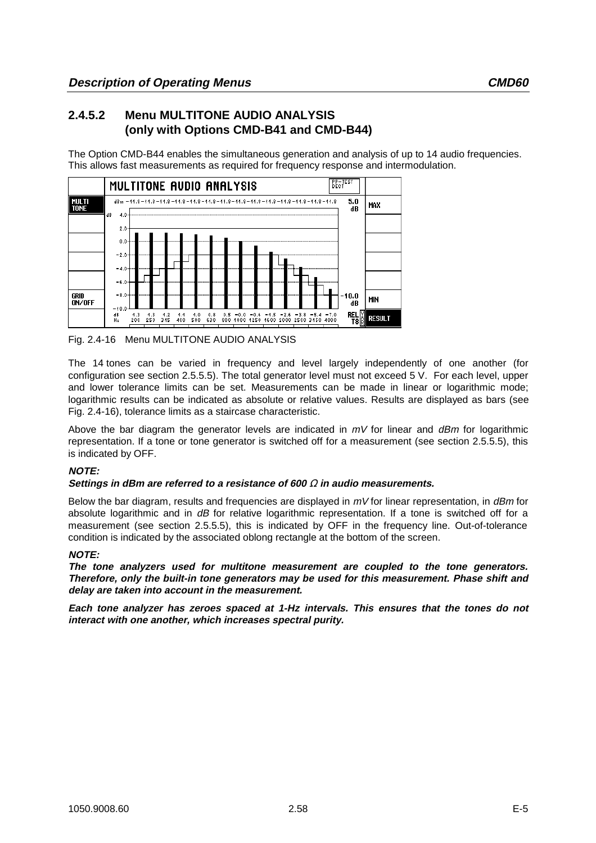# **2.4.5.2 Menu MULTITONE AUDIO ANALYSIS (only with Options CMD-B41 and CMD-B44)**

The Option CMD-B44 enables the simultaneous generation and analysis of up to 14 audio frequencies. This allows fast measurements as required for frequency response and intermodulation.



Fig. 2.4-16 Menu MULTITONE AUDIO ANALYSIS

The 14 tones can be varied in frequency and level largely independently of one another (for configuration see section 2.5.5.5). The total generator level must not exceed 5 V. For each level, upper and lower tolerance limits can be set. Measurements can be made in linear or logarithmic mode; logarithmic results can be indicated as absolute or relative values. Results are displayed as bars (see Fig. 2.4-16), tolerance limits as a staircase characteristic.

Above the bar diagram the generator levels are indicated in  $mV$  for linear and  $dBm$  for logarithmic representation. If a tone or tone generator is switched off for a measurement (see section 2.5.5.5), this is indicated by OFF.

# **NOTE:**

## **Settings in dBm are referred to a resistance of 600** Ω **in audio measurements.**

Below the bar diagram, results and frequencies are displayed in  $mV$  for linear representation, in  $dBm$  for absolute logarithmic and in dB for relative logarithmic representation. If a tone is switched off for a measurement (see section 2.5.5.5), this is indicated by OFF in the frequency line. Out-of-tolerance condition is indicated by the associated oblong rectangle at the bottom of the screen.

## **NOTE:**

**The tone analyzers used for multitone measurement are coupled to the tone generators. Therefore, only the built-in tone generators may be used for this measurement. Phase shift and delay are taken into account in the measurement.**

**Each tone analyzer has zeroes spaced at 1-Hz intervals. This ensures that the tones do not interact with one another, which increases spectral purity.**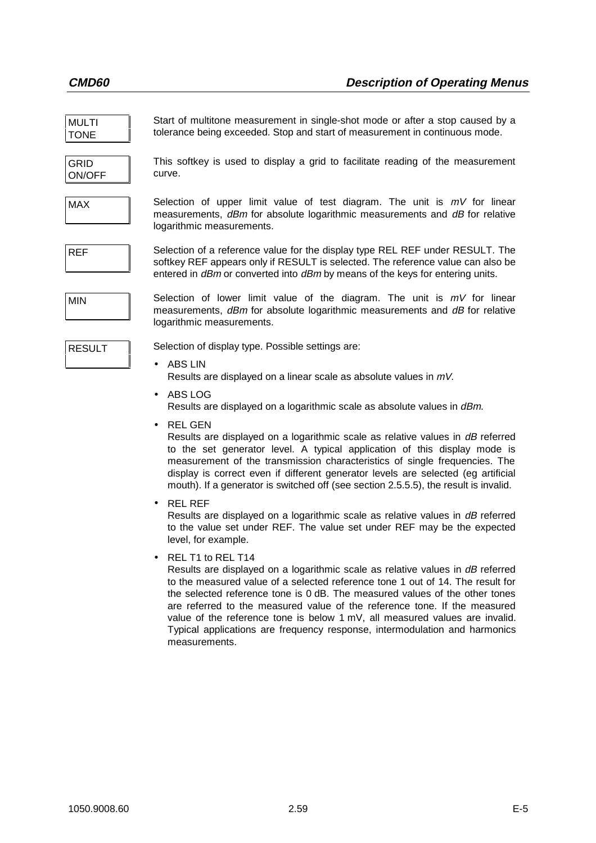| <b>MULTI</b><br><b>TONE</b> | Start of multitone measurement in single-shot mode or after a stop caused by a<br>tolerance being exceeded. Stop and start of measurement in continuous mode.                                                                                                                                                                                                                                                                            |
|-----------------------------|------------------------------------------------------------------------------------------------------------------------------------------------------------------------------------------------------------------------------------------------------------------------------------------------------------------------------------------------------------------------------------------------------------------------------------------|
| <b>GRID</b><br>ON/OFF       | This softkey is used to display a grid to facilitate reading of the measurement<br>curve.                                                                                                                                                                                                                                                                                                                                                |
| <b>MAX</b>                  | Selection of upper limit value of test diagram. The unit is $mV$ for linear<br>measurements, dBm for absolute logarithmic measurements and dB for relative<br>logarithmic measurements.                                                                                                                                                                                                                                                  |
| <b>REF</b>                  | Selection of a reference value for the display type REL REF under RESULT. The<br>softkey REF appears only if RESULT is selected. The reference value can also be<br>entered in dBm or converted into dBm by means of the keys for entering units.                                                                                                                                                                                        |
| <b>MIN</b>                  | Selection of lower limit value of the diagram. The unit is $mV$ for linear<br>measurements, dBm for absolute logarithmic measurements and dB for relative<br>logarithmic measurements.                                                                                                                                                                                                                                                   |
| <b>RESULT</b>               | Selection of display type. Possible settings are:                                                                                                                                                                                                                                                                                                                                                                                        |
|                             | <b>ABS LIN</b><br>Results are displayed on a linear scale as absolute values in $mV$ .                                                                                                                                                                                                                                                                                                                                                   |
|                             | ABS LOG<br>$\bullet$<br>Results are displayed on a logarithmic scale as absolute values in dBm.                                                                                                                                                                                                                                                                                                                                          |
|                             | <b>REL GEN</b><br>Results are displayed on a logarithmic scale as relative values in dB referred<br>to the set generator level. A typical application of this display mode is<br>measurement of the transmission characteristics of single frequencies. The<br>display is correct even if different generator levels are selected (eg artificial<br>mouth). If a generator is switched off (see section 2.5.5.5), the result is invalid. |
|                             | <b>REL REF</b><br>$\bullet$<br>Results are displayed on a logarithmic scale as relative values in dB referred<br>to the value set under REF. The value set under REF may be the expected<br>level, for example.                                                                                                                                                                                                                          |

• REL T1 to REL T14

Results are displayed on a logarithmic scale as relative values in dB referred to the measured value of a selected reference tone 1 out of 14. The result for the selected reference tone is 0 dB. The measured values of the other tones are referred to the measured value of the reference tone. If the measured value of the reference tone is below 1 mV, all measured values are invalid. Typical applications are frequency response, intermodulation and harmonics measurements.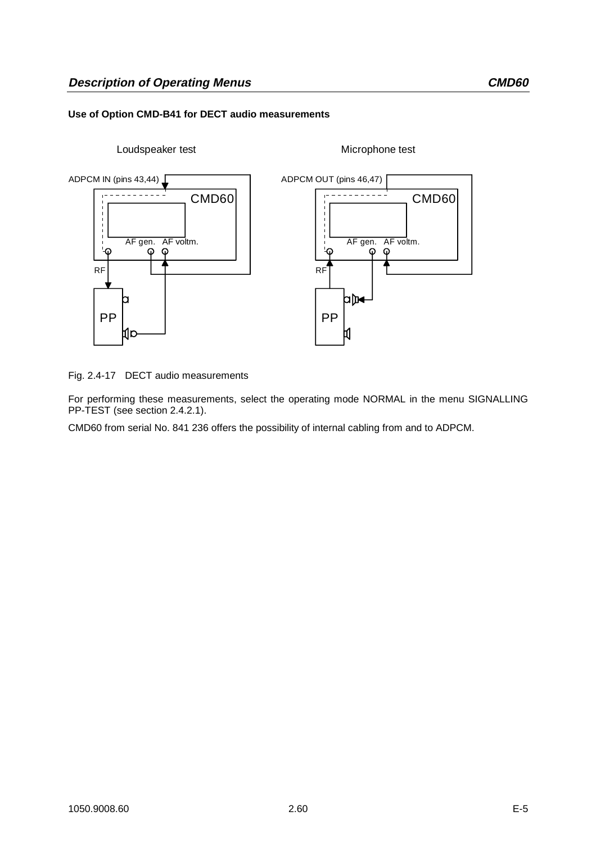## **Use of Option CMD-B41 for DECT audio measurements**



Fig. 2.4-17 DECT audio measurements

For performing these measurements, select the operating mode NORMAL in the menu SIGNALLING PP-TEST (see section 2.4.2.1).

CMD60 from serial No. 841 236 offers the possibility of internal cabling from and to ADPCM.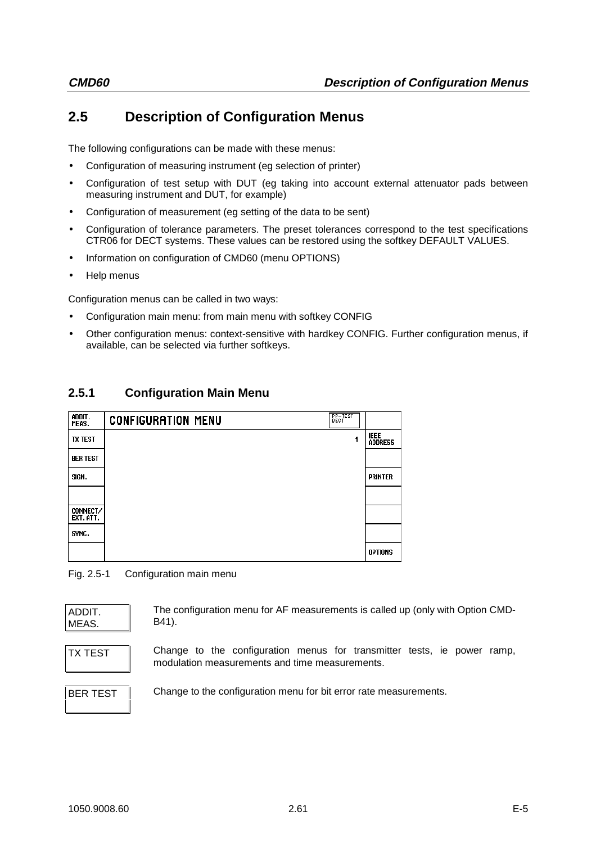# **2.5 Description of Configuration Menus**

The following configurations can be made with these menus:

- Configuration of measuring instrument (eg selection of printer)
- Configuration of test setup with DUT (eg taking into account external attenuator pads between measuring instrument and DUT, for example)
- Configuration of measurement (eg setting of the data to be sent)
- Configuration of tolerance parameters. The preset tolerances correspond to the test specifications CTR06 for DECT systems. These values can be restored using the softkey DEFAULT VALUES.
- Information on configuration of CMD60 (menu OPTIONS)
- Help menus

Configuration menus can be called in two ways:

- Configuration main menu: from main menu with softkey CONFIG
- Other configuration menus: context-sensitive with hardkey CONFIG. Further configuration menus, if available, can be selected via further softkeys.

# **2.5.1 Configuration Main Menu**

| addit.<br>Meas.              | PP-TEST<br>DECT<br><b>CONFIGURATION MENU</b> |                               |
|------------------------------|----------------------------------------------|-------------------------------|
| <b>TX TEST</b>               |                                              | <b>IEEE</b><br><b>ADDRESS</b> |
| <b>BER TEST</b>              |                                              |                               |
| SIGN.                        |                                              | <b>PRINTER</b>                |
|                              |                                              |                               |
| <b>CONNECT/</b><br>EXT. ATT. |                                              |                               |
| SYNC.                        |                                              |                               |
|                              |                                              | <b>OPTIONS</b>                |

Fig. 2.5-1 Configuration main menu

| ADDIT<br>MEAS. |  |
|----------------|--|
|                |  |

The configuration menu for AF measurements is called up (only with Option CMD-B41).

TX TEST | Change to the configuration menus for transmitter tests, ie power ramp, modulation measurements and time measurements.

BER TEST Change to the configuration menu for bit error rate measurements.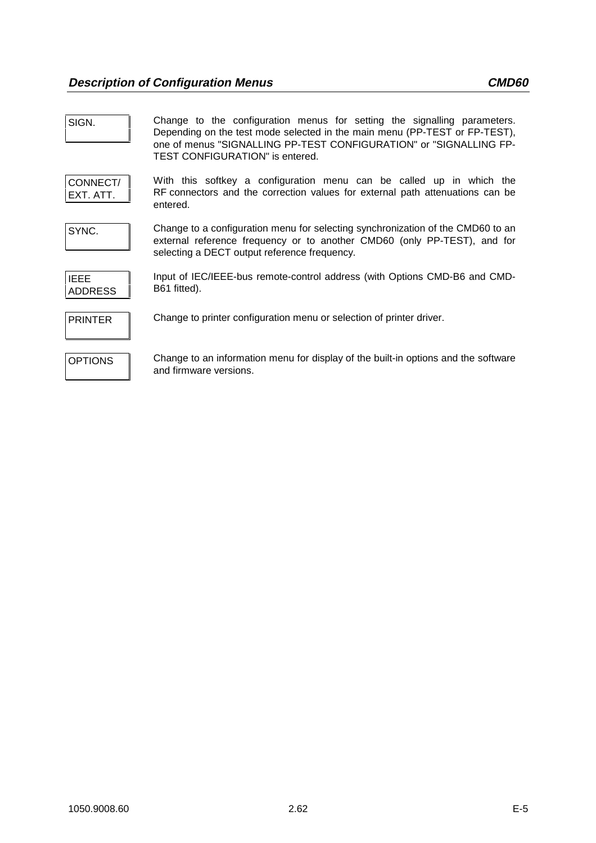| SIGN.                         | Change to the configuration menus for setting the signalling parameters.<br>Depending on the test mode selected in the main menu (PP-TEST or FP-TEST),<br>one of menus "SIGNALLING PP-TEST CONFIGURATION" or "SIGNALLING FP-<br><b>TEST CONFIGURATION"</b> is entered. |
|-------------------------------|------------------------------------------------------------------------------------------------------------------------------------------------------------------------------------------------------------------------------------------------------------------------|
| CONNECT/<br>EXT. ATT.         | With this softkey a configuration menu can be called up in which the<br>RF connectors and the correction values for external path attenuations can be<br>entered.                                                                                                      |
| SYNC.                         | Change to a configuration menu for selecting synchronization of the CMD60 to an<br>external reference frequency or to another CMD60 (only PP-TEST), and for<br>selecting a DECT output reference frequency.                                                            |
| <b>IEEE</b><br><b>ADDRESS</b> | Input of IEC/IEEE-bus remote-control address (with Options CMD-B6 and CMD-<br>B61 fitted).                                                                                                                                                                             |
| <b>PRINTER</b>                | Change to printer configuration menu or selection of printer driver.                                                                                                                                                                                                   |
| <b>OPTIONS</b>                | Change to an information menu for display of the built-in options and the software<br>and firmware versions.                                                                                                                                                           |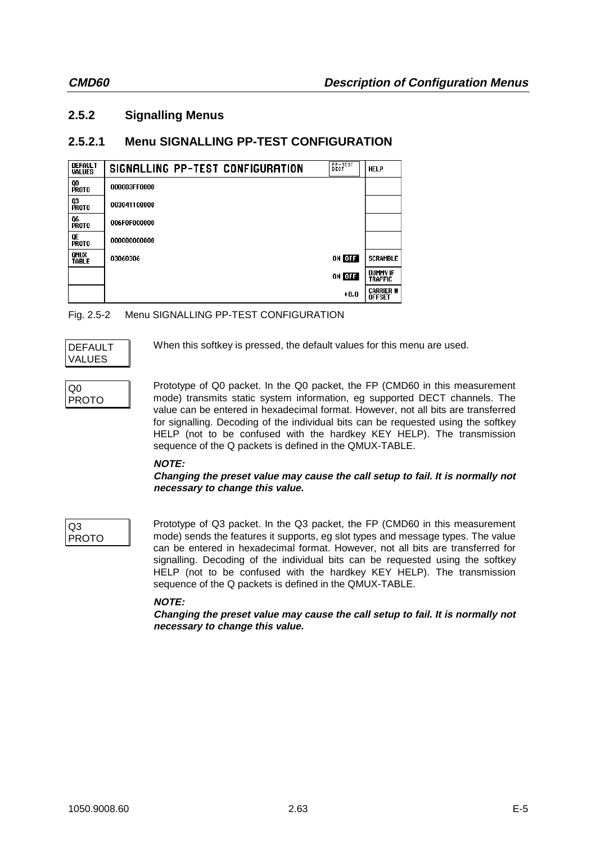# **2.5.2 Signalling Menus**

# **2.5.2.1 Menu SIGNALLING PP-TEST CONFIGURATION**

| <b>DEFAULT</b><br><b>VALUES</b> | <b>BECTEST</b><br>SIGNALLING PP-TEST CONFIGURATION | <b>HELP</b>                       |
|---------------------------------|----------------------------------------------------|-----------------------------------|
| QO<br>PROTO                     | 000003FF0000                                       |                                   |
| Q3<br>PROTO                     | 003041108008                                       |                                   |
| Q6<br>Proto                     | 006F0F000000                                       |                                   |
| QE<br>PROTO                     | 000000000000                                       |                                   |
| QMUX<br>TABLE                   | ON OFF<br>03060306                                 | <b>SCRAMBLE</b>                   |
|                                 | ON OFF                                             | <b>DUMMY IF</b><br><b>TRAFFIC</b> |
|                                 | $+0.0$                                             | <b>CARRIER #</b><br><b>OFFSET</b> |

# Fig. 2.5-2 Menu SIGNALLING PP-TEST CONFIGURATION

| I DEFAULT |  |
|-----------|--|
| VALUES    |  |

When this softkey is pressed, the default values for this menu are used.

Q0 PROTO Prototype of Q0 packet. In the Q0 packet, the FP (CMD60 in this measurement mode) transmits static system information, eg supported DECT channels. The value can be entered in hexadecimal format. However, not all bits are transferred for signalling. Decoding of the individual bits can be requested using the softkey HELP (not to be confused with the hardkey KEY HELP). The transmission sequence of the Q packets is defined in the QMUX-TABLE.

# **NOTE:**

## **Changing the preset value may cause the call setup to fail. It is normally not necessary to change this value.**

Q3 PROTO Prototype of Q3 packet. In the Q3 packet, the FP (CMD60 in this measurement mode) sends the features it supports, eg slot types and message types. The value can be entered in hexadecimal format. However, not all bits are transferred for signalling. Decoding of the individual bits can be requested using the softkey HELP (not to be confused with the hardkey KEY HELP). The transmission sequence of the Q packets is defined in the QMUX-TABLE.

# **NOTE:**

**Changing the preset value may cause the call setup to fail. It is normally not necessary to change this value.**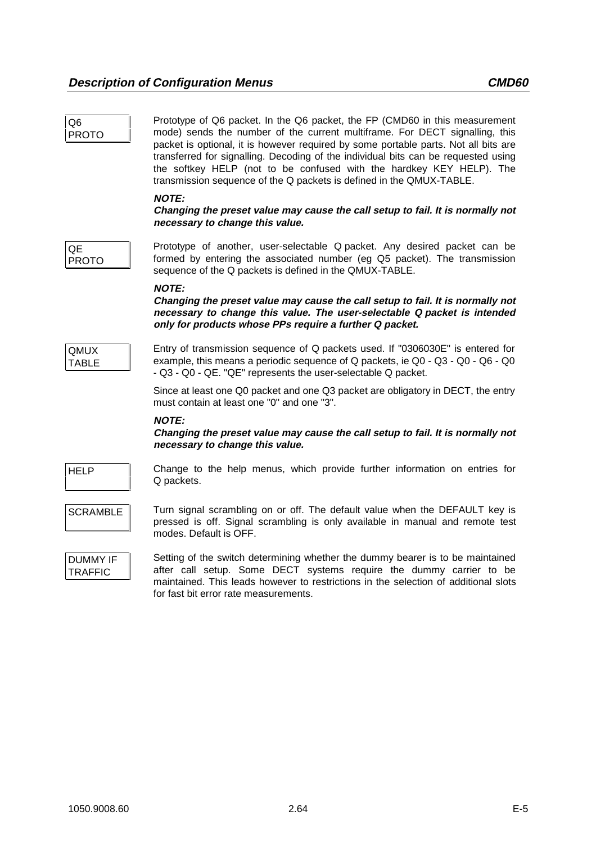| Q6<br><b>PROTO</b>                | Prototype of Q6 packet. In the Q6 packet, the FP (CMD60 in this measurement<br>mode) sends the number of the current multiframe. For DECT signalling, this<br>packet is optional, it is however required by some portable parts. Not all bits are<br>transferred for signalling. Decoding of the individual bits can be requested using<br>the softkey HELP (not to be confused with the hardkey KEY HELP). The<br>transmission sequence of the Q packets is defined in the QMUX-TABLE. |
|-----------------------------------|-----------------------------------------------------------------------------------------------------------------------------------------------------------------------------------------------------------------------------------------------------------------------------------------------------------------------------------------------------------------------------------------------------------------------------------------------------------------------------------------|
|                                   | <b>NOTE:</b><br>Changing the preset value may cause the call setup to fail. It is normally not<br>necessary to change this value.                                                                                                                                                                                                                                                                                                                                                       |
| QE.<br><b>PROTO</b>               | Prototype of another, user-selectable Q packet. Any desired packet can be<br>formed by entering the associated number (eg Q5 packet). The transmission<br>sequence of the Q packets is defined in the QMUX-TABLE.                                                                                                                                                                                                                                                                       |
|                                   | <b>NOTE:</b><br>Changing the preset value may cause the call setup to fail. It is normally not<br>necessary to change this value. The user-selectable Q packet is intended<br>only for products whose PPs require a further Q packet.                                                                                                                                                                                                                                                   |
| <b>QMUX</b><br><b>TABLE</b>       | Entry of transmission sequence of Q packets used. If "0306030E" is entered for<br>example, this means a periodic sequence of Q packets, ie Q0 - Q3 - Q0 - Q6 - Q0<br>- Q3 - Q0 - QE. "QE" represents the user-selectable Q packet.                                                                                                                                                                                                                                                      |
|                                   | Since at least one Q0 packet and one Q3 packet are obligatory in DECT, the entry<br>must contain at least one "0" and one "3".                                                                                                                                                                                                                                                                                                                                                          |
|                                   | <b>NOTE:</b><br>Changing the preset value may cause the call setup to fail. It is normally not<br>necessary to change this value.                                                                                                                                                                                                                                                                                                                                                       |
| <b>HELP</b>                       | Change to the help menus, which provide further information on entries for<br>Q packets.                                                                                                                                                                                                                                                                                                                                                                                                |
| <b>SCRAMBLE</b>                   | Turn signal scrambling on or off. The default value when the DEFAULT key is<br>pressed is off. Signal scrambling is only available in manual and remote test<br>modes. Default is OFF.                                                                                                                                                                                                                                                                                                  |
| <b>DUMMY IF</b><br><b>TRAFFIC</b> | Setting of the switch determining whether the dummy bearer is to be maintained<br>after call setup. Some DECT systems require the dummy carrier to be<br>maintained. This leads however to restrictions in the selection of additional slots<br>for fast bit error rate measurements.                                                                                                                                                                                                   |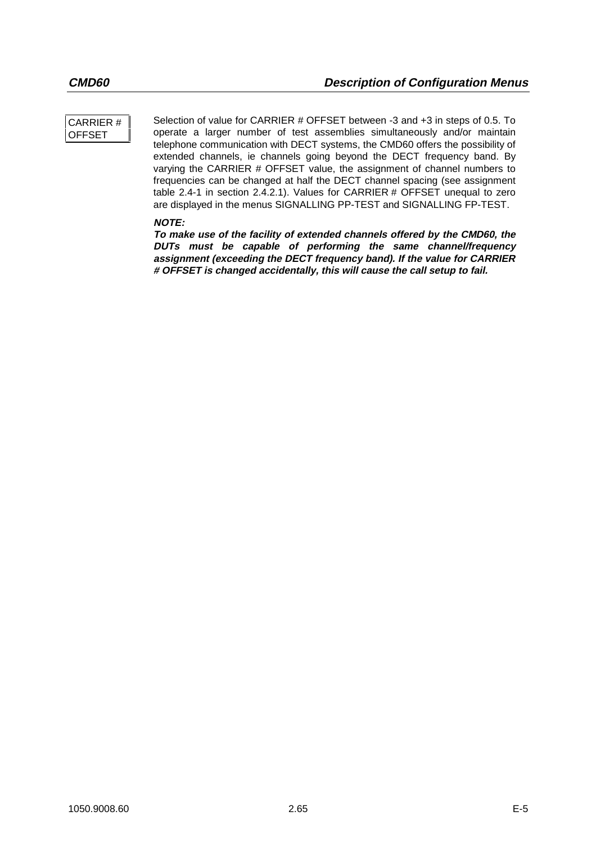## CARRIER # **OFFSET**

Selection of value for CARRIER # OFFSET between -3 and +3 in steps of 0.5. To operate a larger number of test assemblies simultaneously and/or maintain telephone communication with DECT systems, the CMD60 offers the possibility of extended channels, ie channels going beyond the DECT frequency band. By varying the CARRIER # OFFSET value, the assignment of channel numbers to frequencies can be changed at half the DECT channel spacing (see assignment table 2.4-1 in section 2.4.2.1). Values for CARRIER # OFFSET unequal to zero are displayed in the menus SIGNALLING PP-TEST and SIGNALLING FP-TEST.

## **NOTE:**

**To make use of the facility of extended channels offered by the CMD60, the DUTs must be capable of performing the same channel/frequency assignment (exceeding the DECT frequency band). If the value for CARRIER # OFFSET is changed accidentally, this will cause the call setup to fail.**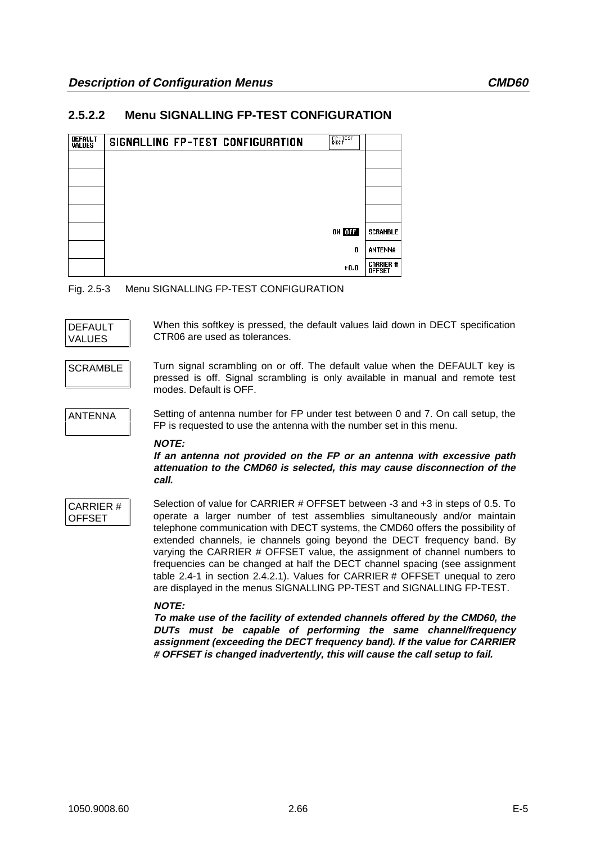# **2.5.2.2 Menu SIGNALLING FP-TEST CONFIGURATION**

| <b>DEFAULT</b><br><b>VALUES</b> | SIGNALLING FP-TEST CONFIGURATION | <b>EECTEST</b> |                            |
|---------------------------------|----------------------------------|----------------|----------------------------|
|                                 |                                  |                |                            |
|                                 |                                  |                |                            |
|                                 |                                  |                |                            |
|                                 |                                  |                |                            |
|                                 |                                  | ON OFF         | <b>SCRAMBLE</b>            |
|                                 |                                  | 0              | ANTENNA                    |
|                                 |                                  | $+0.0$         | Carrier #<br><b>OFFSET</b> |

Fig. 2.5-3 Menu SIGNALLING FP-TEST CONFIGURATION

| I DEFAULT |  |
|-----------|--|
| I VALUES  |  |

When this softkey is pressed, the default values laid down in DECT specification CTR06 are used as tolerances.

SCRAMBLE Turn signal scrambling on or off. The default value when the DEFAULT key is pressed is off. Signal scrambling is only available in manual and remote test modes. Default is OFF.

ANTENNA Setting of antenna number for FP under test between 0 and 7. On call setup, the FP is requested to use the antenna with the number set in this menu.

**NOTE:**

**If an antenna not provided on the FP or an antenna with excessive path attenuation to the CMD60 is selected, this may cause disconnection of the call.**

CARRIER # OFFSET

Selection of value for CARRIER # OFFSET between -3 and +3 in steps of 0.5. To operate a larger number of test assemblies simultaneously and/or maintain telephone communication with DECT systems, the CMD60 offers the possibility of extended channels, ie channels going beyond the DECT frequency band. By varying the CARRIER # OFFSET value, the assignment of channel numbers to frequencies can be changed at half the DECT channel spacing (see assignment table 2.4-1 in section 2.4.2.1). Values for CARRIER # OFFSET unequal to zero are displayed in the menus SIGNALLING PP-TEST and SIGNALLING FP-TEST.

## **NOTE:**

**To make use of the facility of extended channels offered by the CMD60, the DUTs must be capable of performing the same channel/frequency assignment (exceeding the DECT frequency band). If the value for CARRIER # OFFSET is changed inadvertently, this will cause the call setup to fail.**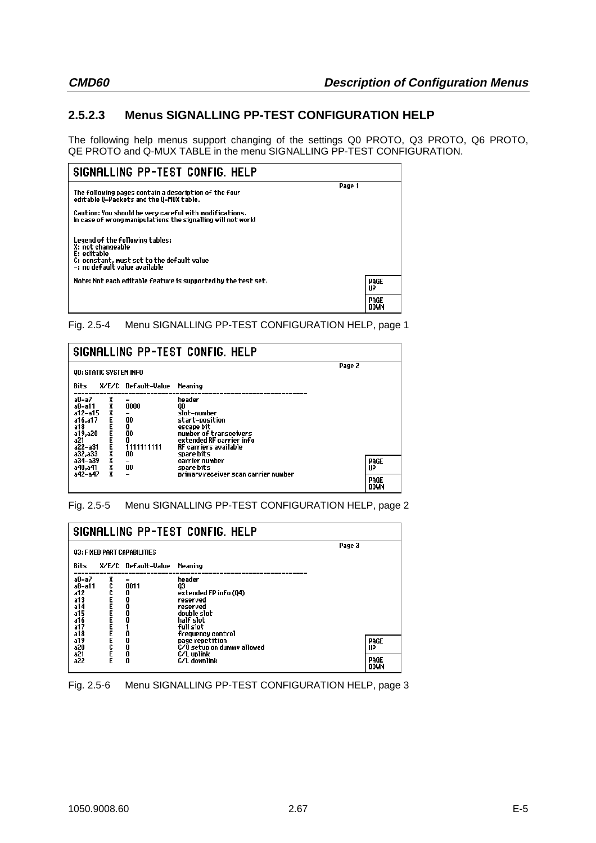# **2.5.2.3 Menus SIGNALLING PP-TEST CONFIGURATION HELP**

The following help menus support changing of the settings Q0 PROTO, Q3 PROTO, Q6 PROTO, QE PROTO and Q-MUX TABLE in the menu SIGNALLING PP-TEST CONFIGURATION.



Fig. 2.5-4 Menu SIGNALLING PP-TEST CONFIGURATION HELP, page 1

| SIGNALLING PP-TEST CONFIG. HELP                                                            |             |                                                            |                                                                                                                                                                 |        |                                   |
|--------------------------------------------------------------------------------------------|-------------|------------------------------------------------------------|-----------------------------------------------------------------------------------------------------------------------------------------------------------------|--------|-----------------------------------|
| <b>QO: STATIC SYSTEM INFO</b>                                                              |             |                                                            |                                                                                                                                                                 | Page 2 |                                   |
| Bits                                                                                       |             | X/E/C Default-Value                                        | Meaning                                                                                                                                                         |        |                                   |
| a0-a7<br>a8-a11<br>$a12-a15$<br>a16,a17<br>a18<br>a19,a20<br>a21<br>$a22 - a31$<br>a32,a33 | X<br>X<br>X | 0000<br>00<br>0<br>00<br>0<br>111111111<br>00              | header<br>QO<br>slot-number<br>start-position<br>escape bit<br>number of transceivers<br>extended RF carrier info<br><b>RF</b> carriers available<br>spare bits |        |                                   |
| a34-a39<br>a40,a41<br>a42-a47                                                              | X<br>X<br>X | $\overline{\phantom{a}}$<br>00<br>$\overline{\phantom{0}}$ | carrier number<br>spare bits<br>primary receiver scan carrier number                                                                                            |        | PAGE<br>UP<br>PAGE<br><b>DOWN</b> |

#### Fig. 2.5-5 Menu SIGNALLING PP-TEST CONFIGURATION HELP, page 2

| SIGNALLING PP-TEST CONFIG. HELP                                  |                             |                               |                                                                                                                             |  |                                   |
|------------------------------------------------------------------|-----------------------------|-------------------------------|-----------------------------------------------------------------------------------------------------------------------------|--|-----------------------------------|
|                                                                  | 03: FIXED PART CAPABILITIES |                               |                                                                                                                             |  |                                   |
| Bits                                                             |                             | X/E/C Default-Value           | Meaning                                                                                                                     |  |                                   |
| a0-a7<br>a8-a11<br>a12<br>a13<br>a14<br>a15<br>a16<br>a17<br>a18 | X<br>FECERENT               | 0011<br>0<br>0<br>0<br>0<br>0 | header<br>Q3<br>extended FP info (Q4)<br>reserved<br>reserved<br>double slot<br>half slot<br>full slot<br>frequency control |  |                                   |
| a19<br>a20<br>a21<br>a22                                         |                             | 0<br>0<br>0<br>0              | page repetition<br>C/O setup on dummy allowed<br>C/L uplink<br>C/L downlink                                                 |  | PAGE<br>UP<br>PAGE<br><b>DOWN</b> |

## Fig. 2.5-6 Menu SIGNALLING PP-TEST CONFIGURATION HELP, page 3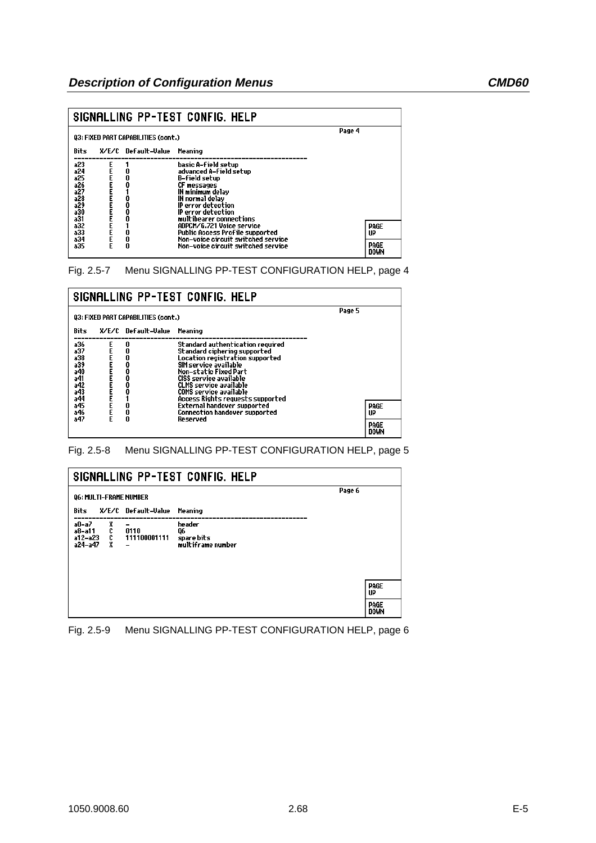|                                                             | SIGNALLING PP-TEST CONFIG. HELP            |                     |                                                                                                                                                                                                                  |                                   |  |  |
|-------------------------------------------------------------|--------------------------------------------|---------------------|------------------------------------------------------------------------------------------------------------------------------------------------------------------------------------------------------------------|-----------------------------------|--|--|
|                                                             | <b>Q3: FIXED PART CAPABILITIES (cont.)</b> | Page 4              |                                                                                                                                                                                                                  |                                   |  |  |
| Bits                                                        |                                            | X/E/C Default-Value | Meaning                                                                                                                                                                                                          |                                   |  |  |
| a23<br>a24<br>a25<br>a26<br>a27<br>a28<br>a29<br>a30<br>a31 |                                            | 0<br>0<br>0         | basic A–field setup<br>advanced A–field setup<br>B-field setup<br><b>CF messages</b><br>IN minimum delav<br>IN normal delav<br><b>IP</b> error detection<br><b>IP</b> error detection<br>multibearer connections |                                   |  |  |
| a32<br>a33<br>a34<br>a35                                    | EEEE                                       | 0<br>0<br>0         | ADPCM/G.721 Voice service<br>Public Access Profile supported<br>Non-voice circuit switched service<br>Non-voice circuit switched service                                                                         | PAGE<br>UP<br>PAGE<br><b>DOWN</b> |  |  |

Fig. 2.5-7 Menu SIGNALLING PP-TEST CONFIGURATION HELP, page 4

|                                                             | SIGNALLING PP-TEST CONFIG. HELP |                                 |                                                                                                                                                                                                                                                                                                            |        |                                   |  |
|-------------------------------------------------------------|---------------------------------|---------------------------------|------------------------------------------------------------------------------------------------------------------------------------------------------------------------------------------------------------------------------------------------------------------------------------------------------------|--------|-----------------------------------|--|
| Q3: FIXED PART CAPABILITIES (cont.)                         |                                 |                                 |                                                                                                                                                                                                                                                                                                            | Page 5 |                                   |  |
| Bits                                                        |                                 | X/E/C Default-Value Meaning     |                                                                                                                                                                                                                                                                                                            |        |                                   |  |
| a36<br>a37<br>a38<br>a39<br>a40<br>a41<br>a42<br>a43<br>a44 |                                 | 0<br>0<br>0<br>0<br>0<br>0<br>0 | <b>Standard authentication required</b><br><b>Standard ciphering supported</b><br>Location registration supported<br>SIM service available<br><b>Non-static Fixed Part</b><br>CISS service available<br><b>CLMS</b> service available<br><b>COMS</b> service available<br>Access Rights requests supported |        |                                   |  |
| a45<br>a46<br>a47                                           |                                 | 0<br>0                          | <b>External handover supported</b><br><b>Connection handover supported</b><br>Reserved                                                                                                                                                                                                                     |        | PAGE<br>UP<br>PAGE<br><b>DOWN</b> |  |

Fig. 2.5-8 Menu SIGNALLING PP-TEST CONFIGURATION HELP, page 5

| SIGNALLING PP-TEST CONFIG. HELP                 |                                                       |                                                 |  |                     |
|-------------------------------------------------|-------------------------------------------------------|-------------------------------------------------|--|---------------------|
| <b>Q6: MULTI-FRAME NUMBER</b>                   |                                                       | Page 6                                          |  |                     |
| Bits                                            | X/E/C Default-Value                                   | Meaning                                         |  |                     |
| a0-a7<br>xccx<br>a8-a11<br>a12-a23<br>$a24-a47$ | -<br>0110<br>111100001111<br>$\overline{\phantom{0}}$ | header<br>Q6<br>spare bits<br>multiframe number |  |                     |
|                                                 |                                                       |                                                 |  | PAGE<br>UP          |
|                                                 |                                                       |                                                 |  | PAGE<br><b>DOWN</b> |

Fig. 2.5-9 Menu SIGNALLING PP-TEST CONFIGURATION HELP, page 6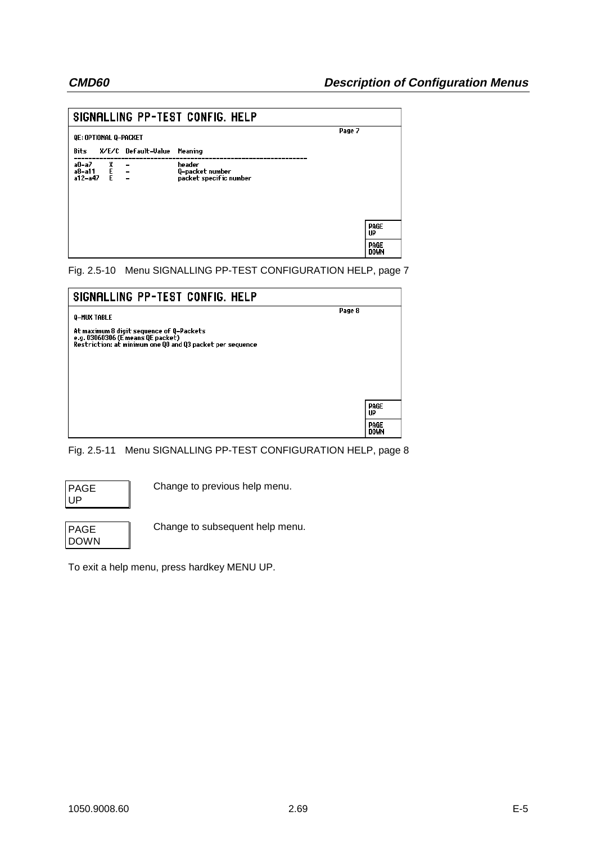| SIGNALLING PP-TEST CONFIG. HELP |        |                                                                    |                                                     |                     |
|---------------------------------|--------|--------------------------------------------------------------------|-----------------------------------------------------|---------------------|
| QE: OPTIONAL Q-PACKET           |        |                                                                    | Page 7                                              |                     |
| Bits                            |        | X/E/C Default-Value                                                | Meaning                                             |                     |
| a0-a7<br>a8-a11<br>a12-a47      | m<br>E | $\overline{\phantom{a}}$<br>$\sim$ $-$<br>$\overline{\phantom{0}}$ | header<br>Q-packet number<br>packet specific number |                     |
|                                 |        |                                                                    |                                                     | PAGE<br>UP          |
|                                 |        |                                                                    |                                                     | PAGE<br><b>DOWN</b> |

Fig. 2.5-10 Menu SIGNALLING PP-TEST CONFIGURATION HELP, page 7

| SIGNALLING PP-TEST CONFIG. HELP                                                                                                            |                     |
|--------------------------------------------------------------------------------------------------------------------------------------------|---------------------|
| Page 8<br>Q-MUX TABLE                                                                                                                      |                     |
| At maximum 8 digit sequence of Q-Packets<br>e.g. 03060306 (E means QE packet)<br>Restriction: at minimum one QO and Q3 packet per sequence |                     |
|                                                                                                                                            |                     |
|                                                                                                                                            |                     |
|                                                                                                                                            | PAGE<br>UP          |
|                                                                                                                                            | PAGE<br><b>DOWN</b> |

Fig. 2.5-11 Menu SIGNALLING PP-TEST CONFIGURATION HELP, page 8

| PAGE |  |
|------|--|
| UP   |  |

Change to previous help menu.

| PAGE |  |
|------|--|
| DOWN |  |

Change to subsequent help menu.

To exit a help menu, press hardkey MENU UP.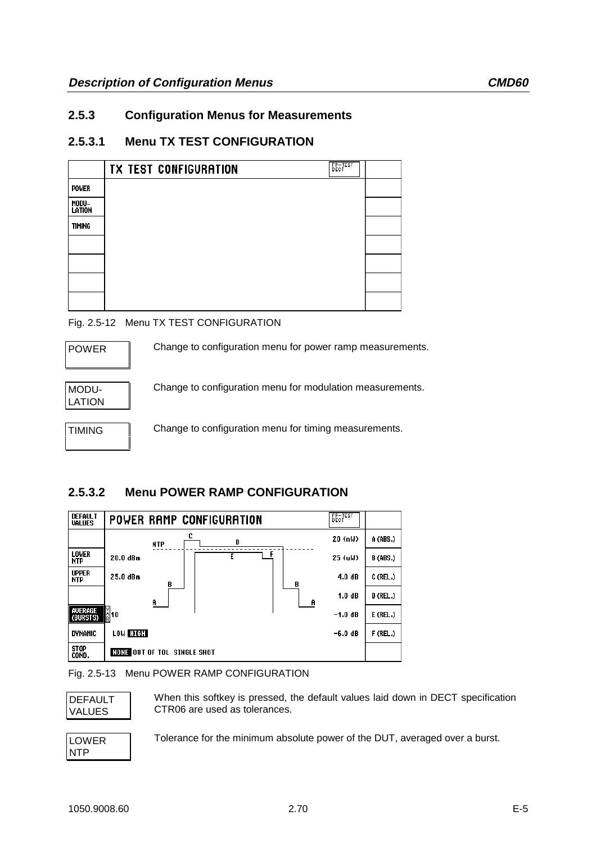# **2.5.3 Configuration Menus for Measurements**

# **2.5.3.1 Menu TX TEST CONFIGURATION**

|                 | FP-TEST<br>DECT<br><b>TX TEST CONFIGURATION</b> |  |
|-----------------|-------------------------------------------------|--|
| <b>POWER</b>    |                                                 |  |
| MODU-<br>LATION |                                                 |  |
| <b>TIMING</b>   |                                                 |  |
|                 |                                                 |  |
|                 |                                                 |  |
|                 |                                                 |  |
|                 |                                                 |  |

## Fig. 2.5-12 Menu TX TEST CONFIGURATION



TIMING Change to configuration menu for timing measurements.

# **2.5.3.2 Menu POWER RAMP CONFIGURATION**



#### Fig. 2.5-13 Menu POWER RAMP CONFIGURATION



When this softkey is pressed, the default values laid down in DECT specification CTR06 are used as tolerances.

LOWER NTP

Tolerance for the minimum absolute power of the DUT, averaged over a burst.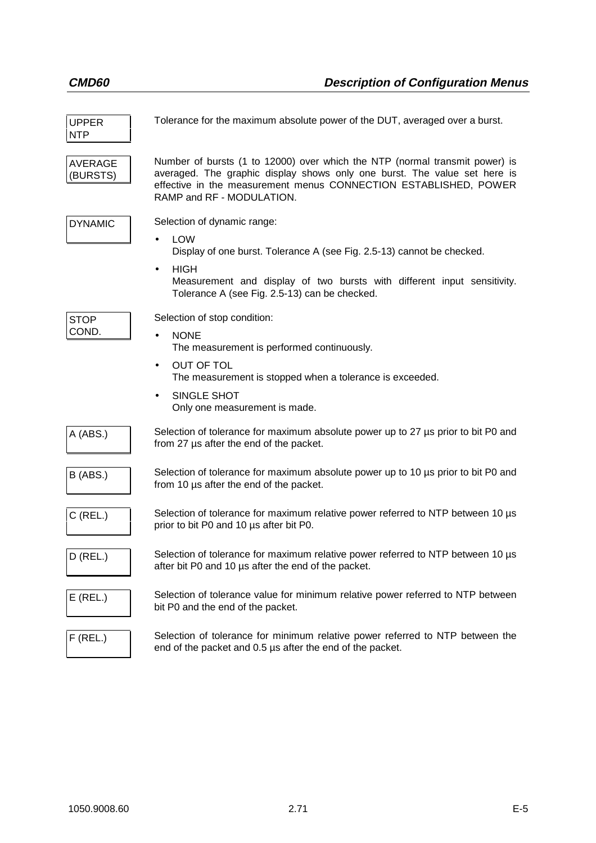| <b>UPPER</b><br><b>NTP</b> | Tolerance for the maximum absolute power of the DUT, averaged over a burst.                                                                                                                                                                                                              |
|----------------------------|------------------------------------------------------------------------------------------------------------------------------------------------------------------------------------------------------------------------------------------------------------------------------------------|
| <b>AVERAGE</b><br>(BURSTS) | Number of bursts (1 to 12000) over which the NTP (normal transmit power) is<br>averaged. The graphic display shows only one burst. The value set here is<br>effective in the measurement menus CONNECTION ESTABLISHED, POWER<br>RAMP and RF - MODULATION.                                |
| <b>DYNAMIC</b>             | Selection of dynamic range:<br><b>LOW</b><br>$\bullet$<br>Display of one burst. Tolerance A (see Fig. 2.5-13) cannot be checked.<br><b>HIGH</b><br>$\bullet$<br>Measurement and display of two bursts with different input sensitivity.<br>Tolerance A (see Fig. 2.5-13) can be checked. |
| <b>STOP</b><br>COND.       | Selection of stop condition:<br><b>NONE</b><br>The measurement is performed continuously.<br><b>OUT OF TOL</b><br>$\bullet$<br>The measurement is stopped when a tolerance is exceeded.<br>SINGLE SHOT<br>$\bullet$<br>Only one measurement is made.                                     |
| A (ABS.)                   | Selection of tolerance for maximum absolute power up to 27 µs prior to bit P0 and<br>from 27 µs after the end of the packet.                                                                                                                                                             |
| B (ABS.)                   | Selection of tolerance for maximum absolute power up to 10 µs prior to bit P0 and<br>from 10 µs after the end of the packet.                                                                                                                                                             |
| $C$ (REL.)                 | Selection of tolerance for maximum relative power referred to NTP between 10 µs<br>prior to bit P0 and 10 us after bit P0.                                                                                                                                                               |
| $D$ (REL.)                 | Selection of tolerance for maximum relative power referred to NTP between 10 µs<br>after bit P0 and 10 µs after the end of the packet.                                                                                                                                                   |
| $E$ (REL.)                 | Selection of tolerance value for minimum relative power referred to NTP between<br>bit P0 and the end of the packet.                                                                                                                                                                     |
| $F$ (REL.)                 | Selection of tolerance for minimum relative power referred to NTP between the<br>end of the packet and 0.5 µs after the end of the packet.                                                                                                                                               |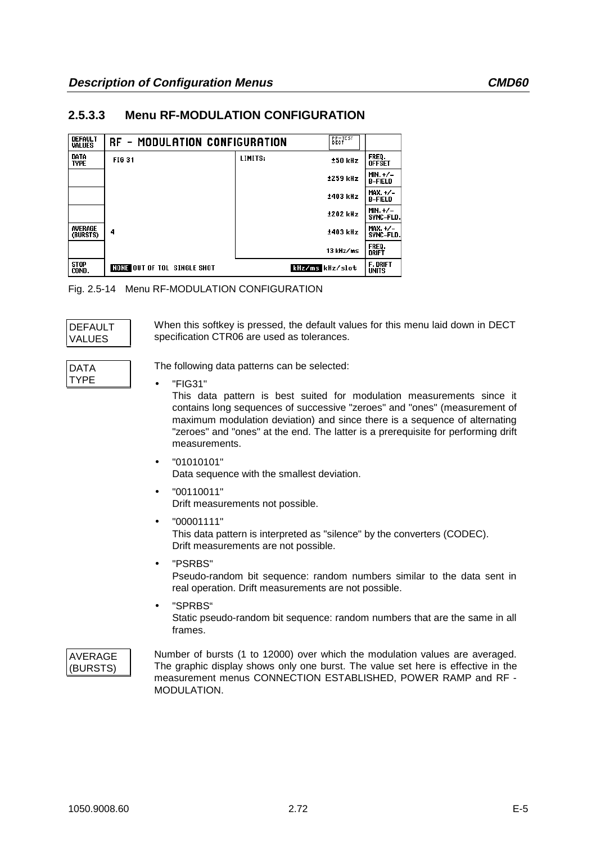## **2.5.3.3 Menu RF-MODULATION CONFIGURATION**

| <b>DEFAULT</b><br><b>VALUES</b> | RF - MODULATION CONFIGURATION      |                 | <b>BECTEST</b>  |                                 |
|---------------------------------|------------------------------------|-----------------|-----------------|---------------------------------|
| DATA<br><b>TYPE</b>             | <b>FIG 31</b>                      | LIMITS:         | ±50 kHz         | FREQ.<br><b>OFFSET</b>          |
|                                 |                                    |                 | ±259 kHz        | $MIN. + / -$<br><b>B-FIELD</b>  |
|                                 |                                    |                 | ±403 kHz        | $MAX.+/-$<br><b>B-FIELD</b>     |
|                                 |                                    |                 | <b>±202 kHz</b> | MIN. $+/-$<br><b>SYNC-FLD.</b>  |
| AVERAGE<br>(BURSTS)             | 4                                  |                 | ±403 kHz        | $MAX. + / -$<br>SYNC-FLD.       |
|                                 |                                    |                 | 13 kHz/ms       | FREQ.<br><b>DRIFT</b>           |
| <b>STOP</b><br>COND.            | <b>NONE OUT OF TOL SINGLE SHOT</b> | kHz/ms kHz/slot |                 | <b>F. DRIFT</b><br><b>UNITS</b> |

Fig. 2.5-14 Menu RF-MODULATION CONFIGURATION

| DEFAULT       |  |
|---------------|--|
| <b>VALUES</b> |  |

When this softkey is pressed, the default values for this menu laid down in DECT specification CTR06 are used as tolerances.

| DATA |  |
|------|--|
|      |  |
| TYPF |  |
|      |  |
|      |  |

The following data patterns can be selected:

• "FIG31"

This data pattern is best suited for modulation measurements since it contains long sequences of successive "zeroes" and "ones" (measurement of maximum modulation deviation) and since there is a sequence of alternating "zeroes" and "ones" at the end. The latter is a prerequisite for performing drift measurements.

- "01010101" Data sequence with the smallest deviation.
- "00110011" Drift measurements not possible.
- "00001111" This data pattern is interpreted as "silence" by the converters (CODEC). Drift measurements are not possible.
- "PSRBS" Pseudo-random bit sequence: random numbers similar to the data sent in real operation. Drift measurements are not possible.
- "SPRBS" Static pseudo-random bit sequence: random numbers that are the same in all frames.

### AVERAGE (BURSTS)

Number of bursts (1 to 12000) over which the modulation values are averaged. The graphic display shows only one burst. The value set here is effective in the measurement menus CONNECTION ESTABLISHED, POWER RAMP and RF - MODULATION.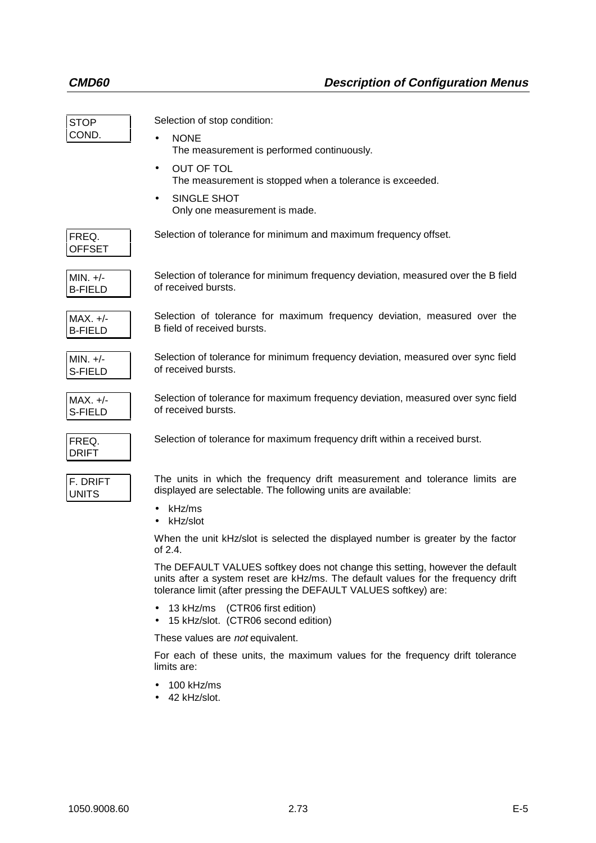| <b>STOP</b><br>COND.         | Selection of stop condition:<br><b>NONE</b><br>The measurement is performed continuously.<br><b>OUT OF TOL</b><br>$\bullet$<br>The measurement is stopped when a tolerance is exceeded.<br>SINGLE SHOT<br>Only one measurement is made. |
|------------------------------|-----------------------------------------------------------------------------------------------------------------------------------------------------------------------------------------------------------------------------------------|
| FREQ.<br><b>OFFSET</b>       | Selection of tolerance for minimum and maximum frequency offset.                                                                                                                                                                        |
| $MIN. +/-$<br><b>B-FIELD</b> | Selection of tolerance for minimum frequency deviation, measured over the B field<br>of received bursts.                                                                                                                                |
| $MAX. +/-$<br><b>B-FIELD</b> | Selection of tolerance for maximum frequency deviation, measured over the<br>B field of received bursts.                                                                                                                                |
| $MIN. +/-$<br>S-FIELD        | Selection of tolerance for minimum frequency deviation, measured over sync field<br>of received bursts.                                                                                                                                 |
| $MAX. +/-$<br>S-FIELD        | Selection of tolerance for maximum frequency deviation, measured over sync field<br>of received bursts.                                                                                                                                 |
| FREQ.<br><b>DRIFT</b>        | Selection of tolerance for maximum frequency drift within a received burst.                                                                                                                                                             |
| F. DRIFT<br><b>UNITS</b>     | The units in which the frequency drift measurement and tolerance limits are<br>displayed are selectable. The following units are available:<br>kHz/ms<br>kHz/slot                                                                       |
|                              | When the unit kHz/slot is selected the displayed number is greater by the factor<br>of 2.4.                                                                                                                                             |
|                              | The DEFAULT VALUES softkey does not change this setting, however the default<br>units after a system reset are kHz/ms. The default values for the frequency drift<br>tolerance limit (after pressing the DEFAULT VALUES softkey) are:   |
|                              | 13 kHz/ms (CTR06 first edition)<br>15 kHz/slot. (CTR06 second edition)<br>$\bullet$                                                                                                                                                     |
|                              | These values are not equivalent.                                                                                                                                                                                                        |

For each of these units, the maximum values for the frequency drift tolerance limits are:

- 100 kHz/ms
- 42 kHz/slot.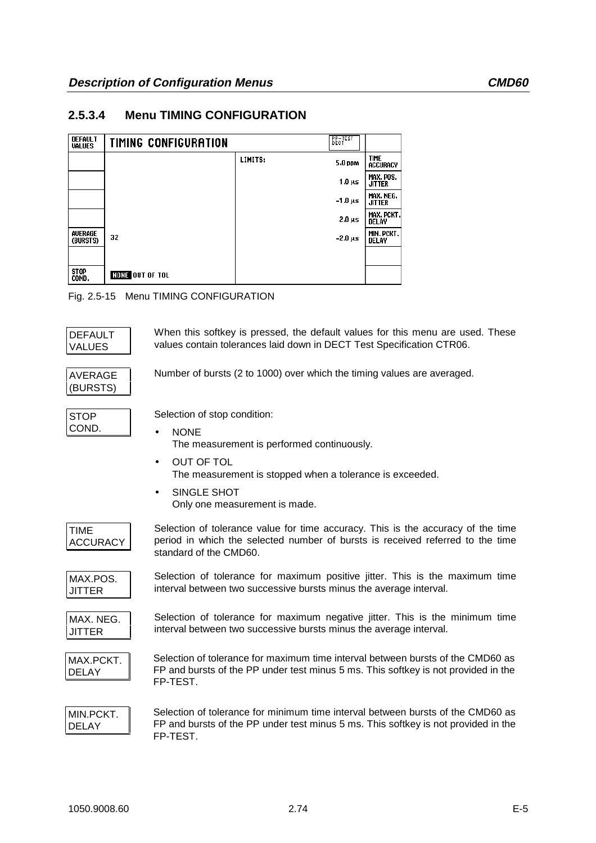# **2.5.3.4 Menu TIMING CONFIGURATION**

| <b>DEFAULT</b><br><b>VALUES</b> | <b>TIMING CONFIGURATION</b> |         | PP-TEST<br>DECT |                                |
|---------------------------------|-----------------------------|---------|-----------------|--------------------------------|
|                                 |                             | LIMITS: | 5.0 ppm         | <b>TIME</b><br><b>ACCURACY</b> |
|                                 |                             |         | $1.0 \mu s$     | MAX. POS.<br><b>JITTER</b>     |
|                                 |                             |         | $-1.0 \,\mu s$  | MAX. NEG.<br><b>JITTER</b>     |
|                                 |                             |         | $2.0 \mu s$     | MAX. PCKT.<br><b>DELAY</b>     |
| AVERAGE<br>(BURSTS)             | 32                          |         | $-2.0 \,\mu s$  | MIN. PCKT.<br>DELAY            |
|                                 |                             |         |                 |                                |
| <b>STOP</b><br>COND.            | <b>NONE OUT OF TOL</b>      |         |                 |                                |

Fig. 2.5-15 Menu TIMING CONFIGURATION

| <b>DEFAULT</b><br><b>VALUES</b> | When this softkey is pressed, the default values for this menu are used. These<br>values contain tolerances laid down in DECT Test Specification CTR06.                                                                                              |
|---------------------------------|------------------------------------------------------------------------------------------------------------------------------------------------------------------------------------------------------------------------------------------------------|
| <b>AVERAGE</b><br>(BURSTS)      | Number of bursts (2 to 1000) over which the timing values are averaged.                                                                                                                                                                              |
| <b>STOP</b><br>COND.            | Selection of stop condition:<br><b>NONE</b><br>The measurement is performed continuously.<br><b>OUT OF TOL</b><br>$\bullet$<br>The measurement is stopped when a tolerance is exceeded.<br>SINGLE SHOT<br>$\bullet$<br>Only one measurement is made. |
| <b>TIME</b><br><b>ACCURACY</b>  | Selection of tolerance value for time accuracy. This is the accuracy of the time<br>period in which the selected number of bursts is received referred to the time<br>standard of the CMD60.                                                         |
| MAX.POS.<br>JITTER              | Selection of tolerance for maximum positive jitter. This is the maximum time<br>interval between two successive bursts minus the average interval.                                                                                                   |
| MAX. NEG.<br><b>JITTER</b>      | Selection of tolerance for maximum negative jitter. This is the minimum time<br>interval between two successive bursts minus the average interval.                                                                                                   |
| MAX.PCKT.<br><b>DELAY</b>       | Selection of tolerance for maximum time interval between bursts of the CMD60 as<br>FP and bursts of the PP under test minus 5 ms. This softkey is not provided in the<br>FP-TEST.                                                                    |
| MIN.PCKT.<br><b>DELAY</b>       | Selection of tolerance for minimum time interval between bursts of the CMD60 as<br>FP and bursts of the PP under test minus 5 ms. This softkey is not provided in the<br>FP-TEST.                                                                    |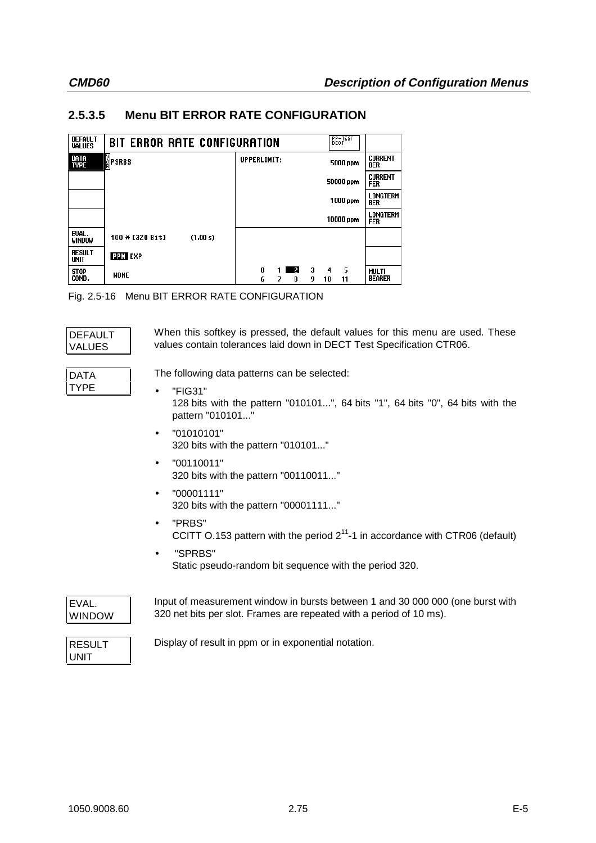# **2.5.3.5 Menu BIT ERROR RATE CONFIGURATION**

| <b>DEFAULT</b><br><b>VALUES</b> | BIT ERROR RATE CONFIGURATION |                                              | $E_{\rm eff}$      |                               |
|---------------------------------|------------------------------|----------------------------------------------|--------------------|-------------------------------|
| DATA<br>Type                    | <b>ÅPSRBS</b>                | UPPERLIMIT:                                  | 5000 ppm           | <b>CURRENT</b><br><b>BER</b>  |
|                                 |                              |                                              | 50000 ppm          | <b>CURRENT</b><br><b>FER</b>  |
|                                 |                              |                                              | 1000 ppm           | LONGTERM<br>BER               |
|                                 |                              |                                              | 10000 ppm          | <b>LONGTERM</b><br><b>FER</b> |
| EVAL.<br><b>WINDOW</b>          | 100 * [320 Bit]<br>(1.00 s)  |                                              |                    |                               |
| <b>RESULT</b><br>UNIT           | <b>PPM EXP</b>               |                                              |                    |                               |
| <b>STOP</b><br>COND.            | <b>NONE</b>                  | 3<br>0<br>$\mathbf{z}$<br>1 I<br>6<br>9<br>8 | 5<br>4<br>10<br>11 | <b>MULTI</b><br><b>BEARER</b> |

Fig. 2.5-16 Menu BIT ERROR RATE CONFIGURATION

| DEFAULT       | When this softkey is pressed, the default values for this menu are used. These |
|---------------|--------------------------------------------------------------------------------|
| <b>VALUES</b> | values contain tolerances laid down in DECT Test Specification CTR06.          |
| <b>DATA</b>   | The following data patterns can be selected:                                   |
| <b>TYPE</b>   | "FIG31"                                                                        |

- "FIG31" 128 bits with the pattern "010101...", 64 bits "1", 64 bits "0", 64 bits with the pattern "010101..."
- $•$   $"01010101"$ 320 bits with the pattern "010101..."
- "00110011" 320 bits with the pattern "00110011..."
- "00001111" 320 bits with the pattern "00001111..."
- "PRBS" CCITT O.153 pattern with the period  $2^{11}$ -1 in accordance with CTR06 (default)
- "SPRBS" Static pseudo-random bit sequence with the period 320.

| EVAL.  |  |
|--------|--|
| WINDOW |  |

Input of measurement window in bursts between 1 and 30 000 000 (one burst with 320 net bits per slot. Frames are repeated with a period of 10 ms).

| RESULT      |  |
|-------------|--|
| <b>UNIT</b> |  |

Display of result in ppm or in exponential notation.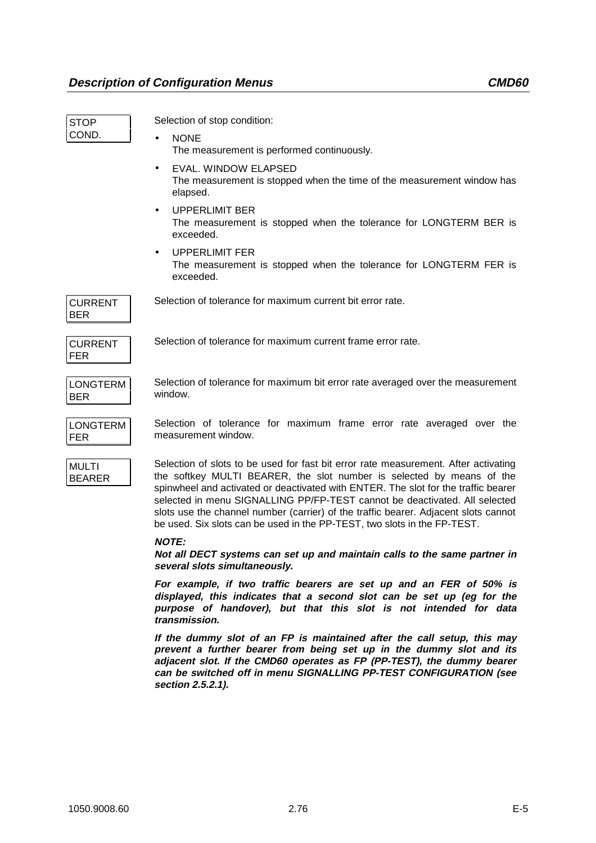| <b>STOP</b>                   | Selection of stop condition:                                                                                                                                                                                                                                                                                                                                                                                                                                                                        |
|-------------------------------|-----------------------------------------------------------------------------------------------------------------------------------------------------------------------------------------------------------------------------------------------------------------------------------------------------------------------------------------------------------------------------------------------------------------------------------------------------------------------------------------------------|
| COND.                         | <b>NONE</b>                                                                                                                                                                                                                                                                                                                                                                                                                                                                                         |
|                               | The measurement is performed continuously.                                                                                                                                                                                                                                                                                                                                                                                                                                                          |
|                               | EVAL. WINDOW ELAPSED<br>$\bullet$<br>The measurement is stopped when the time of the measurement window has<br>elapsed.                                                                                                                                                                                                                                                                                                                                                                             |
|                               | <b>UPPERLIMIT BER</b><br>$\bullet$<br>The measurement is stopped when the tolerance for LONGTERM BER is<br>exceeded.                                                                                                                                                                                                                                                                                                                                                                                |
|                               | <b>UPPERLIMIT FER</b><br>The measurement is stopped when the tolerance for LONGTERM FER is<br>exceeded.                                                                                                                                                                                                                                                                                                                                                                                             |
| <b>CURRENT</b><br><b>BER</b>  | Selection of tolerance for maximum current bit error rate.                                                                                                                                                                                                                                                                                                                                                                                                                                          |
| <b>CURRENT</b><br><b>FER</b>  | Selection of tolerance for maximum current frame error rate.                                                                                                                                                                                                                                                                                                                                                                                                                                        |
| <b>LONGTERM</b><br><b>BER</b> | Selection of tolerance for maximum bit error rate averaged over the measurement<br>window.                                                                                                                                                                                                                                                                                                                                                                                                          |
| <b>LONGTERM</b><br><b>FER</b> | Selection of tolerance for maximum frame error rate averaged over the<br>measurement window.                                                                                                                                                                                                                                                                                                                                                                                                        |
| <b>MULTI</b><br><b>BEARER</b> | Selection of slots to be used for fast bit error rate measurement. After activating<br>the softkey MULTI BEARER, the slot number is selected by means of the<br>spinwheel and activated or deactivated with ENTER. The slot for the traffic bearer<br>selected in menu SIGNALLING PP/FP-TEST cannot be deactivated. All selected<br>slots use the channel number (carrier) of the traffic bearer. Adjacent slots cannot<br>be used. Six slots can be used in the PP-TEST, two slots in the FP-TEST. |
|                               | <b>NOTE:</b><br>Not all DECT systems can set up and maintain calls to the same partner in<br>several slots simultaneously.                                                                                                                                                                                                                                                                                                                                                                          |

**For example, if two traffic bearers are set up and an FER of 50% is displayed, this indicates that a second slot can be set up (eg for the purpose of handover), but that this slot is not intended for data transmission.**

**If the dummy slot of an FP is maintained after the call setup, this may prevent a further bearer from being set up in the dummy slot and its adjacent slot. If the CMD60 operates as FP (PP-TEST), the dummy bearer can be switched off in menu SIGNALLING PP-TEST CONFIGURATION (see section 2.5.2.1).**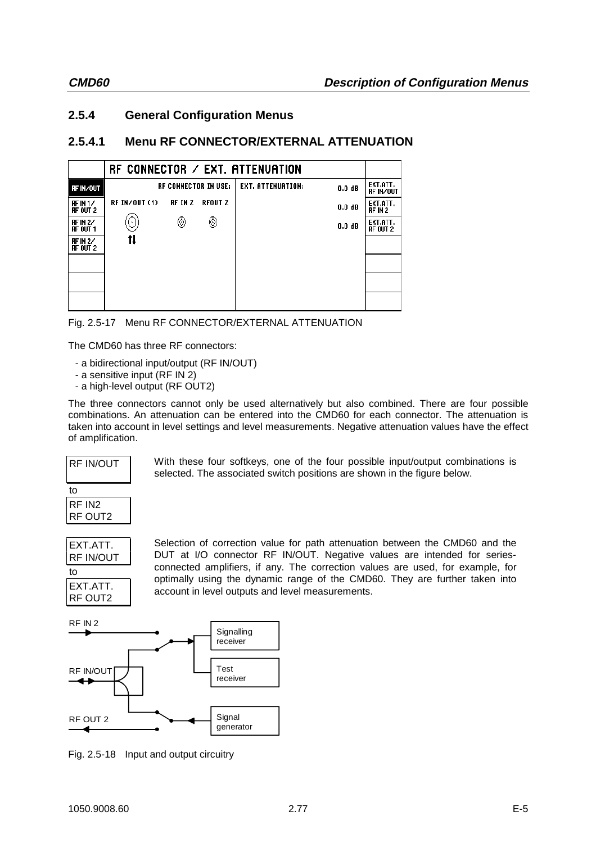## **2.5.4 General Configuration Menus**

## **2.5.4.1 Menu RF CONNECTOR/EXTERNAL ATTENUATION**

|                                        |               |         |                             | RF CONNECTOR $\angle$ EXT. ATTENUATION |                   |                       |
|----------------------------------------|---------------|---------|-----------------------------|----------------------------------------|-------------------|-----------------------|
| <b>RFIN/OUT</b>                        |               |         | <b>RF CONNECTOR IN USE:</b> | EXT. ATTENUATION:                      | 0.0 <sub>dB</sub> | EXT.ATT.<br>RF IN/OUT |
| RFIN <sub>1</sub> /<br><b>RF OUT 2</b> | RF IN/OUT (1) | RF IN 2 | <b>RFOUT 2</b>              |                                        | $0.0 \text{ dB}$  | EXT.ATT.<br>RF IN 2   |
| <b>RF IN 2/</b><br>RF OUT 1            | [ ♦ ]         | ◉       | ◉                           |                                        | 0.0 dB            | EXT.ATT.<br>RF OUT 2  |
| <b>RF IN 2/</b><br><b>RF OUT 2</b>     | tı            |         |                             |                                        |                   |                       |
|                                        |               |         |                             |                                        |                   |                       |
|                                        |               |         |                             |                                        |                   |                       |
|                                        |               |         |                             |                                        |                   |                       |

|  |  |  |  | Fig. 2.5-17 Menu RF CONNECTOR/EXTERNAL ATTENUATION |
|--|--|--|--|----------------------------------------------------|
|--|--|--|--|----------------------------------------------------|

The CMD60 has three RF connectors:

- a bidirectional input/output (RF IN/OUT)
- a sensitive input (RF IN 2)
- a high-level output (RF OUT2)

The three connectors cannot only be used alternatively but also combined. There are four possible combinations. An attenuation can be entered into the CMD60 for each connector. The attenuation is taken into account in level settings and level measurements. Negative attenuation values have the effect of amplification.

selected. The associated switch positions are shown in the figure below.

RF IN/OUT to

RF IN2 RF OUT2



Selection of correction value for path attenuation between the CMD60 and the DUT at I/O connector RF IN/OUT. Negative values are intended for seriesconnected amplifiers, if any. The correction values are used, for example, for optimally using the dynamic range of the CMD60. They are further taken into account in level outputs and level measurements.

With these four softkeys, one of the four possible input/output combinations is

RF IN 2



Fig. 2.5-18 Input and output circuitry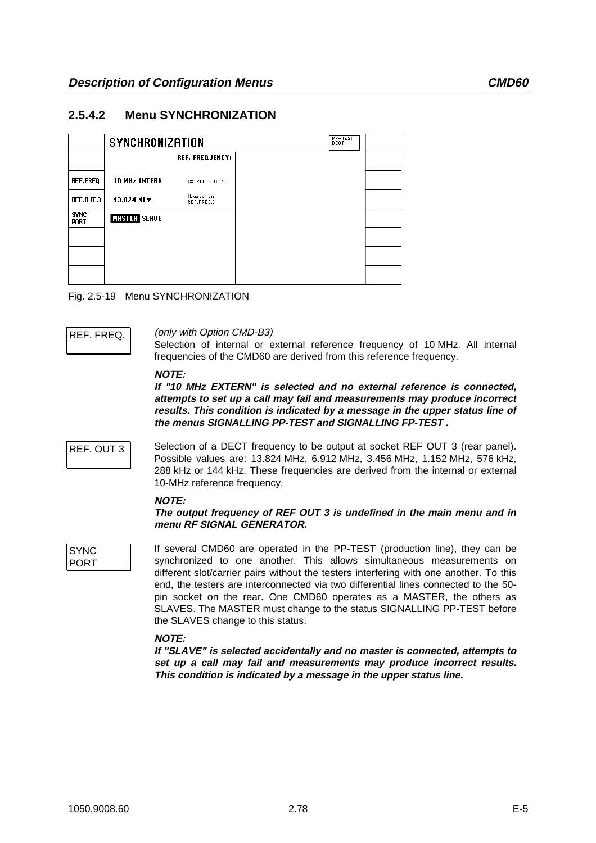## **2.5.4.2 Menu SYNCHRONIZATION**

|                            | <b>SYNCHRONIZATION</b> |                         |
|----------------------------|------------------------|-------------------------|
|                            |                        | <b>REF. FREQUENCY:</b>  |
|                            |                        |                         |
| <b>REF.FREQ</b>            | <b>10 MHz INTERN</b>   | $(=$ REF OUT 4)         |
| <b>REF.OUT 3</b>           | 13.824 MHz             | (bared on<br>REF.FREQ.) |
| <b>SYNC</b><br><b>PORT</b> | <b>MASTER SLAVE</b>    |                         |
|                            |                        |                         |
|                            |                        |                         |
|                            |                        |                         |
|                            |                        |                         |
|                            |                        |                         |

Fig. 2.5-19 Menu SYNCHRONIZATION

REF. FREQ. (only with Option CMD-B3)

Selection of internal or external reference frequency of 10 MHz. All internal frequencies of the CMD60 are derived from this reference frequency.

### **NOTE:**

**If "10 MHz EXTERN" is selected and no external reference is connected, attempts to set up a call may fail and measurements may produce incorrect results. This condition is indicated by a message in the upper status line of the menus SIGNALLING PP-TEST and SIGNALLING FP-TEST .**

REF. OUT 3 Selection of a DECT frequency to be output at socket REF OUT 3 (rear panel). Possible values are: 13.824 MHz, 6.912 MHz, 3.456 MHz, 1.152 MHz, 576 kHz, 288 kHz or 144 kHz. These frequencies are derived from the internal or external 10-MHz reference frequency.

### **NOTE:**

**The output frequency of REF OUT 3 is undefined in the main menu and in menu RF SIGNAL GENERATOR.**

**SYNC** PORT If several CMD60 are operated in the PP-TEST (production line), they can be synchronized to one another. This allows simultaneous measurements on different slot/carrier pairs without the testers interfering with one another. To this end, the testers are interconnected via two differential lines connected to the 50 pin socket on the rear. One CMD60 operates as a MASTER, the others as SLAVES. The MASTER must change to the status SIGNALLING PP-TEST before the SLAVES change to this status.

## **NOTE:**

**If "SLAVE" is selected accidentally and no master is connected, attempts to set up a call may fail and measurements may produce incorrect results. This condition is indicated by a message in the upper status line.**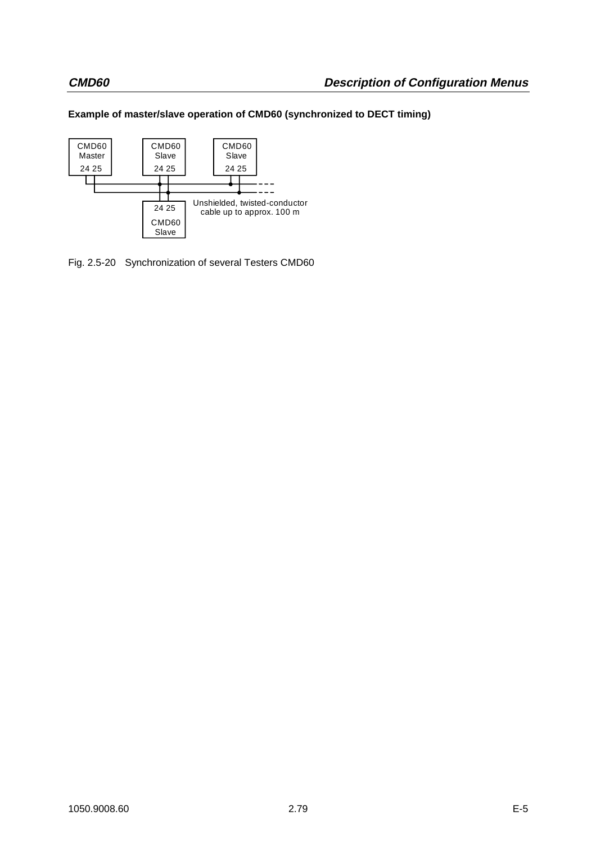## **Example of master/slave operation of CMD60 (synchronized to DECT timing)**



Fig. 2.5-20 Synchronization of several Testers CMD60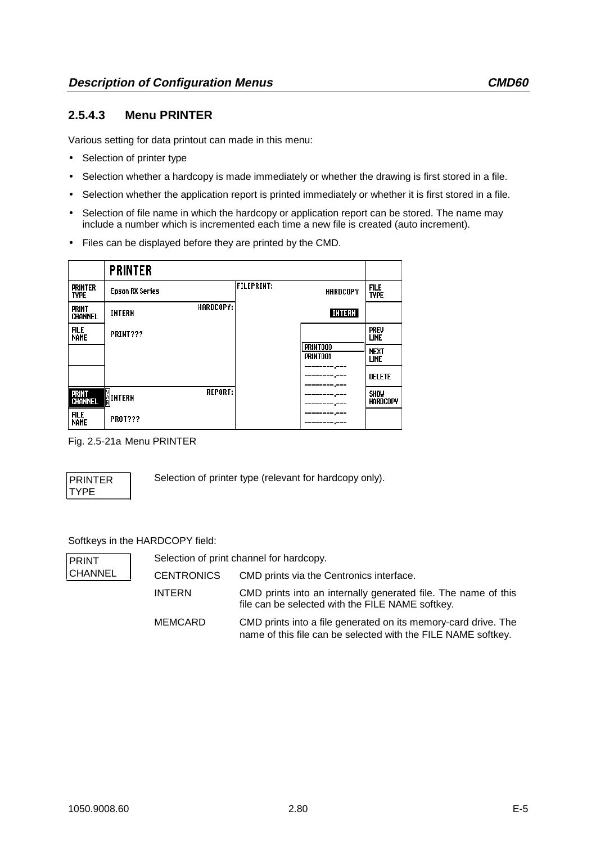## **2.5.4.3 Menu PRINTER**

Various setting for data printout can made in this menu:

- Selection of printer type
- Selection whether a hardcopy is made immediately or whether the drawing is first stored in a file.
- Selection whether the application report is printed immediately or whether it is first stored in a file.
- Selection of file name in which the hardcopy or application report can be stored. The name may include a number which is incremented each time a new file is created (auto increment).
- Files can be displayed before they are printed by the CMD.

|                                | <b>PRINTER</b>                    |                                      |                            |
|--------------------------------|-----------------------------------|--------------------------------------|----------------------------|
| <b>PRINTER</b><br><b>TYPE</b>  | <b>Epson RX Series</b>            | <b>FILEPRINT:</b><br><b>HARDCOPY</b> | <b>FILE</b><br><b>TYPE</b> |
| <b>PRINT</b><br><b>CHANNEL</b> | <b>HARDCOPY:</b><br><b>INTERN</b> | <b>INTERN</b>                        |                            |
| <b>FILE</b><br><b>NAME</b>     | PRINT???                          |                                      | <b>PREV</b><br>LINE        |
|                                |                                   | PRINT000<br>PRINT001                 | <b>NEXT</b><br>LINE        |
|                                |                                   |                                      | <b>DELETE</b>              |
| Print<br>Channel               | <b>REPORT:</b><br><b>AINTERN</b>  |                                      | <b>SHOW</b><br>HARDCOPY    |
| <b>FILE</b><br><b>NAME</b>     | <b>PROT???</b>                    | ------.---                           |                            |

Fig. 2.5-21a Menu PRINTER

PRINTER TYPE

Selection of printer type (relevant for hardcopy only).

## Softkeys in the HARDCOPY field:

| <b>PRINT</b>   |                   | Selection of print channel for hardcopy.                                                                                        |
|----------------|-------------------|---------------------------------------------------------------------------------------------------------------------------------|
| <b>CHANNEL</b> | <b>CENTRONICS</b> | CMD prints via the Centronics interface.                                                                                        |
|                | <b>INTERN</b>     | CMD prints into an internally generated file. The name of this<br>file can be selected with the FILE NAME softkey.              |
|                | MEMCARD           | CMD prints into a file generated on its memory-card drive. The<br>name of this file can be selected with the FILE NAME softkey. |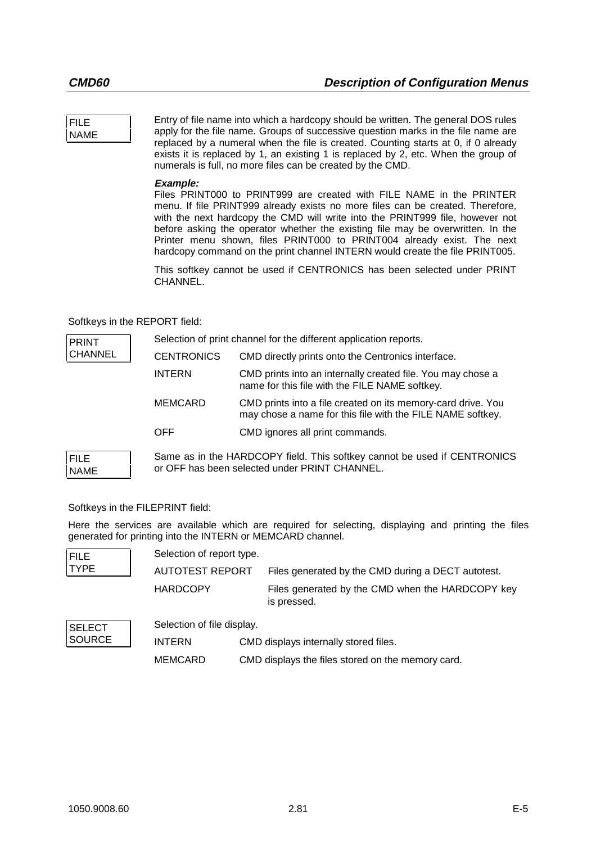### FILE NAME

Entry of file name into which a hardcopy should be written. The general DOS rules apply for the file name. Groups of successive question marks in the file name are replaced by a numeral when the file is created. Counting starts at 0, if 0 already exists it is replaced by 1, an existing 1 is replaced by 2, etc. When the group of numerals is full, no more files can be created by the CMD.

## **Example:**

Files PRINT000 to PRINT999 are created with FILE NAME in the PRINTER menu. If file PRINT999 already exists no more files can be created. Therefore, with the next hardcopy the CMD will write into the PRINT999 file, however not before asking the operator whether the existing file may be overwritten. In the Printer menu shown, files PRINT000 to PRINT004 already exist. The next hardcopy command on the print channel INTERN would create the file PRINT005.

This softkey cannot be used if CENTRONICS has been selected under PRINT CHANNEL.

## Softkeys in the REPORT field:

| <b>PRINT</b>               | Selection of print channel for the different application reports. |                                                                                                                            |  |
|----------------------------|-------------------------------------------------------------------|----------------------------------------------------------------------------------------------------------------------------|--|
| <b>CHANNEL</b>             | <b>CENTRONICS</b>                                                 | CMD directly prints onto the Centronics interface.                                                                         |  |
|                            | <b>INTERN</b>                                                     | CMD prints into an internally created file. You may chose a<br>name for this file with the FILE NAME softkey.              |  |
|                            | <b>MEMCARD</b>                                                    | CMD prints into a file created on its memory-card drive. You<br>may chose a name for this file with the FILE NAME softkey. |  |
|                            | <b>OFF</b>                                                        | CMD ignores all print commands.                                                                                            |  |
| <b>FILE</b><br><b>NAME</b> |                                                                   | Same as in the HARDCOPY field. This softkey cannot be used if CENTRONICS<br>or OFF has been selected under PRINT CHANNEL.  |  |

## Softkeys in the FILEPRINT field:

Here the services are available which are required for selecting, displaying and printing the files generated for printing into the INTERN or MEMCARD channel.

| <b>FILE</b>   | Selection of report type.  |                                                                 |
|---------------|----------------------------|-----------------------------------------------------------------|
| <b>TYPE</b>   | AUTOTEST REPORT            | Files generated by the CMD during a DECT autotest.              |
|               | <b>HARDCOPY</b>            | Files generated by the CMD when the HARDCOPY key<br>is pressed. |
| <b>SELECT</b> | Selection of file display. |                                                                 |
| <b>SOURCE</b> | <b>INTERN</b>              | CMD displays internally stored files.                           |
|               | <b>MEMCARD</b>             | CMD displays the files stored on the memory card.               |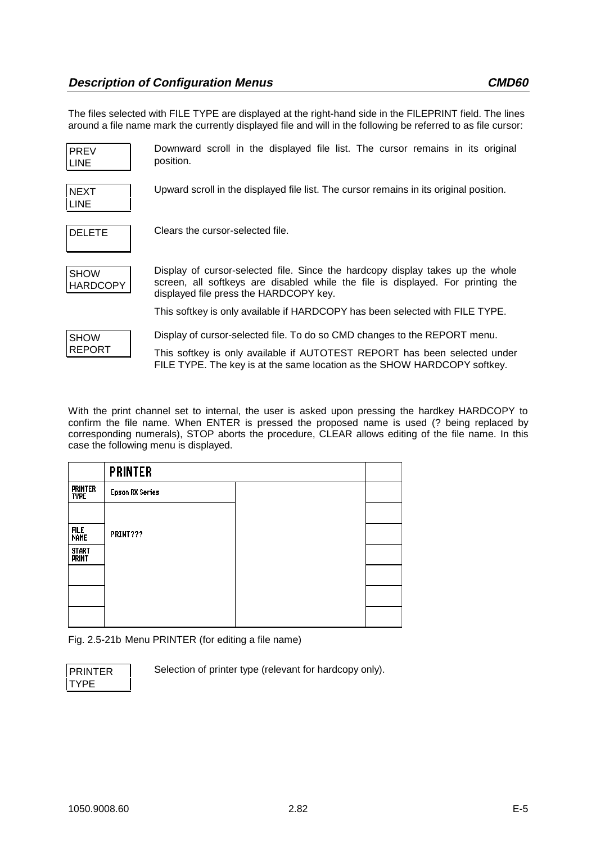The files selected with FILE TYPE are displayed at the right-hand side in the FILEPRINT field. The lines around a file name mark the currently displayed file and will in the following be referred to as file cursor:

| <b>PREV</b><br><b>LINE</b>     | Downward scroll in the displayed file list. The cursor remains in its original<br>position.                                                                                                                 |
|--------------------------------|-------------------------------------------------------------------------------------------------------------------------------------------------------------------------------------------------------------|
| <b>NEXT</b><br><b>LINE</b>     | Upward scroll in the displayed file list. The cursor remains in its original position.                                                                                                                      |
| <b>DELETE</b>                  | Clears the cursor-selected file.                                                                                                                                                                            |
| <b>SHOW</b><br><b>HARDCOPY</b> | Display of cursor-selected file. Since the hardcopy display takes up the whole<br>screen, all softkeys are disabled while the file is displayed. For printing the<br>displayed file press the HARDCOPY key. |
|                                | This softkey is only available if HARDCOPY has been selected with FILE TYPE.                                                                                                                                |
| <b>SHOW</b>                    | Display of cursor-selected file. To do so CMD changes to the REPORT menu.                                                                                                                                   |
| <b>REPORT</b>                  | This softkey is only available if AUTOTEST REPORT has been selected under<br>FILE TYPE. The key is at the same location as the SHOW HARDCOPY softkey.                                                       |

With the print channel set to internal, the user is asked upon pressing the hardkey HARDCOPY to confirm the file name. When ENTER is pressed the proposed name is used (? being replaced by corresponding numerals), STOP aborts the procedure, CLEAR allows editing of the file name. In this case the following menu is displayed.

|                               | <b>PRINTER</b>         |  |
|-------------------------------|------------------------|--|
| <b>PRINTER</b><br><b>TYPE</b> | <b>Epson RX Series</b> |  |
|                               |                        |  |
| file<br>Name                  | PRINT???               |  |
| start<br>Print                |                        |  |
|                               |                        |  |
|                               |                        |  |
|                               |                        |  |

Fig. 2.5-21b Menu PRINTER (for editing a file name)

| <b>PRINTER</b> |  |
|----------------|--|
|                |  |

Selection of printer type (relevant for hardcopy only).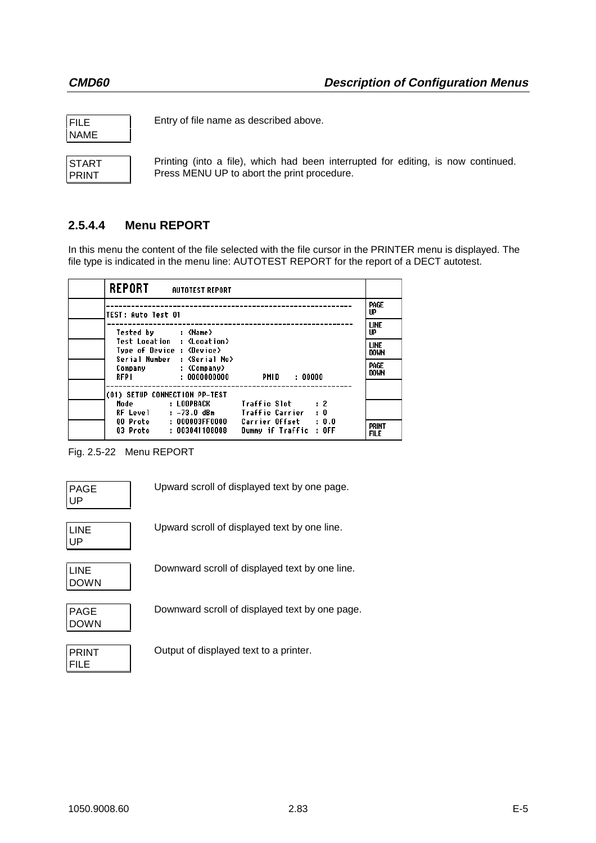| FILE |  |
|------|--|
| NAME |  |

Entry of file name as described above.

| START |  |
|-------|--|
| PRINT |  |

Printing (into a file), which had been interrupted for editing, is now continued. Press MENU UP to abort the print procedure.

# **2.5.4.4 Menu REPORT**

In this menu the content of the file selected with the file cursor in the PRINTER menu is displayed. The file type is indicated in the menu line: AUTOTEST REPORT for the report of a DECT autotest.

| <b>REPORT</b><br>AUTOTEST REPORT                                                                                         |                                                                 |                             |
|--------------------------------------------------------------------------------------------------------------------------|-----------------------------------------------------------------|-----------------------------|
| <b>TEST: Auto Test 01</b>                                                                                                |                                                                 | PAGE<br>UP                  |
| Tested by : <name></name>                                                                                                |                                                                 | <b>LINE</b><br>UP           |
| Test Location : <location><br/>Type of Device : <device><br/>Serial Number : <serial no=""></serial></device></location> |                                                                 | <b>LINE</b><br><b>DOWN</b>  |
| Company : <company><br/>RFPI : 0000000000</company>                                                                      | PMID : 00000                                                    | PAGE<br><b>DOWN</b>         |
| (01) SETUP CONNECTION PP-TEST                                                                                            |                                                                 |                             |
| Mode : LOOPBACK                                                                                                          | Traffic Slot : 2<br>RF Level : -73.0 dBm    Iraffic Carrier : 0 |                             |
| 03 Proto : 003041108008                                                                                                  | Dummy if Traffic : OFF                                          | <b>PRINT</b><br><b>FILE</b> |

Fig. 2.5-22 Menu REPORT

| <b>PAGE</b> |  |
|-------------|--|
| l UP        |  |

Upward scroll of displayed text by one page.

| LINE |  |
|------|--|
| UP   |  |

Upward scroll of displayed text by one line.

| I INF       |  |
|-------------|--|
| <b>DOWN</b> |  |

Downward scroll of displayed text by one line.

| PAGE |  |
|------|--|
|      |  |
| DOWN |  |
|      |  |

Downward scroll of displayed text by one page.

| PRINT |  |
|-------|--|
| FII F |  |

Output of displayed text to a printer.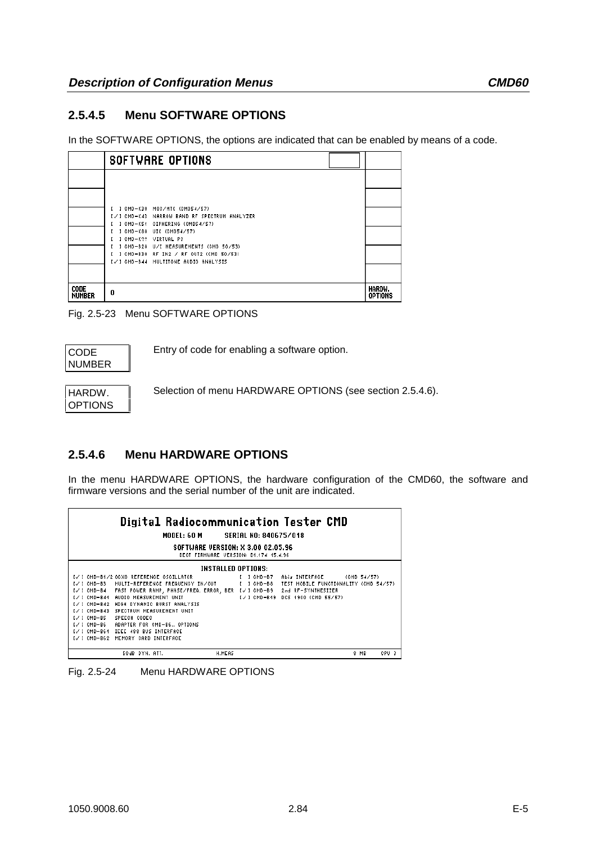## **2.5.4.5 Menu SOFTWARE OPTIONS**

In the SOFTWARE OPTIONS, the options are indicated that can be enabled by means of a code.

|                              | <b>SOFTWARE OPTIONS</b>                                                            |                          |
|------------------------------|------------------------------------------------------------------------------------|--------------------------|
|                              |                                                                                    |                          |
|                              |                                                                                    |                          |
|                              | I I CMD-K30 MOC/MTC (CMD54/57)<br>[√] CMD-K43   NARROW BAND RF SPECTRUM ANALYZER   |                          |
|                              | 1 CMD-K54 CIPHERING (CMD54/57)<br>1 CMD-K80 UIC (CMD54/57)<br>1 CMD-K?? VIRTUAL PC |                          |
|                              | 1 CMD-B20 U/I MEASUREMENTS (CMD 50/53)<br>I I CMD-B30 RF IN2 / RF OUT2 (CMD 50/53) |                          |
|                              | I√I CMD-B44 MULTITONE AUDIO ANALYSIS                                               |                          |
| <b>CODE</b><br><b>NUMBER</b> | 0                                                                                  | Hardw.<br><b>OPTIONS</b> |

Fig. 2.5-23 Menu SOFTWARE OPTIONS

| CODE   |
|--------|
|        |
| NUMBER |
|        |

Entry of code for enabling a software option.

HARDW. OPTIONS Selection of menu HARDWARE OPTIONS (see section 2.5.4.6).

## **2.5.4.6 Menu HARDWARE OPTIONS**

In the menu HARDWARE OPTIONS, the hardware configuration of the CMD60, the software and firmware versions and the serial number of the unit are indicated.

| Digital Radiocommunication Tester CMD                                                                                                                                                                                                                                                                                                                                                                                                                                                                                                                                                                                                               |               |  |  |  |
|-----------------------------------------------------------------------------------------------------------------------------------------------------------------------------------------------------------------------------------------------------------------------------------------------------------------------------------------------------------------------------------------------------------------------------------------------------------------------------------------------------------------------------------------------------------------------------------------------------------------------------------------------------|---------------|--|--|--|
| MODEL: 60 M SERIAL NO: 840675/018                                                                                                                                                                                                                                                                                                                                                                                                                                                                                                                                                                                                                   |               |  |  |  |
| SOFTWARE VERSION: X 3.00 02.05.96<br>DECT FIRMWARE VERSION: D4.474 45.4.96                                                                                                                                                                                                                                                                                                                                                                                                                                                                                                                                                                          |               |  |  |  |
|                                                                                                                                                                                                                                                                                                                                                                                                                                                                                                                                                                                                                                                     |               |  |  |  |
| <b>INSTALLED OPTIONS:</b><br>I√ I CMD-B4/2 OCXO REFERENCE OSCILLATOR<br>$I$ 1 CMD-B7<br><b>Abis INTERFACE</b><br>(CMD 54/57)<br>IV I CMD-BB MULTI-REFERENCE FREQUENCY IN/OUT<br>I I CMD-BS<br>TEST MOBILE FUNCTIONALITY (CMD 54/57)<br>I√] CMD-B4 = FAST POWER RAMP, PHASE/FREQ. ERROR, BER I√] CMD-B9 =<br>2nd RF-SYNTHESIZER<br>I/ 1 CMD-B44 AUDIO MEASUREMENT UNIT<br>I√ I CMD-B49<br>DCS 4900 (CMD 55/57)<br>I√] CMD-B42 HIGH DYNAMIC BURST ANALYSIS<br>IV I CMD-B43 SPECTRUM MEASUREMENT UNIT<br>I√I CMD-B5 SPEECH CODEC<br>I√I CMD-B6 – ADAPTER FOR CMD-B6 OPTIONS<br>IVI CMD-B64 IEEE 488 BUS INTERFACE<br>I√I CMD-B62 MEMORY CARD INTERFACE |               |  |  |  |
| 50dB DYN, ATT.<br>H.MEAS                                                                                                                                                                                                                                                                                                                                                                                                                                                                                                                                                                                                                            | CPU 3<br>8 MB |  |  |  |

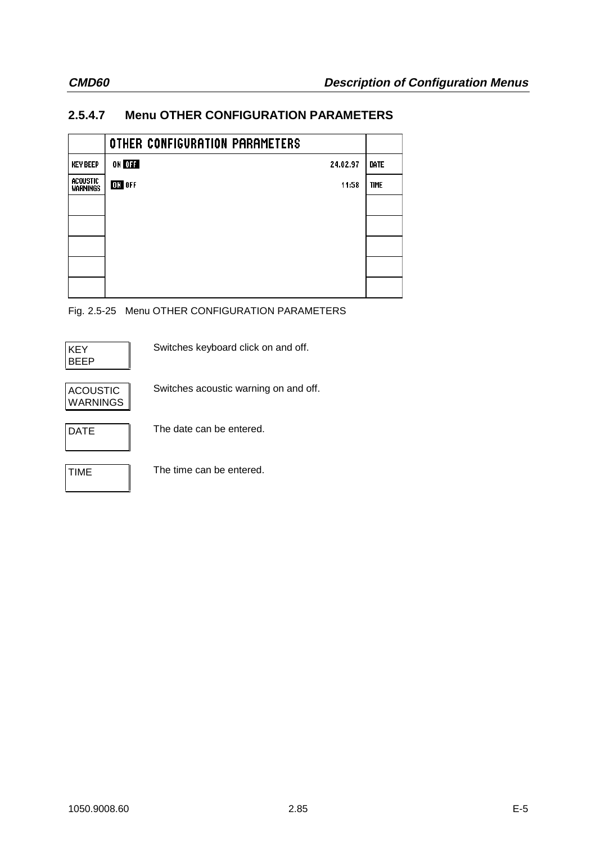# **2.5.4.7 Menu OTHER CONFIGURATION PARAMETERS**

|                      | OTHER CONFIGURATION PARAMETERS |             |
|----------------------|--------------------------------|-------------|
| <b>KEY BEEP</b>      | ON OFF<br>24.02.97             | DATE        |
| acoustic<br>Warnings | ON OFF<br>11:58                | <b>TIME</b> |
|                      |                                |             |
|                      |                                |             |
|                      |                                |             |
|                      |                                |             |
|                      |                                |             |

Fig. 2.5-25 Menu OTHER CONFIGURATION PARAMETERS

| KEY  |  |
|------|--|
| BEEP |  |

Switches keyboard click on and off.



Switches acoustic warning on and off.



DATE The date can be entered.

TIME The time can be entered.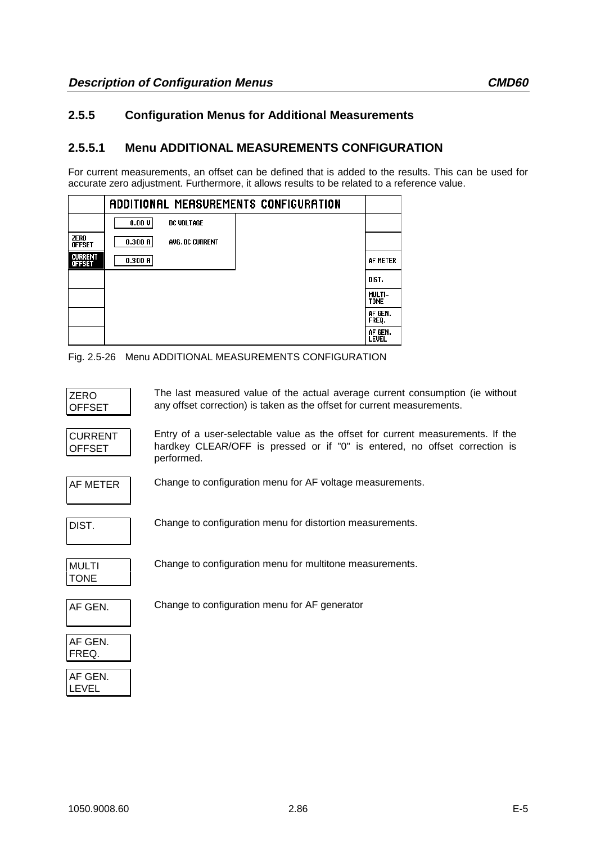## **2.5.5 Configuration Menus for Additional Measurements**

## **2.5.5.1 Menu ADDITIONAL MEASUREMENTS CONFIGURATION**

For current measurements, an offset can be defined that is added to the results. This can be used for accurate zero adjustment. Furthermore, it allows results to be related to a reference value.

|                                 | ADDITIONAL MEASUREMENTS CONFIGURATION |                         |
|---------------------------------|---------------------------------------|-------------------------|
|                                 | 0.00V<br>DC VOLTAGE                   |                         |
| ZERO<br><b>OFFSET</b>           | 0.300B<br><b>AVG. DC CURRENT</b>      |                         |
| <b>CURRENT</b><br><b>OFFSET</b> | 0.300A                                | AF METER                |
|                                 |                                       | DIST.                   |
|                                 |                                       | MULTI-<br><b>TONE</b>   |
|                                 |                                       | AF GEN.<br>FREQ.        |
|                                 |                                       | AF GEN.<br><b>LEVEL</b> |

Fig. 2.5-26 Menu ADDITIONAL MEASUREMENTS CONFIGURATION

| ZERO   | The last measure    |
|--------|---------------------|
| OFFSET | any offset correcti |
|        |                     |

ed value of the actual average current consumption (ie without ion) is taken as the offset for current measurements.

| <b>CURRENT</b> |  |
|----------------|--|
| <b>OFFSET</b>  |  |

Entry of a user-selectable value as the offset for current measurements. If the hardkey CLEAR/OFF is pressed or if "0" is entered, no offset correction is performed.



AF METER Change to configuration menu for AF voltage measurements.

Change to configuration menu for distortion measurements.

| MULTI       |  |
|-------------|--|
| <b>TONE</b> |  |

Change to configuration menu for multitone measurements.

| Ξ | ٠<br>۰. |  |
|---|---------|--|
|   |         |  |

Change to configuration menu for AF generator

| AF GEN. |  |
|---------|--|
| FREQ.   |  |
|         |  |

| AF.<br>GEN |  |
|------------|--|
| I EVEL     |  |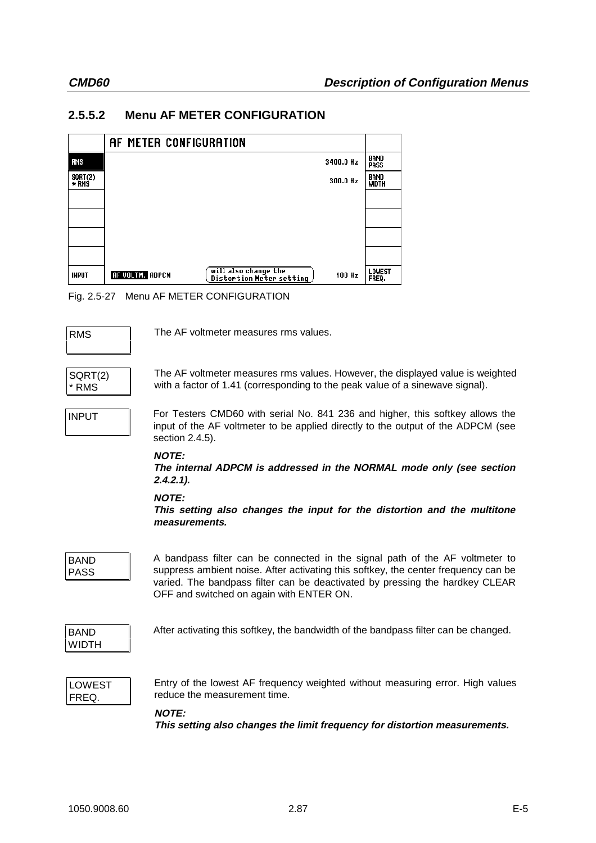# **2.5.5.2 Menu AF METER CONFIGURATION**



Fig. 2.5-27 Menu AF METER CONFIGURATION

RMS The AF voltmeter measures rms values.

SQRT(2) \* RMS

The AF voltmeter measures rms values. However, the displayed value is weighted with a factor of 1.41 (corresponding to the peak value of a sinewave signal).

INPUT For Testers CMD60 with serial No. 841 236 and higher, this softkey allows the input of the AF voltmeter to be applied directly to the output of the ADPCM (see section 2.4.5).

## **NOTE:**

**The internal ADPCM is addressed in the NORMAL mode only (see section 2.4.2.1).**

## **NOTE:**

**This setting also changes the input for the distortion and the multitone measurements.**

BAND PASS

A bandpass filter can be connected in the signal path of the AF voltmeter to suppress ambient noise. After activating this softkey, the center frequency can be varied. The bandpass filter can be deactivated by pressing the hardkey CLEAR OFF and switched on again with ENTER ON.



After activating this softkey, the bandwidth of the bandpass filter can be changed.

LOWEST FREQ.

Entry of the lowest AF frequency weighted without measuring error. High values reduce the measurement time.

## **NOTE:**

**This setting also changes the limit frequency for distortion measurements.**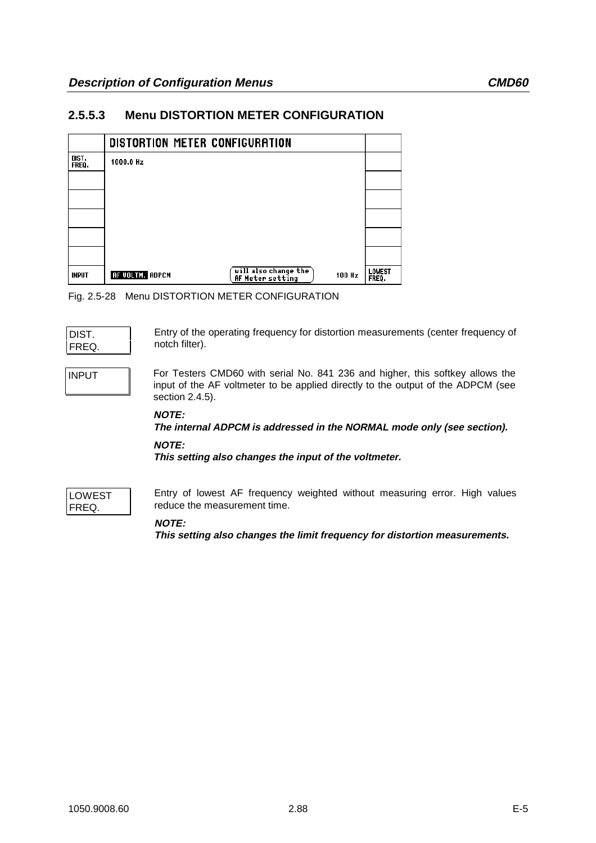## **2.5.5.3 Menu DISTORTION METER CONFIGURATION**



Fig. 2.5-28 Menu DISTORTION METER CONFIGURATION

| DIST |  |
|------|--|
| FRFO |  |

Entry of the operating frequency for distortion measurements (center frequency of notch filter).

INPUT For Testers CMD60 with serial No. 841 236 and higher, this softkey allows the input of the AF voltmeter to be applied directly to the output of the ADPCM (see section 2.4.5).

## **NOTE:**

**The internal ADPCM is addressed in the NORMAL mode only (see section).**

### **NOTE:**

**This setting also changes the input of the voltmeter.**



Entry of lowest AF frequency weighted without measuring error. High values reduce the measurement time.

## **NOTE:**

**This setting also changes the limit frequency for distortion measurements.**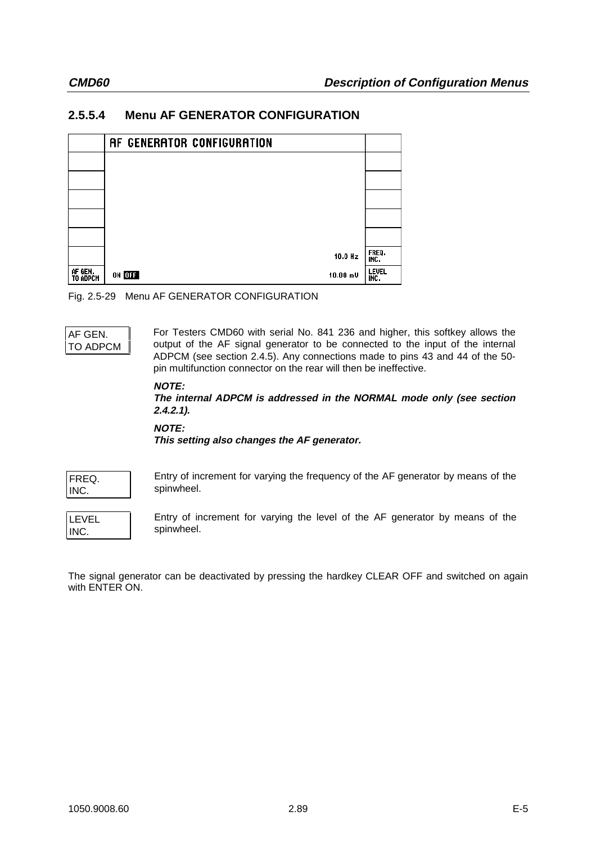## **2.5.5.4 Menu AF GENERATOR CONFIGURATION**



Fig. 2.5-29 Menu AF GENERATOR CONFIGURATION



For Testers CMD60 with serial No. 841 236 and higher, this softkey allows the output of the AF signal generator to be connected to the input of the internal ADPCM (see section 2.4.5). Any connections made to pins 43 and 44 of the 50 pin multifunction connector on the rear will then be ineffective.

### **NOTE:**

**The internal ADPCM is addressed in the NORMAL mode only (see section 2.4.2.1).**

**NOTE:**

**This setting also changes the AF generator.**

| FREQ. |  |
|-------|--|
| INC   |  |

Entry of increment for varying the frequency of the AF generator by means of the spinwheel.

LEVEL INC.

Entry of increment for varying the level of the AF generator by means of the spinwheel.

The signal generator can be deactivated by pressing the hardkey CLEAR OFF and switched on again with ENTER ON.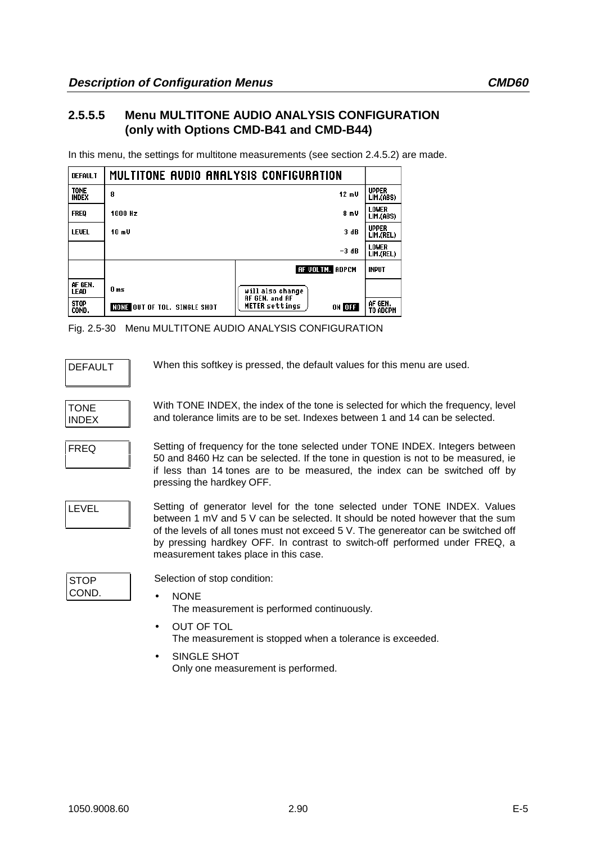## **2.5.5.5 Menu MULTITONE AUDIO ANALYSIS CONFIGURATION (only with Options CMD-B41 and CMD-B44)**

In this menu, the settings for multitone measurements (see section 2.4.5.2) are made.

| <b>DEFAULT</b>              | MULTITONE AUDIO ANALYSIS CONFIGURATION |                                                          |                           |
|-----------------------------|----------------------------------------|----------------------------------------------------------|---------------------------|
| <b>TONE</b><br><b>INDEX</b> | 8                                      | 12 mV                                                    | <b>UPPER</b><br>LIM.(ABS) |
| <b>FREQ</b>                 | 1000 Hz<br>8mV                         |                                                          | LOWER<br>LIM.(ABS)        |
| <b>LEVEL</b>                | 3 dB<br>10m                            |                                                          | <b>UPPER</b><br>LIM.(REL) |
|                             |                                        | $-3dB$                                                   | <b>LOWER</b><br>LIM.(REL) |
|                             |                                        | <b>AF VOLTM.</b> ADPCM                                   | <b>INPUT</b>              |
| AF GEN.<br>LEAD             | 0 ms                                   | will also change                                         |                           |
| <b>STOP</b><br>COND.        | <b>NONE OUT OF TOL. SINGLE SHOT</b>    | <b>AF GEN. and AF</b><br><b>METER</b> settings<br>ON OFF | AF GEN.<br>TO ADCPM       |

Fig. 2.5-30 Menu MULTITONE AUDIO ANALYSIS CONFIGURATION

DEFAULT When this softkey is pressed, the default values for this menu are used.

| TONF  |  |
|-------|--|
| INDFX |  |

With TONE INDEX, the index of the tone is selected for which the frequency, level and tolerance limits are to be set. Indexes between 1 and 14 can be selected.

FREQ Setting of frequency for the tone selected under TONE INDEX. Integers between 50 and 8460 Hz can be selected. If the tone in question is not to be measured, ie if less than 14 tones are to be measured, the index can be switched off by pressing the hardkey OFF.

LEVEL Setting of generator level for the tone selected under TONE INDEX. Values between 1 mV and 5 V can be selected. It should be noted however that the sum of the levels of all tones must not exceed 5 V. The genereator can be switched off by pressing hardkey OFF. In contrast to switch-off performed under FREQ, a measurement takes place in this case.

| STOP |  |
|------|--|
| COND |  |

Selection of stop condition:

• NONE

The measurement is performed continuously.

- OUT OF TOL The measurement is stopped when a tolerance is exceeded.
- SINGLE SHOT Only one measurement is performed.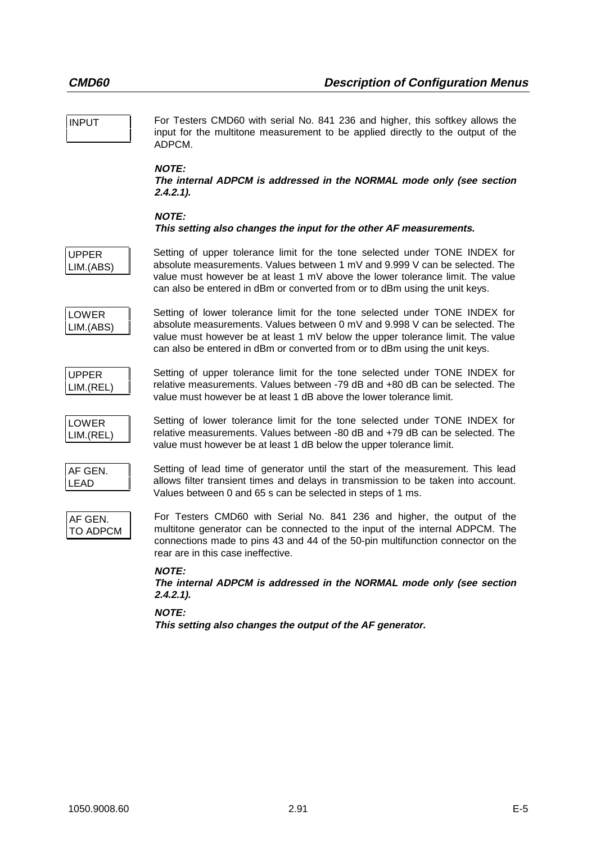| <b>INPUT</b>               | For Testers CMD60 with serial No. 841 236 and higher, this softkey allows the<br>input for the multitone measurement to be applied directly to the output of the<br>ADPCM.                                                                                                                                                    |
|----------------------------|-------------------------------------------------------------------------------------------------------------------------------------------------------------------------------------------------------------------------------------------------------------------------------------------------------------------------------|
|                            | <b>NOTE:</b><br>The internal ADPCM is addressed in the NORMAL mode only (see section<br>$2.4.2.1$ ).                                                                                                                                                                                                                          |
|                            | <b>NOTE:</b><br>This setting also changes the input for the other AF measurements.                                                                                                                                                                                                                                            |
| <b>UPPER</b><br>LIM.(ABS)  | Setting of upper tolerance limit for the tone selected under TONE INDEX for<br>absolute measurements. Values between 1 mV and 9.999 V can be selected. The<br>value must however be at least 1 $mV$ above the lower tolerance limit. The value<br>can also be entered in dBm or converted from or to dBm using the unit keys. |
| <b>LOWER</b><br>LIM.(ABS)  | Setting of lower tolerance limit for the tone selected under TONE INDEX for<br>absolute measurements. Values between 0 mV and 9.998 V can be selected. The<br>value must however be at least 1 $mV$ below the upper tolerance limit. The value<br>can also be entered in dBm or converted from or to dBm using the unit keys. |
| <b>UPPER</b><br>LIM.(REL)  | Setting of upper tolerance limit for the tone selected under TONE INDEX for<br>relative measurements. Values between -79 dB and +80 dB can be selected. The<br>value must however be at least 1 dB above the lower tolerance limit.                                                                                           |
| <b>LOWER</b><br>LIM.(REL)  | Setting of lower tolerance limit for the tone selected under TONE INDEX for<br>relative measurements. Values between -80 dB and +79 dB can be selected. The<br>value must however be at least 1 dB below the upper tolerance limit.                                                                                           |
| AF GEN.<br>LEAD            | Setting of lead time of generator until the start of the measurement. This lead<br>allows filter transient times and delays in transmission to be taken into account.<br>Values between 0 and 65 s can be selected in steps of 1 ms.                                                                                          |
| AF GEN.<br><b>TO ADPCM</b> | For Testers CMD60 with Serial No. 841 236 and higher, the output of the<br>multitone generator can be connected to the input of the internal ADPCM. The<br>connections made to pins 43 and 44 of the 50-pin multifunction connector on the<br>rear are in this case ineffective.                                              |
|                            | <b>NOTE:</b><br>The internal ADPCM is addressed in the NORMAL mode only (see section<br>$2.4.2.1$ ).                                                                                                                                                                                                                          |
|                            | <b>NOTE:</b><br>This setting also changes the output of the AF generator.                                                                                                                                                                                                                                                     |
|                            |                                                                                                                                                                                                                                                                                                                               |
|                            |                                                                                                                                                                                                                                                                                                                               |
|                            |                                                                                                                                                                                                                                                                                                                               |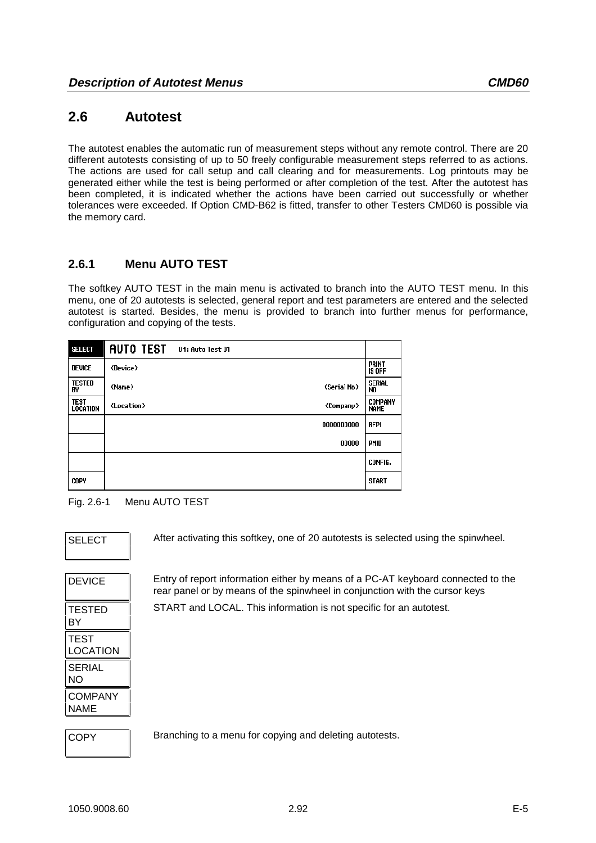# **2.6 Autotest**

The autotest enables the automatic run of measurement steps without any remote control. There are 20 different autotests consisting of up to 50 freely configurable measurement steps referred to as actions. The actions are used for call setup and call clearing and for measurements. Log printouts may be generated either while the test is being performed or after completion of the test. After the autotest has been completed, it is indicated whether the actions have been carried out successfully or whether tolerances were exceeded. If Option CMD-B62 is fitted, transfer to other Testers CMD60 is possible via the memory card.

# **2.6.1 Menu AUTO TEST**

The softkey AUTO TEST in the main menu is activated to branch into the AUTO TEST menu. In this menu, one of 20 autotests is selected, general report and test parameters are entered and the selected autotest is started. Besides, the menu is provided to branch into further menus for performance, configuration and copying of the tests.

| <b>SELECT</b>       | <b>AUTO TEST</b><br>01: Auto Test 01                       |                               |
|---------------------|------------------------------------------------------------|-------------------------------|
| <b>DEVICE</b>       | <device></device>                                          | <b>PRINT</b><br><b>IS OFF</b> |
| <b>TESTED</b><br>B٧ | <b><serial no=""></serial></b><br><name></name>            | Serial<br>N <sub>0</sub>      |
| TEST<br>Location    | <b><company></company></b><br><b><location></location></b> | <b>COMPANY</b><br><b>NAME</b> |
|                     | 0000000000                                                 | <b>RFPI</b>                   |
|                     | 00000                                                      | <b>PMID</b>                   |
|                     |                                                            | CONFIG.                       |
| <b>COPY</b>         |                                                            | <b>START</b>                  |

## Fig. 2.6-1 Menu AUTO TEST

After activating this softkey, one of 20 autotests is selected using the spinwheel.

| <b>DEVICE</b>    |
|------------------|
| TESTED<br>BY     |
| TEST<br>LOCATION |
| SERIAL<br>NΟ     |
| COMPANY<br>NAME  |

Entry of report information either by means of a PC-AT keyboard connected to the rear panel or by means of the spinwheel in conjunction with the cursor keys START and LOCAL. This information is not specific for an autotest.

| ✓<br>۱Ρ<br>ו זי ז |  |
|-------------------|--|
|                   |  |

Branching to a menu for copying and deleting autotests.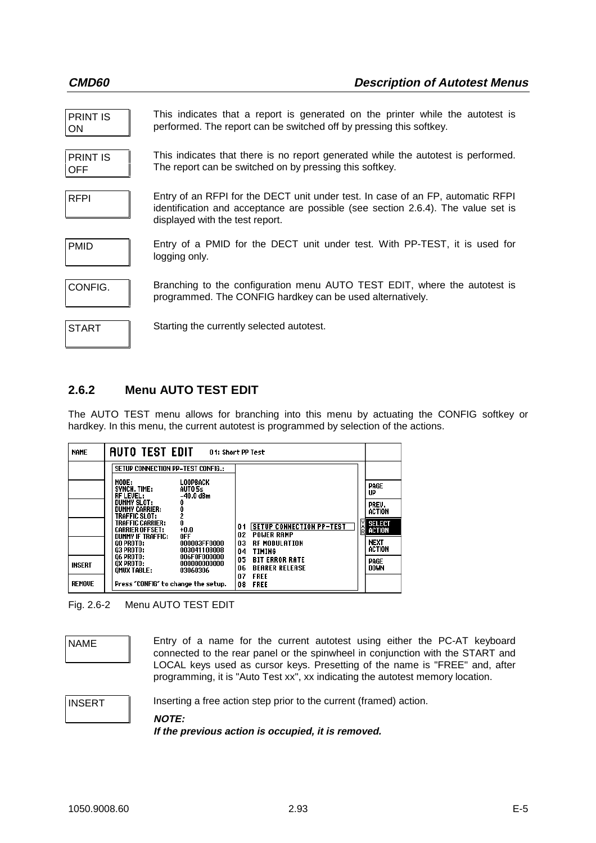| <b>PRINT IS</b><br><b>ON</b>  | This indicates that a report is generated on the printer while the autotest is<br>performed. The report can be switched off by pressing this softkey.                                                  |
|-------------------------------|--------------------------------------------------------------------------------------------------------------------------------------------------------------------------------------------------------|
| <b>PRINT IS</b><br><b>OFF</b> | This indicates that there is no report generated while the autotest is performed.<br>The report can be switched on by pressing this softkey.                                                           |
| <b>RFPI</b>                   | Entry of an RFPI for the DECT unit under test. In case of an FP, automatic RFPI<br>identification and acceptance are possible (see section 2.6.4). The value set is<br>displayed with the test report. |
| <b>PMID</b>                   | Entry of a PMID for the DECT unit under test. With PP-TEST, it is used for<br>logging only.                                                                                                            |
| CONFIG.                       | Branching to the configuration menu AUTO TEST EDIT, where the autotest is<br>programmed. The CONFIG hardkey can be used alternatively.                                                                 |
| <b>START</b>                  | Starting the currently selected autotest.                                                                                                                                                              |

## **2.6.2 Menu AUTO TEST EDIT**

The AUTO TEST menu allows for branching into this menu by actuating the CONFIG softkey or hardkey. In this menu, the current autotest is programmed by selection of the actions.

| <b>NAME</b>   | AUTO TEST EDIT                                                                                                                                                                                                                                                                                                                                                                                                                                                           | 01: Short PP Test                                                                                                                                                                                 |                                                                                                                          |
|---------------|--------------------------------------------------------------------------------------------------------------------------------------------------------------------------------------------------------------------------------------------------------------------------------------------------------------------------------------------------------------------------------------------------------------------------------------------------------------------------|---------------------------------------------------------------------------------------------------------------------------------------------------------------------------------------------------|--------------------------------------------------------------------------------------------------------------------------|
| <b>INSERT</b> | <b>SETUP CONNECTION PP-TEST CONFIG.:</b><br>MODE:<br>LOOPBACK<br>SYNCH. TIME:<br>AUT05s<br><b>RF LEVEL:</b><br>$-40.0$ dBm<br><b>DUMMY SLOT:</b><br><b>DUMMY CARRIER:</b><br>0<br>2<br>0<br>TRAFFIC SLOT:<br>TRAFFIC CARRIER:<br>$+0.0$<br><b>CARRIER OFFSET:</b><br><b>DUMMY IF TRAFFIC:</b><br>0FF<br><b>00 PROTO:</b><br>000003FF0000<br>03 PROTO:<br>003041108008<br><b>06 PROTO:</b><br>006F0F000000<br>OX PROTO:<br>000000000000<br><b>OMUX TABLE:</b><br>03060306 | <b>SETUP CONNECTION PP-TEST</b><br>01<br>02<br><b>POWER RAMP</b><br>03<br><b>RF MODULATION</b><br>04<br>TIMING<br>05<br><b>BIT ERROR RATE</b><br>06<br><b>BEARER RELEASE</b><br>07<br><b>FREE</b> | PAGE<br>UP<br>PREV.<br><b>ACTION</b><br><b>SELECT</b><br><b>E</b> ACTION<br><b>NEXT</b><br>ACTION<br>PAGE<br><b>DOWN</b> |
| <b>REMOVE</b> | Press "CONFIG" to change the setup.                                                                                                                                                                                                                                                                                                                                                                                                                                      | 08<br><b>FREE</b>                                                                                                                                                                                 |                                                                                                                          |

Fig. 2.6-2 Menu AUTO TEST EDIT

NAME **Entry of a name for the current autotest using either the PC-AT keyboard** connected to the rear panel or the spinwheel in conjunction with the START and LOCAL keys used as cursor keys. Presetting of the name is "FREE" and, after programming, it is "Auto Test xx", xx indicating the autotest memory location.

INSERT Inserting a free action step prior to the current (framed) action.

**NOTE:**

**If the previous action is occupied, it is removed.**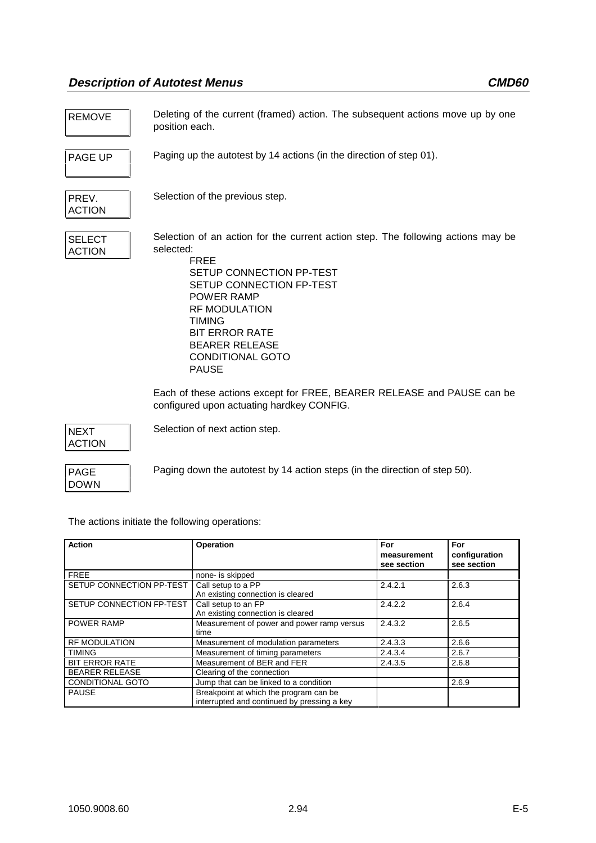REMOVE Deleting of the current (framed) action. The subsequent actions move up by one position each.

PAGE UP Paging up the autotest by 14 actions (in the direction of step 01).

PREV. ACTION

Selection of the previous step.

| <b>SELECT</b> |  |
|---------------|--|
| <b>ACTION</b> |  |

Selection of an action for the current action step. The following actions may be selected:

FREE SETUP CONNECTION PP-TEST SETUP CONNECTION FP-TEST POWER RAMP RF MODULATION TIMING BIT ERROR RATE BEARER RELEASE CONDITIONAL GOTO PAUSE

Each of these actions except for FREE, BEARER RELEASE and PAUSE can be configured upon actuating hardkey CONFIG.

NEXT ACTION Selection of next action step.

PAGE DOWN Paging down the autotest by 14 action steps (in the direction of step 50).

The actions initiate the following operations:

| <b>Action</b>            | <b>Operation</b>                                                                      | For<br>measurement<br>see section | For<br>configuration<br>see section |
|--------------------------|---------------------------------------------------------------------------------------|-----------------------------------|-------------------------------------|
| <b>FREE</b>              | none- is skipped                                                                      |                                   |                                     |
| SETUP CONNECTION PP-TEST | Call setup to a PP<br>An existing connection is cleared                               | 2.4.2.1                           | 2.6.3                               |
| SETUP CONNECTION FP-TEST | Call setup to an FP<br>An existing connection is cleared                              | 2.4.2.2                           | 2.6.4                               |
| <b>POWER RAMP</b>        | Measurement of power and power ramp versus<br>time                                    | 2.4.3.2                           | 2.6.5                               |
| <b>RF MODULATION</b>     | Measurement of modulation parameters                                                  | 2.4.3.3                           | 2.6.6                               |
| <b>TIMING</b>            | Measurement of timing parameters                                                      | 2.4.3.4                           | 2.6.7                               |
| <b>BIT ERROR RATE</b>    | Measurement of BER and FER                                                            | 2.4.3.5                           | 2.6.8                               |
| <b>BEARER RELEASE</b>    | Clearing of the connection                                                            |                                   |                                     |
| <b>CONDITIONAL GOTO</b>  | Jump that can be linked to a condition                                                |                                   | 2.6.9                               |
| <b>PAUSE</b>             | Breakpoint at which the program can be<br>interrupted and continued by pressing a key |                                   |                                     |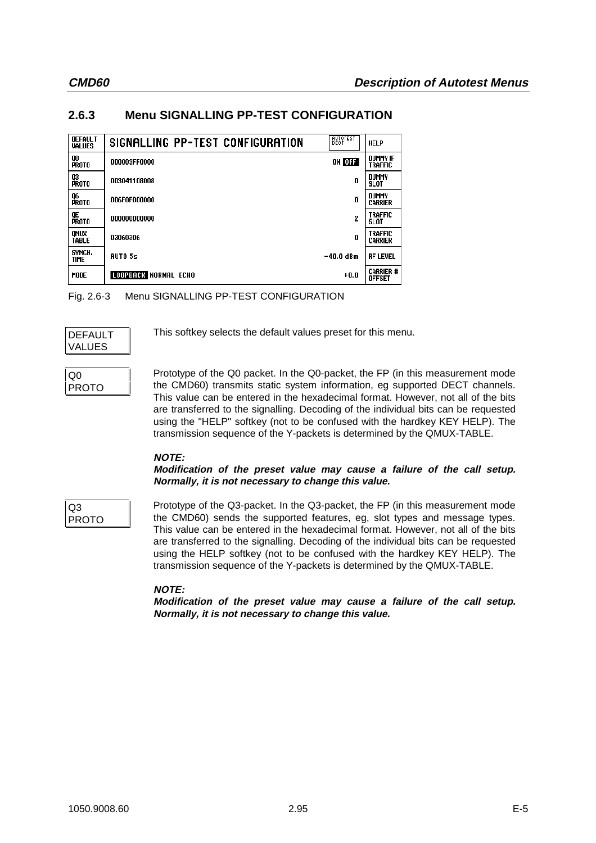# **2.6.3 Menu SIGNALLING PP-TEST CONFIGURATION**

| <b>DEFAULT</b><br><b>VALUES</b> | SIGNALLING PP-TEST CONFIGURATION | BECT           | <b>HELP</b>                       |
|---------------------------------|----------------------------------|----------------|-----------------------------------|
| QO<br>PROTO                     | 000003FF0000                     | ON OFF         | <b>DUMMY IF</b><br><b>TRAFFIC</b> |
| Q3<br><b>PROTO</b>              | 003041108008                     | 0              | DUMMY<br>SLOT                     |
| Q6<br>PROTO                     | 006F0F000000                     | 0              | DUMMY<br><b>CARRIER</b>           |
| QE<br>PROTO                     | 000000000000                     | $\overline{c}$ | <b>TRAFFIC</b><br><b>SLOT</b>     |
| QMUX<br><b>TABLE</b>            | 03060306                         | 0              | <b>TRAFFIC</b><br><b>CARRIER</b>  |
| SYNCH.<br><b>TIME</b>           | AUT05s                           | -40.0 dBm      | <b>RF LEVEL</b>                   |
| MODE                            | LOOPBACK NORMAL ECHO             | $+0.0$         | Carrier #<br><b>OFFSET</b>        |

Fig. 2.6-3 Menu SIGNALLING PP-TEST CONFIGURATION

| DEFAULT |  |
|---------|--|
| VALUES  |  |

This softkey selects the default values preset for this menu.

## Q0 PROTO

Prototype of the Q0 packet. In the Q0-packet, the FP (in this measurement mode the CMD60) transmits static system information, eg supported DECT channels. This value can be entered in the hexadecimal format. However, not all of the bits are transferred to the signalling. Decoding of the individual bits can be requested using the "HELP" softkey (not to be confused with the hardkey KEY HELP). The transmission sequence of the Y-packets is determined by the QMUX-TABLE.

## **NOTE:**

### **Modification of the preset value may cause a failure of the call setup. Normally, it is not necessary to change this value.**

Q3 PROTO Prototype of the Q3-packet. In the Q3-packet, the FP (in this measurement mode the CMD60) sends the supported features, eg, slot types and message types. This value can be entered in the hexadecimal format. However, not all of the bits are transferred to the signalling. Decoding of the individual bits can be requested using the HELP softkey (not to be confused with the hardkey KEY HELP). The transmission sequence of the Y-packets is determined by the QMUX-TABLE.

## **NOTE:**

**Modification of the preset value may cause a failure of the call setup. Normally, it is not necessary to change this value.**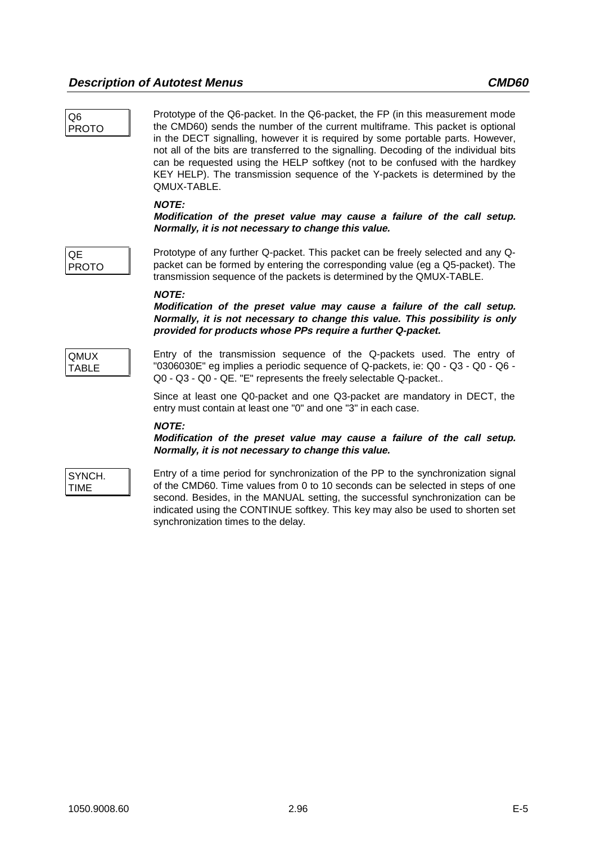| Q <sub>6</sub>       | Prototype of the Q6-packet. In the Q6-packet, the FP (in this measurement mode                                                                                                                                                                                                                                                                                                                                                           |
|----------------------|------------------------------------------------------------------------------------------------------------------------------------------------------------------------------------------------------------------------------------------------------------------------------------------------------------------------------------------------------------------------------------------------------------------------------------------|
| <b>PROTO</b>         | the CMD60) sends the number of the current multiframe. This packet is optional<br>in the DECT signalling, however it is required by some portable parts. However,<br>not all of the bits are transferred to the signalling. Decoding of the individual bits<br>can be requested using the HELP softkey (not to be confused with the hardkey<br>KEY HELP). The transmission sequence of the Y-packets is determined by the<br>QMUX-TABLE. |
|                      | <b>NOTE:</b><br>Modification of the preset value may cause a failure of the call setup.<br>Normally, it is not necessary to change this value.                                                                                                                                                                                                                                                                                           |
| QE<br><b>PROTO</b>   | Prototype of any further Q-packet. This packet can be freely selected and any Q-<br>packet can be formed by entering the corresponding value (eg a Q5-packet). The<br>transmission sequence of the packets is determined by the QMUX-TABLE.                                                                                                                                                                                              |
|                      | <b>NOTE:</b><br>Modification of the preset value may cause a failure of the call setup.<br>Normally, it is not necessary to change this value. This possibility is only<br>provided for products whose PPs require a further Q-packet.                                                                                                                                                                                                   |
| <b>QMUX</b><br>TABLE | Entry of the transmission sequence of the Q-packets used. The entry of<br>"0306030E" eg implies a periodic sequence of Q-packets, ie: Q0 - Q3 - Q0 - Q6 -<br>Q0 - Q3 - Q0 - QE. "E" represents the freely selectable Q-packet                                                                                                                                                                                                            |

Since at least one Q0-packet and one Q3-packet are mandatory in DECT, the entry must contain at least one "0" and one "3" in each case.

### **NOTE:**

**Modification of the preset value may cause a failure of the call setup. Normally, it is not necessary to change this value.**

SYNCH. TIME

Entry of a time period for synchronization of the PP to the synchronization signal of the CMD60. Time values from 0 to 10 seconds can be selected in steps of one second. Besides, in the MANUAL setting, the successful synchronization can be indicated using the CONTINUE softkey. This key may also be used to shorten set synchronization times to the delay.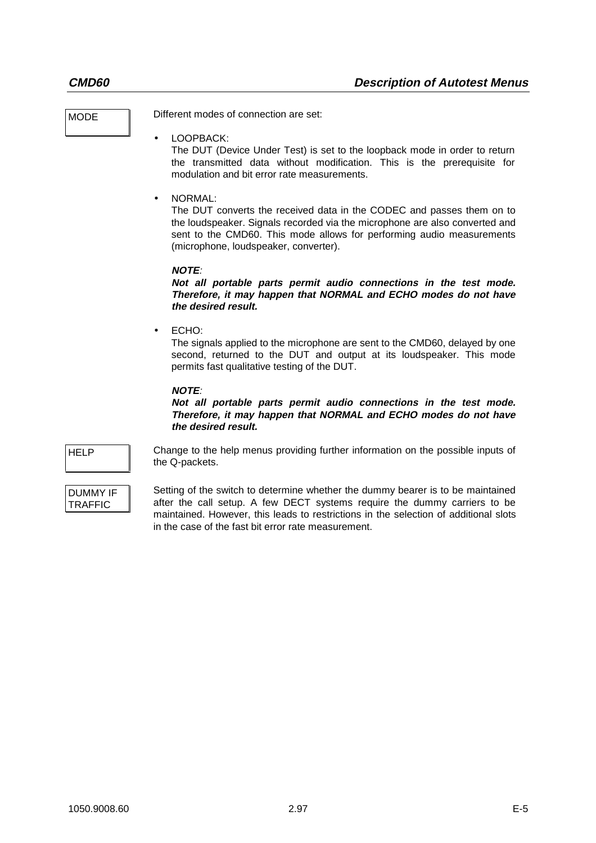MODE Different modes of connection are set:

• LOOPBACK:

The DUT (Device Under Test) is set to the loopback mode in order to return the transmitted data without modification. This is the prerequisite for modulation and bit error rate measurements.

• NORMAL:

The DUT converts the received data in the CODEC and passes them on to the loudspeaker. Signals recorded via the microphone are also converted and sent to the CMD60. This mode allows for performing audio measurements (microphone, loudspeaker, converter).

### **NOTE**:

**Not all portable parts permit audio connections in the test mode. Therefore, it may happen that NORMAL and ECHO modes do not have the desired result.**

• ECHO:

The signals applied to the microphone are sent to the CMD60, delayed by one second, returned to the DUT and output at its loudspeaker. This mode permits fast qualitative testing of the DUT.

## **NOTE**:

**Not all portable parts permit audio connections in the test mode. Therefore, it may happen that NORMAL and ECHO modes do not have the desired result.**

HELP Change to the help menus providing further information on the possible inputs of the Q-packets.

### DUMMY IF TRAFFIC

Setting of the switch to determine whether the dummy bearer is to be maintained after the call setup. A few DECT systems require the dummy carriers to be maintained. However, this leads to restrictions in the selection of additional slots in the case of the fast bit error rate measurement.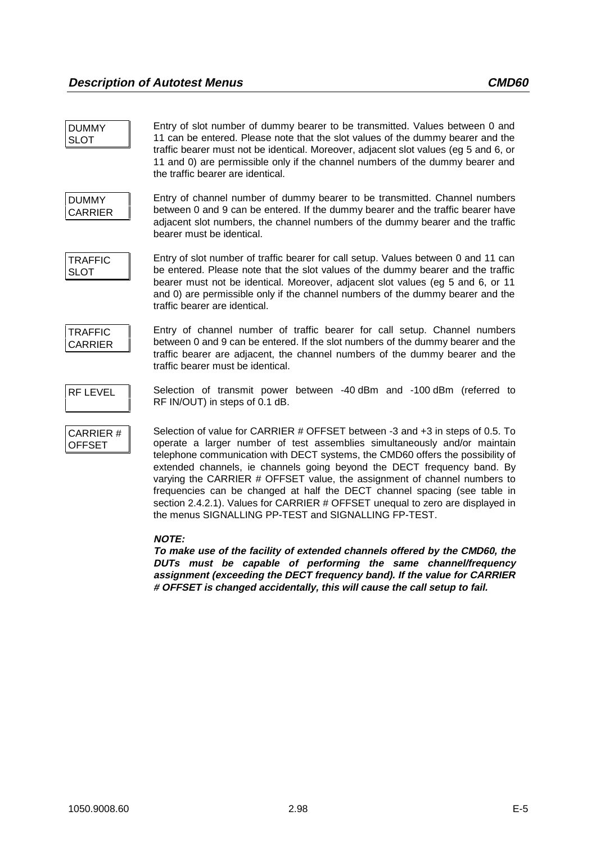DUMMY SLOT Entry of slot number of dummy bearer to be transmitted. Values between 0 and 11 can be entered. Please note that the slot values of the dummy bearer and the traffic bearer must not be identical. Moreover, adjacent slot values (eg 5 and 6, or 11 and 0) are permissible only if the channel numbers of the dummy bearer and the traffic bearer are identical.

DUMMY CARRIER Entry of channel number of dummy bearer to be transmitted. Channel numbers between 0 and 9 can be entered. If the dummy bearer and the traffic bearer have adjacent slot numbers, the channel numbers of the dummy bearer and the traffic bearer must be identical.

**TRAFFIC** SLOT

Entry of slot number of traffic bearer for call setup. Values between 0 and 11 can be entered. Please note that the slot values of the dummy bearer and the traffic bearer must not be identical. Moreover, adjacent slot values (eg 5 and 6, or 11 and 0) are permissible only if the channel numbers of the dummy bearer and the traffic bearer are identical.

TRAFFIC CARRIER Entry of channel number of traffic bearer for call setup. Channel numbers between 0 and 9 can be entered. If the slot numbers of the dummy bearer and the traffic bearer are adjacent, the channel numbers of the dummy bearer and the traffic bearer must be identical.

RF LEVEL Selection of transmit power between -40 dBm and -100 dBm (referred to RF IN/OUT) in steps of 0.1 dB.

CARRIER # OFFSET

Selection of value for CARRIER # OFFSET between -3 and +3 in steps of 0.5. To operate a larger number of test assemblies simultaneously and/or maintain telephone communication with DECT systems, the CMD60 offers the possibility of extended channels, ie channels going beyond the DECT frequency band. By varying the CARRIER # OFFSET value, the assignment of channel numbers to frequencies can be changed at half the DECT channel spacing (see table in section 2.4.2.1). Values for CARRIER # OFFSET unequal to zero are displayed in the menus SIGNALLING PP-TEST and SIGNALLING FP-TEST.

## **NOTE:**

**To make use of the facility of extended channels offered by the CMD60, the DUTs must be capable of performing the same channel/frequency assignment (exceeding the DECT frequency band). If the value for CARRIER # OFFSET is changed accidentally, this will cause the call setup to fail.**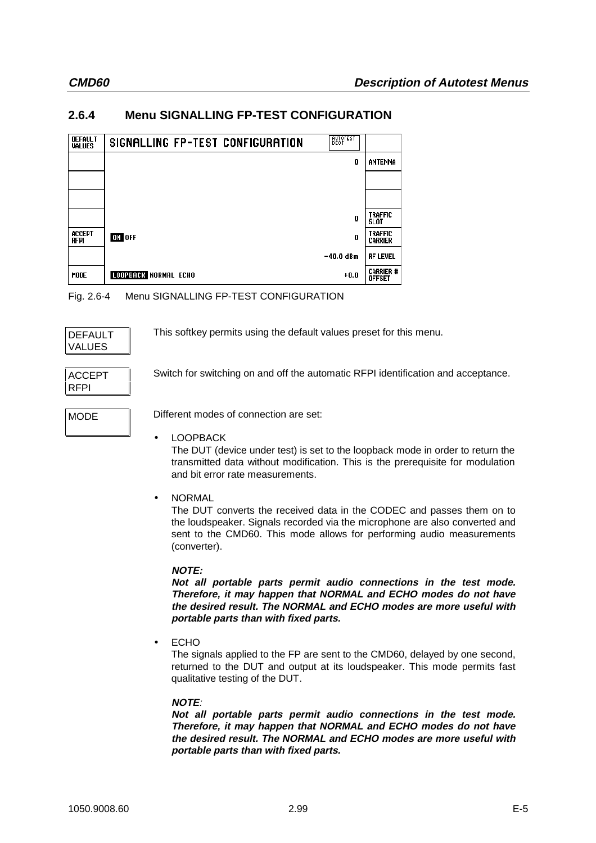## **2.6.4 Menu SIGNALLING FP-TEST CONFIGURATION**

| <b>DEFAULT</b><br><b>VALUES</b> | SIGNALLING FP-TEST CONFIGURATION | BECT        |                                   |
|---------------------------------|----------------------------------|-------------|-----------------------------------|
|                                 |                                  | 0           | ANTENNA                           |
|                                 |                                  |             |                                   |
|                                 |                                  |             |                                   |
|                                 |                                  | 0           | <b>TRAFFIC</b><br><b>SLOT</b>     |
| ACCEPT<br><b>RFPI</b>           | ON OFF                           | 0           | <b>TRAFFIC</b><br><b>CARRIER</b>  |
|                                 |                                  | $-40.0$ dBm | <b>RF LEVEL</b>                   |
| <b>MODE</b>                     | <b>LOOPBACK NORMAL ECHO</b>      | $+0.0$      | <b>CARRIER #</b><br><b>OFFSET</b> |

Fig. 2.6-4 Menu SIGNALLING FP-TEST CONFIGURATION

| DEFAULT |  |
|---------|--|
| VALUES  |  |

This softkey permits using the default values preset for this menu.

| ACCEPT      |  |
|-------------|--|
| <b>RFPI</b> |  |

Switch for switching on and off the automatic RFPI identification and acceptance.

MODE Different modes of connection are set:

**LOOPBACK** 

The DUT (device under test) is set to the loopback mode in order to return the transmitted data without modification. This is the prerequisite for modulation and bit error rate measurements.

• NORMAL

The DUT converts the received data in the CODEC and passes them on to the loudspeaker. Signals recorded via the microphone are also converted and sent to the CMD60. This mode allows for performing audio measurements (converter).

## **NOTE:**

**Not all portable parts permit audio connections in the test mode. Therefore, it may happen that NORMAL and ECHO modes do not have the desired result. The NORMAL and ECHO modes are more useful with portable parts than with fixed parts.**

• ECHO

The signals applied to the FP are sent to the CMD60, delayed by one second, returned to the DUT and output at its loudspeaker. This mode permits fast qualitative testing of the DUT.

## **NOTE**:

**Not all portable parts permit audio connections in the test mode. Therefore, it may happen that NORMAL and ECHO modes do not have the desired result. The NORMAL and ECHO modes are more useful with portable parts than with fixed parts.**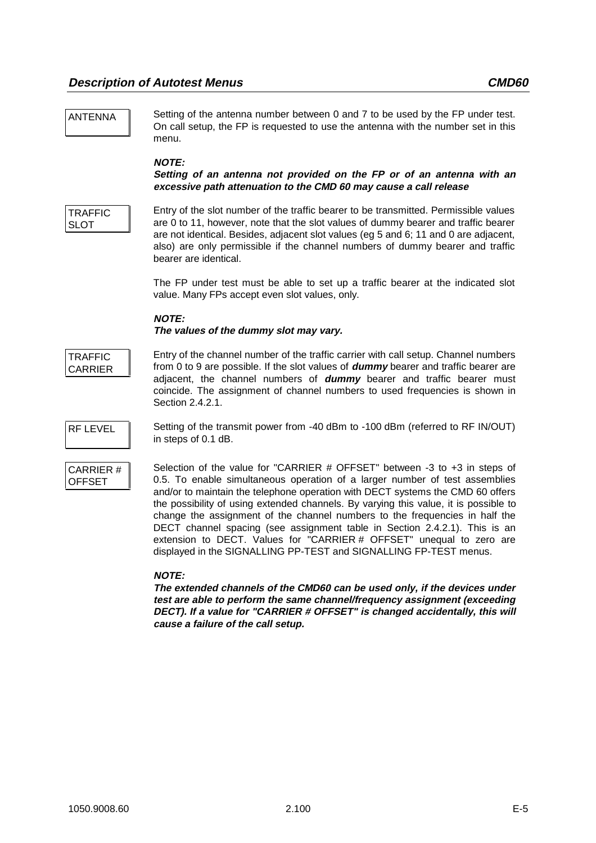ANTENNA Setting of the antenna number between 0 and 7 to be used by the FP under test. On call setup, the FP is requested to use the antenna with the number set in this menu.

### **NOTE:**

### **Setting of an antenna not provided on the FP or of an antenna with an excessive path attenuation to the CMD 60 may cause a call release**

**TRAFFIC** SLOT

Entry of the slot number of the traffic bearer to be transmitted. Permissible values are 0 to 11, however, note that the slot values of dummy bearer and traffic bearer are not identical. Besides, adjacent slot values (eg 5 and 6; 11 and 0 are adjacent, also) are only permissible if the channel numbers of dummy bearer and traffic bearer are identical.

The FP under test must be able to set up a traffic bearer at the indicated slot value. Many FPs accept even slot values, only.

### **NOTE:**

### **The values of the dummy slot may vary.**

**TRAFFIC** CARRIER Entry of the channel number of the traffic carrier with call setup. Channel numbers from 0 to 9 are possible. If the slot values of **dummy** bearer and traffic bearer are adjacent, the channel numbers of **dummy** bearer and traffic bearer must coincide. The assignment of channel numbers to used frequencies is shown in Section 2.4.2.1.



RF LEVEL Setting of the transmit power from -40 dBm to -100 dBm (referred to RF IN/OUT) in steps of 0.1 dB.

| CARRIER#      |  |
|---------------|--|
| <b>OFFSET</b> |  |

Selection of the value for "CARRIER # OFFSET" between -3 to +3 in steps of 0.5. To enable simultaneous operation of a larger number of test assemblies and/or to maintain the telephone operation with DECT systems the CMD 60 offers the possibility of using extended channels. By varying this value, it is possible to change the assignment of the channel numbers to the frequencies in half the DECT channel spacing (see assignment table in Section 2.4.2.1). This is an extension to DECT. Values for "CARRIER # OFFSET" unequal to zero are displayed in the SIGNALLING PP-TEST and SIGNALLING FP-TEST menus.

### **NOTE:**

**The extended channels of the CMD60 can be used only, if the devices under test are able to perform the same channel/frequency assignment (exceeding DECT). If a value for "CARRIER # OFFSET" is changed accidentally, this will cause a failure of the call setup.**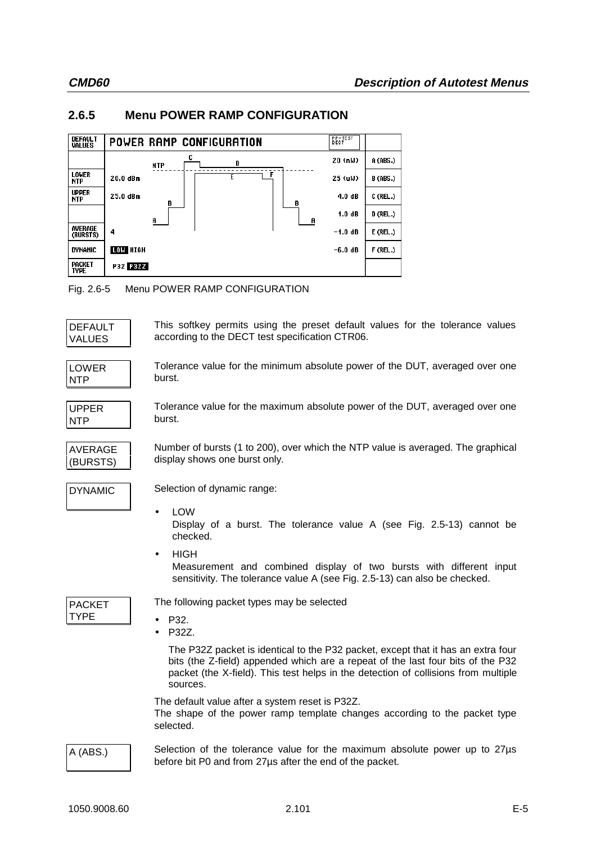## **2.6.5 Menu POWER RAMP CONFIGURATION**

| <b>DEFAULT</b><br><b>VALUES</b> | POWER RAMP CONFIGURATION | <b>BECTEST</b> |                 |
|---------------------------------|--------------------------|----------------|-----------------|
|                                 | D<br><b>NTP</b>          | 20 (nW)        | A (ABS.)        |
| <b>LOWER</b><br><b>NTP</b>      | Ł<br>20.0 dBm            | 25 (uW)        | <b>B</b> (ABS.) |
| <b>UPPER</b><br><b>NTP</b>      | 25.0 dBm<br>в<br>В       | 4.0dB          | C (REL.)        |
|                                 | A<br>A                   | 1.0dB          | D (REL.)        |
| AVERAGE<br>(BURSTS)             | 4                        | $-1.0$ dB      | $E$ (REL.)      |
| <b>DYNAMIC</b>                  | <b>LOW HIGH</b>          | $-6.0dB$       | F (REL.)        |
| <b>PACKET</b><br><b>TYPE</b>    | P32 P32Z                 |                |                 |

Fig. 2.6-5 Menu POWER RAMP CONFIGURATION

| DEFAULT |  |
|---------|--|
| VALUES  |  |

This softkey permits using the preset default values for the tolerance values according to the DECT test specification CTR06.

LOWER NTP

Tolerance value for the minimum absolute power of the DUT, averaged over one burst.

UPPER NTP

AVERAGE (BURSTS)

Tolerance value for the maximum absolute power of the DUT, averaged over one burst.

Number of bursts (1 to 200), over which the NTP value is averaged. The graphical display shows one burst only.

DYNAMIC Selection of dynamic range:

• LOW

Display of a burst. The tolerance value A (see Fig. 2.5-13) cannot be checked.

• HIGH Measurement and combined display of two bursts with different input sensitivity. The tolerance value A (see Fig. 2.5-13) can also be checked.

PACKET **TYPE** 

The following packet types may be selected

- P32.
- P32Z.

The P32Z packet is identical to the P32 packet, except that it has an extra four bits (the Z-field) appended which are a repeat of the last four bits of the P32 packet (the X-field). This test helps in the detection of collisions from multiple sources.

The default value after a system reset is P32Z.

The shape of the power ramp template changes according to the packet type selected.

A (ABS.) Selection of the tolerance value for the maximum absolute power up to 27µs before bit P0 and from 27µs after the end of the packet.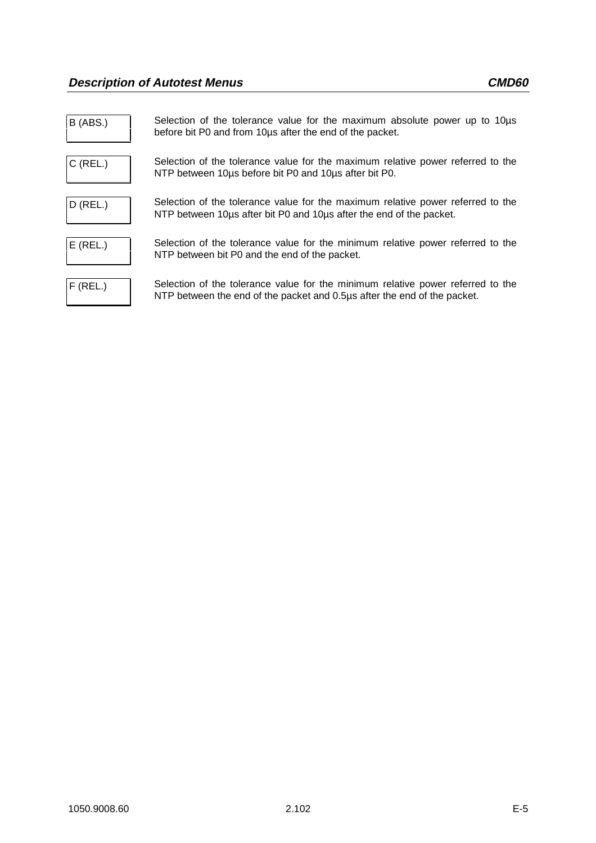| B (ABS.)   | Selection of the tolerance value for the maximum absolute power up to 10 µs<br>before bit P0 and from 10ps after the end of the packet.                     |
|------------|-------------------------------------------------------------------------------------------------------------------------------------------------------------|
| $C$ (REL.) | Selection of the tolerance value for the maximum relative power referred to the<br>NTP between 10 us before bit P0 and 10 us after bit P0.                  |
| $D$ (REL.) | Selection of the tolerance value for the maximum relative power referred to the<br>NTP between 10 us after bit P0 and 10 us after the end of the packet.    |
| $E$ (REL.) | Selection of the tolerance value for the minimum relative power referred to the<br>NTP between bit P0 and the end of the packet.                            |
| $F$ (REL.) | Selection of the tolerance value for the minimum relative power referred to the<br>NTP between the end of the packet and 0.5µs after the end of the packet. |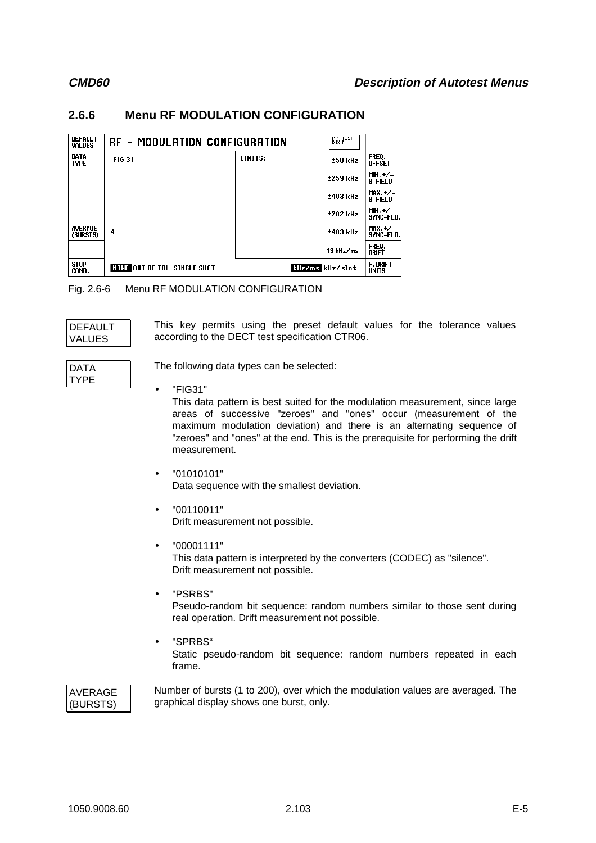## **2.6.6 Menu RF MODULATION CONFIGURATION**

| <b>DEFAULT</b><br><b>VALUES</b> | RF - MODULATION CONFIGURATION      |         | <b>BECTEST</b>  |                                 |
|---------------------------------|------------------------------------|---------|-----------------|---------------------------------|
| DATA<br><b>TYPE</b>             | <b>FIG 31</b>                      | LIMITS: | ±50 kHz         | FREQ.<br>Offset                 |
|                                 |                                    |         | $±259$ kHz      | $MIN. + / -$<br><b>B-FIELD</b>  |
|                                 |                                    |         | ±403 kHz        | $MAX.+/-$<br><b>B-FIELD</b>     |
|                                 |                                    |         | ±202 kHz        | MIN. $+/-$<br><b>SYNC-FLD.</b>  |
| AVERAGE<br>(BURSTS)             | 4                                  |         | ±403 kHz        | $MAX.+/-$<br>SYNC-FLD.          |
|                                 |                                    |         | 13 kHz/ms       | FREO.<br>DRIFT                  |
| <b>STOP</b><br>COND.            | <b>NONE OUT OF TOL SINGLE SHOT</b> |         | kHz/ms kHz/slot | <b>F. DRIFT</b><br><b>UNITS</b> |

Fig. 2.6-6 Menu RF MODULATION CONFIGURATION

| DEFAULT       |  |
|---------------|--|
| <b>VALUES</b> |  |

This key permits using the preset default values for the tolerance values according to the DECT test specification CTR06.

| DATA |  |
|------|--|
| TYPF |  |
|      |  |

The following data types can be selected:

• "FIG31"

This data pattern is best suited for the modulation measurement, since large areas of successive "zeroes" and "ones" occur (measurement of the maximum modulation deviation) and there is an alternating sequence of "zeroes" and "ones" at the end. This is the prerequisite for performing the drift measurement.

- $\bullet$  "01010101" Data sequence with the smallest deviation.
- "00110011" Drift measurement not possible.
- "00001111" This data pattern is interpreted by the converters (CODEC) as "silence". Drift measurement not possible.
- "PSRBS" Pseudo-random bit sequence: random numbers similar to those sent during real operation. Drift measurement not possible.
- "SPRBS" Static pseudo-random bit sequence: random numbers repeated in each frame.

## AVERAGE (BURSTS)

Number of bursts (1 to 200), over which the modulation values are averaged. The graphical display shows one burst, only.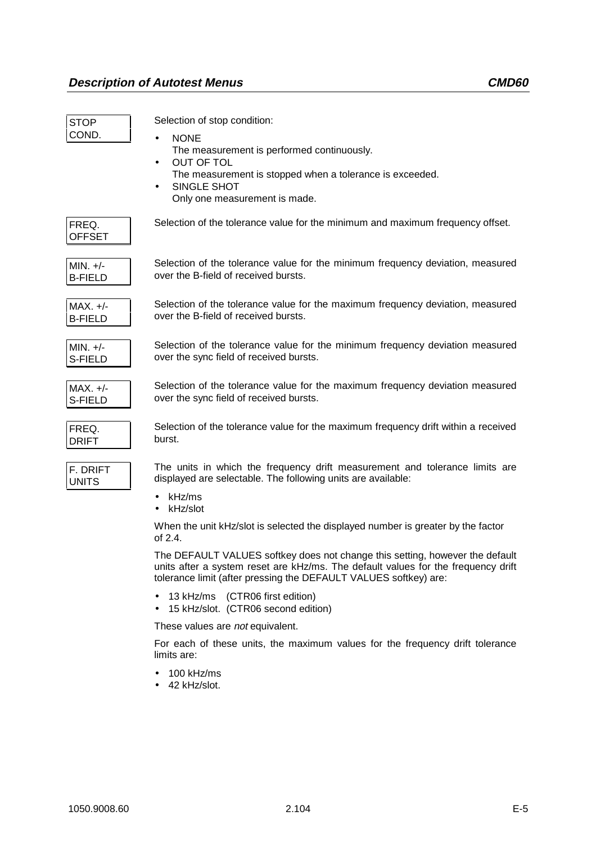| <b>STOP</b><br>COND.         | Selection of stop condition:<br><b>NONE</b><br>$\bullet$<br>The measurement is performed continuously.<br>OUT OF TOL<br>$\bullet$<br>The measurement is stopped when a tolerance is exceeded.<br>SINGLE SHOT<br>$\bullet$<br>Only one measurement is made. |
|------------------------------|------------------------------------------------------------------------------------------------------------------------------------------------------------------------------------------------------------------------------------------------------------|
| FREQ.<br><b>OFFSET</b>       | Selection of the tolerance value for the minimum and maximum frequency offset.                                                                                                                                                                             |
| $MIN. +/-$<br><b>B-FIELD</b> | Selection of the tolerance value for the minimum frequency deviation, measured<br>over the B-field of received bursts.                                                                                                                                     |
| $MAX. +/-$<br><b>B-FIELD</b> | Selection of the tolerance value for the maximum frequency deviation, measured<br>over the B-field of received bursts.                                                                                                                                     |
| $MIN. +/-$<br>S-FIELD        | Selection of the tolerance value for the minimum frequency deviation measured<br>over the sync field of received bursts.                                                                                                                                   |
| $MAX. +/-$<br>S-FIELD        | Selection of the tolerance value for the maximum frequency deviation measured<br>over the sync field of received bursts.                                                                                                                                   |
| FREQ.<br><b>DRIFT</b>        | Selection of the tolerance value for the maximum frequency drift within a received<br>burst.                                                                                                                                                               |
| F. DRIFT<br><b>UNITS</b>     | The units in which the frequency drift measurement and tolerance limits are<br>displayed are selectable. The following units are available:<br>kHz/ms                                                                                                      |
|                              | $\bullet$<br>kHz/slot<br>$\bullet$                                                                                                                                                                                                                         |
|                              | When the unit kHz/slot is selected the displayed number is greater by the factor<br>of 2.4.                                                                                                                                                                |
|                              | The DEFAULT VALUES softkey does not change this setting, however the default<br>units after a system reset are kHz/ms. The default values for the frequency drift<br>tolerance limit (after pressing the DEFAULT VALUES softkey) are:                      |
|                              | 13 kHz/ms (CTR06 first edition)<br>15 kHz/slot. (CTR06 second edition)                                                                                                                                                                                     |

These values are not equivalent.

For each of these units, the maximum values for the frequency drift tolerance limits are:

- 100 kHz/ms
- 42 kHz/slot.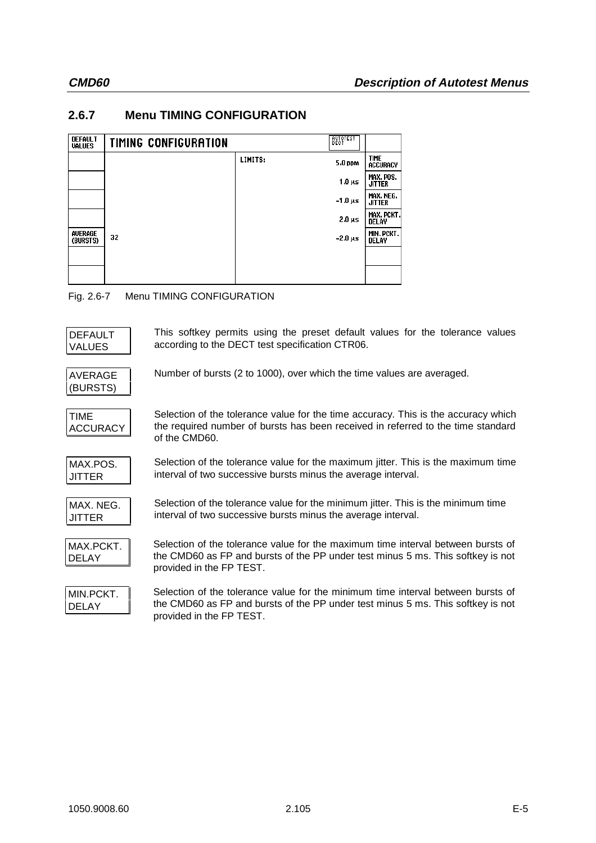# **2.6.7 Menu TIMING CONFIGURATION**

| <b>DEFAULT</b><br><b>VALUES</b> | TIMING CONFIGURATION |         | BECT         |                                |
|---------------------------------|----------------------|---------|--------------|--------------------------------|
|                                 |                      | LIMITS: | 5.0 ppm      | <b>TIME</b><br><b>ACCURACY</b> |
|                                 |                      |         | $1.0 \mu s$  | MAX. POS.<br><b>JITTER</b>     |
|                                 |                      |         | -1.0 µs      | MAX. NEG.<br><b>JITTER</b>     |
|                                 |                      |         | $2.0 \mu s$  | MAX. PCKT.<br><b>DELAY</b>     |
| AVERAGE<br>(BURSTS)             | 32                   |         | $-2.0 \mu s$ | MIN. PCKT.<br><b>DELAY</b>     |
|                                 |                      |         |              |                                |
|                                 |                      |         |              |                                |

## Fig. 2.6-7 Menu TIMING CONFIGURATION

| <b>DEFAULT</b><br><b>VALUES</b> | This softkey permits using the preset default values for the tolerance values<br>according to the DECT test specification CTR06.                                                                |
|---------------------------------|-------------------------------------------------------------------------------------------------------------------------------------------------------------------------------------------------|
| <b>AVERAGE</b><br>(BURSTS)      | Number of bursts (2 to 1000), over which the time values are averaged.                                                                                                                          |
| <b>TIME</b><br><b>ACCURACY</b>  | Selection of the tolerance value for the time accuracy. This is the accuracy which<br>the required number of bursts has been received in referred to the time standard<br>of the CMD60.         |
| MAX.POS.<br><b>JITTER</b>       | Selection of the tolerance value for the maximum jitter. This is the maximum time<br>interval of two successive bursts minus the average interval.                                              |
| MAX. NEG.<br><b>JITTER</b>      | Selection of the tolerance value for the minimum jitter. This is the minimum time<br>interval of two successive bursts minus the average interval.                                              |
| MAX.PCKT.<br><b>DELAY</b>       | Selection of the tolerance value for the maximum time interval between bursts of<br>the CMD60 as FP and bursts of the PP under test minus 5 ms. This softkey is not<br>provided in the FP TEST. |
| MIN.PCKT.<br><b>DELAY</b>       | Selection of the tolerance value for the minimum time interval between bursts of<br>the CMD60 as FP and bursts of the PP under test minus 5 ms. This softkey is not<br>provided in the FP TEST. |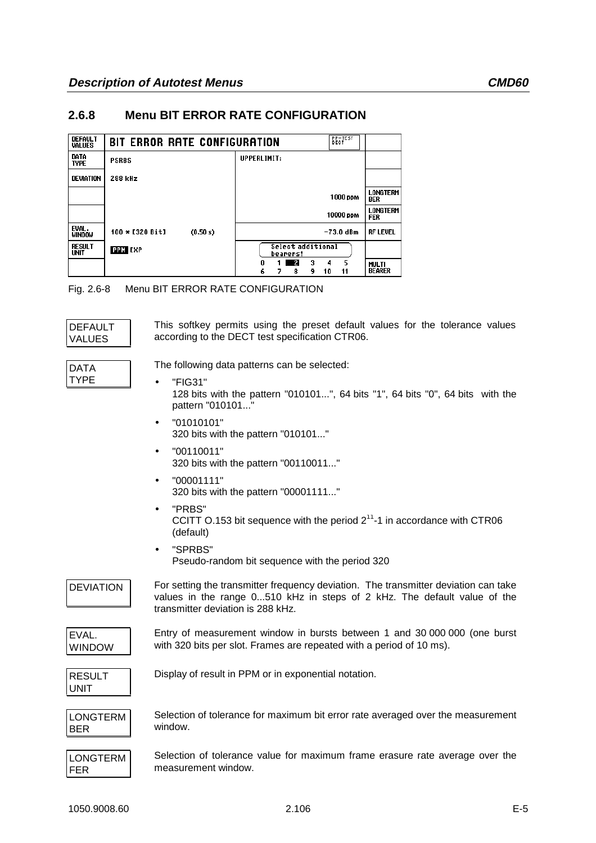## **2.6.8 Menu BIT ERROR RATE CONFIGURATION**

| <b>DEFAULT</b><br><b>VALUES</b> | BIT ERROR RATE CONFIGURATION  | <b>BECTEST</b>                                           |                               |
|---------------------------------|-------------------------------|----------------------------------------------------------|-------------------------------|
| DATA<br><b>TYPE</b>             | <b>PSRBS</b>                  | UPPERLIMIT:                                              |                               |
| <b>DEVIATION</b>                | 288 kHz                       |                                                          |                               |
|                                 |                               | 1000 ppm                                                 | LONGTERM<br><b>BER</b>        |
|                                 |                               | 10000 ppm                                                | LONGTERM<br><b>FER</b>        |
| EVAL.<br><b>WINDOW</b>          | $100 * [320 Bit]$<br>(0.50 s) | $-73.0$ dBm                                              | <b>RF LEVEL</b>               |
| <b>RESULT</b><br>UNIT           | <b>PPM EXP</b>                | Select additional<br>bearers!                            |                               |
|                                 |                               | 5<br>- 21<br>3<br>4<br>0<br>6<br>11<br>8<br>10<br>9<br>7 | <b>MULTI</b><br><b>BEARER</b> |

Fig. 2.6-8 Menu BIT ERROR RATE CONFIGURATION

| DEFAULT       |
|---------------|
|               |
|               |
| <b>VALUES</b> |

This softkey permits using the preset default values for the tolerance values according to the DECT test specification CTR06.

DATA TYPE

The following data patterns can be selected:

- "FIG31" 128 bits with the pattern "010101...", 64 bits "1", 64 bits "0", 64 bits with the pattern "010101..."
- $•$   $"01010101"$ 320 bits with the pattern "010101..."
- "00110011" 320 bits with the pattern "00110011..."
- "00001111" 320 bits with the pattern "00001111..."
- "PRBS" CCITT O.153 bit sequence with the period  $2^{11}$ -1 in accordance with CTR06 (default)
- "SPRBS" Pseudo-random bit sequence with the period 320

DEVIATION For setting the transmitter frequency deviation. The transmitter deviation can take values in the range 0...510 kHz in steps of 2 kHz. The default value of the transmitter deviation is 288 kHz.



Entry of measurement window in bursts between 1 and 30 000 000 (one burst with 320 bits per slot. Frames are repeated with a period of 10 ms).

| RESULT |  |
|--------|--|
| UNIT   |  |

Display of result in PPM or in exponential notation.



Selection of tolerance for maximum bit error rate averaged over the measurement window.

LONGTERM Selection of tolerance value for maximum frame erasure rate average over the measurement window.

FER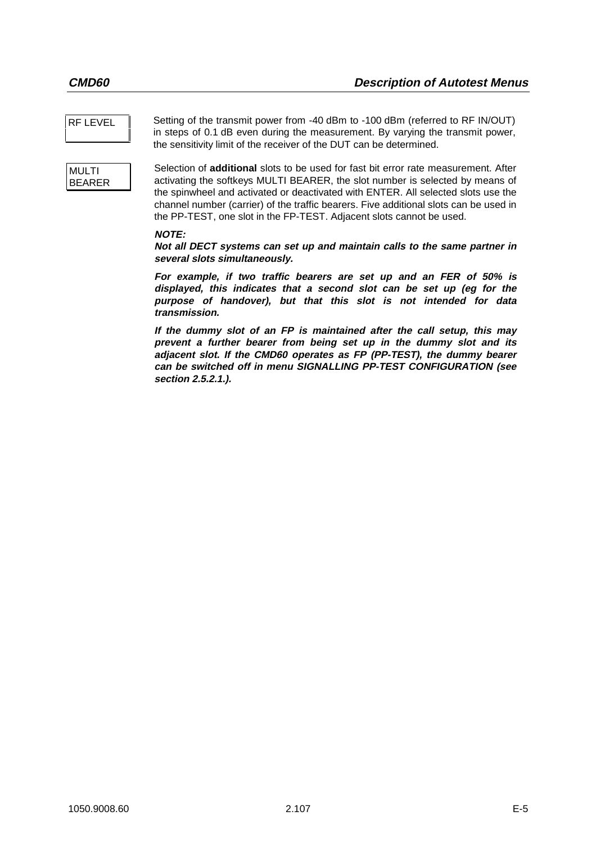RF LEVEL Setting of the transmit power from -40 dBm to -100 dBm (referred to RF IN/OUT) in steps of 0.1 dB even during the measurement. By varying the transmit power, the sensitivity limit of the receiver of the DUT can be determined.

```
MULTI
BEARER
```
Selection of **additional** slots to be used for fast bit error rate measurement. After activating the softkeys MULTI BEARER, the slot number is selected by means of the spinwheel and activated or deactivated with ENTER. All selected slots use the channel number (carrier) of the traffic bearers. Five additional slots can be used in the PP-TEST, one slot in the FP-TEST. Adjacent slots cannot be used.

#### **NOTE:**

**Not all DECT systems can set up and maintain calls to the same partner in several slots simultaneously.**

**For example, if two traffic bearers are set up and an FER of 50% is displayed, this indicates that a second slot can be set up (eg for the purpose of handover), but that this slot is not intended for data transmission.**

**If the dummy slot of an FP is maintained after the call setup, this may prevent a further bearer from being set up in the dummy slot and its adjacent slot. If the CMD60 operates as FP (PP-TEST), the dummy bearer can be switched off in menu SIGNALLING PP-TEST CONFIGURATION (see section 2.5.2.1.).**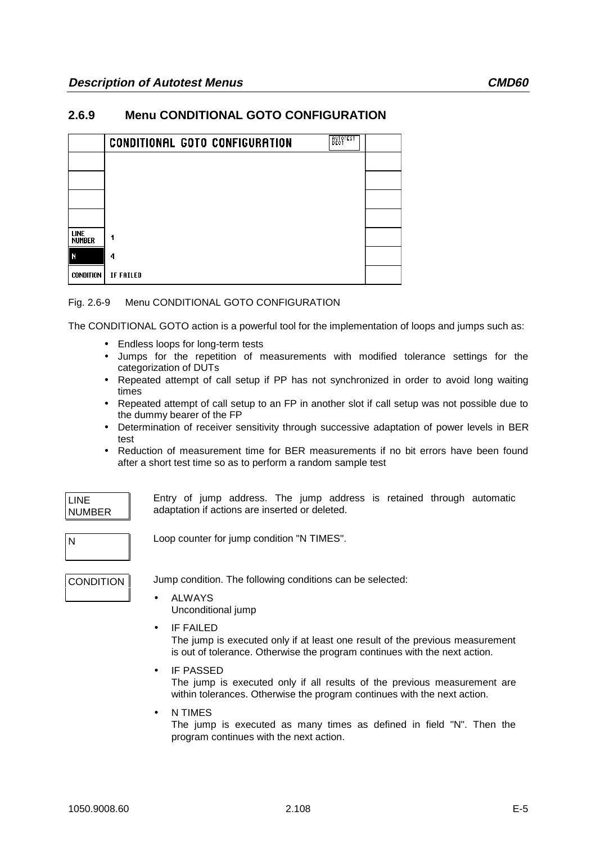## **2.6.9 Menu CONDITIONAL GOTO CONFIGURATION**

|                              | <b>CONDITIONAL GOTO CONFIGURATION</b> | BECT |  |
|------------------------------|---------------------------------------|------|--|
|                              |                                       |      |  |
|                              |                                       |      |  |
|                              |                                       |      |  |
|                              |                                       |      |  |
| <b>LINE</b><br><b>NUMBER</b> |                                       |      |  |
| N                            | 4                                     |      |  |
| <b>CONDITION</b>             | <b>IF FAILED</b>                      |      |  |

#### Fig. 2.6-9 Menu CONDITIONAL GOTO CONFIGURATION

The CONDITIONAL GOTO action is a powerful tool for the implementation of loops and jumps such as:

- Endless loops for long-term tests
- Jumps for the repetition of measurements with modified tolerance settings for the categorization of DUTs
- Repeated attempt of call setup if PP has not synchronized in order to avoid long waiting times
- Repeated attempt of call setup to an FP in another slot if call setup was not possible due to the dummy bearer of the FP
- Determination of receiver sensitivity through successive adaptation of power levels in BER test
- Reduction of measurement time for BER measurements if no bit errors have been found after a short test time so as to perform a random sample test

| LINE          |  |
|---------------|--|
| <b>NUMBER</b> |  |

Entry of jump address. The jump address is retained through automatic adaptation if actions are inserted or deleted.

N Loop counter for jump condition "N TIMES".

CONDITION Jump condition. The following conditions can be selected:

- **ALWAYS** Unconditional jump
- IF FAILED The jump is executed only if at least one result of the previous measurement is out of tolerance. Otherwise the program continues with the next action.
- **IF PASSED**

The jump is executed only if all results of the previous measurement are within tolerances. Otherwise the program continues with the next action.

• N TIMES The jump is executed as many times as defined in field "N". Then the program continues with the next action.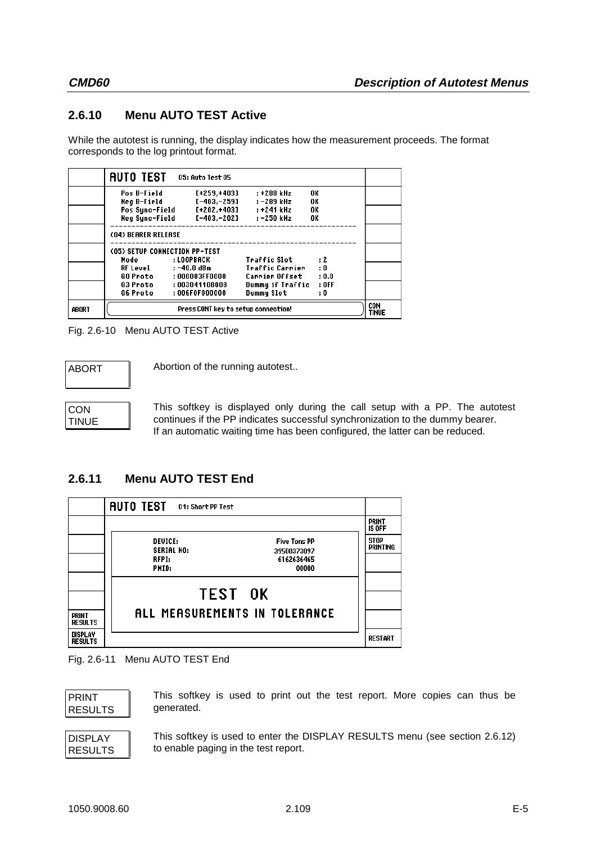# **2.6.10 Menu AUTO TEST Active**

While the autotest is running, the display indicates how the measurement proceeds. The format corresponds to the log printout format.

|       | <b>AUTO TEST</b>              | <b>05: Auto Test 05</b>             |                     |           |                     |
|-------|-------------------------------|-------------------------------------|---------------------|-----------|---------------------|
|       | Pos B-Field                   | [+259.+403]                         | : +288 kHz          | 0K        |                     |
|       | Neg B-Field                   | [-403,-259]                         | :-289 kHz           | 0K        |                     |
|       | Pos Sync-Field                | [+202,+403]                         | : +241 kHz          | 0K        |                     |
|       | Neg Sync-Field                | [-403,-202]                         | : -250 kHz          | OK        |                     |
|       | (04) BEARER RELEASE           |                                     |                     |           |                     |
|       | (05) SETUP CONNECTION PP-TEST |                                     |                     |           |                     |
|       | Mode                          | : LOOPBACK                          | <b>Traffic Slot</b> | $\cdot$ 2 |                     |
|       | <b>RF Level</b>               | $: -40.0$ dBm                       | Traffic Carrier     | : 0       |                     |
|       | QO Proto                      | : 000003FF0000                      | Carrier Offset      | : 0.0     |                     |
|       | Q3 Proto                      | : 003041108008                      | Dummy if Traffic    | $:$ OFF   |                     |
|       | <b>Q6 Proto</b>               | :006F0F000000                       | Dummy Slot          | : 0       |                     |
| ABORT |                               | Press CONT key to setup connection! |                     |           | CON<br><b>TINUE</b> |
|       |                               |                                     |                     |           |                     |

Fig. 2.6-10 Menu AUTO TEST Active

ABORT | Abortion of the running autotest..

**CON** TINUE This softkey is displayed only during the call setup with a PP. The autotest continues if the PP indicates successful synchronization to the dummy bearer. If an automatic waiting time has been configured, the latter can be reduced.

### **2.6.11 Menu AUTO TEST End**

|                                  | <b>AUTO TEST</b><br>01: Short PP Test |                                    |                                |
|----------------------------------|---------------------------------------|------------------------------------|--------------------------------|
|                                  |                                       |                                    | <b>PRINT</b><br><b>IS OFF</b>  |
|                                  | <b>DEUICE:</b><br><b>SERIAL NO:</b>   | <b>Five Tons PP</b><br>39500373097 | <b>STOP</b><br><b>PRINTING</b> |
|                                  | RFPI:                                 | 6162636465                         |                                |
|                                  | PMID:                                 | 00000                              |                                |
|                                  |                                       |                                    |                                |
|                                  |                                       | <b>TEST OK</b>                     |                                |
| <b>PRINT</b>                     |                                       | ALL MEASUREMENTS IN TOLERANCE      |                                |
| <b>RESULTS</b>                   |                                       |                                    |                                |
| <b>DISPLAY</b><br><b>RESULTS</b> |                                       |                                    | <b>RESTART</b>                 |
|                                  |                                       |                                    |                                |

Fig. 2.6-11 Menu AUTO TEST End

```
PRINT
RESULTS
```
This softkey is used to print out the test report. More copies can thus be generated.

| <b>DISPLAY</b> |  |
|----------------|--|
| RESULTS        |  |

This softkey is used to enter the DISPLAY RESULTS menu (see section 2.6.12) to enable paging in the test report.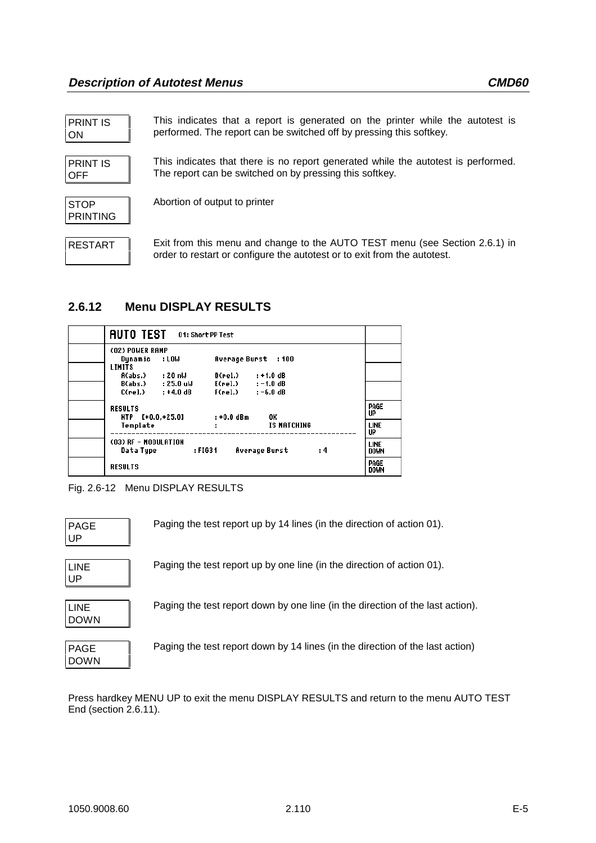| <b>PRINT IS</b> |  |
|-----------------|--|
| <b>ON</b>       |  |

PRINT IS OFF

| STOP     |  |
|----------|--|
| PRINTING |  |

RESTART Exit from this menu and change to the AUTO TEST menu (see Section 2.6.1) in order to restart or configure the autotest or to exit from the autotest.

This indicates that a report is generated on the printer while the autotest is

This indicates that there is no report generated while the autotest is performed.

performed. The report can be switched off by pressing this softkey.

The report can be switched on by pressing this softkey.

# **2.6.12 Menu DISPLAY RESULTS**

| <b>AUTO TEST</b><br>01: Short PP Test                                    |                                                     |                            |
|--------------------------------------------------------------------------|-----------------------------------------------------|----------------------------|
| (02) POWER RAMP<br>: LOW<br>Dynamic                                      | Average Burst : 100                                 |                            |
| <b>LIMITS</b><br>A(abs.)<br>: 20 nW<br>D(rel.)                           | $: +1.0$ dB                                         |                            |
| $B(abs.)$ : $25.0$ uW<br>$C(\text{rel.})$ : $+4.0 \text{ dB}$<br>F(rel.) | $E(\text{rel.})$ : $-1.0 \text{ dB}$<br>$: -6.0$ dB |                            |
| <b>RESULTS</b><br>$: +0.0$ dBm<br>NTP [+0.0,+25.0]                       | 0K                                                  | PAGE<br>UP                 |
| Template                                                                 | IS MATCHING                                         | <b>LINE</b><br>UP          |
| (03) RF - MODULATION<br>: FIG31<br>Data Tupe                             | <b>Average Burst</b><br>: 4                         | <b>LINE</b><br><b>DOWN</b> |
| <b>RESULTS</b>                                                           |                                                     | PAGE<br><b>DOWN</b>        |

Abortion of output to printer



| <b>PAGE</b><br>UP          | Paging the test report up by 14 lines (in the direction of action 01).         |
|----------------------------|--------------------------------------------------------------------------------|
| <b>LINE</b><br>UP          | Paging the test report up by one line (in the direction of action 01).         |
| <b>LINE</b><br><b>DOWN</b> | Paging the test report down by one line (in the direction of the last action). |
| <b>PAGE</b><br><b>DOWN</b> | Paging the test report down by 14 lines (in the direction of the last action)  |

Press hardkey MENU UP to exit the menu DISPLAY RESULTS and return to the menu AUTO TEST End (section 2.6.11).